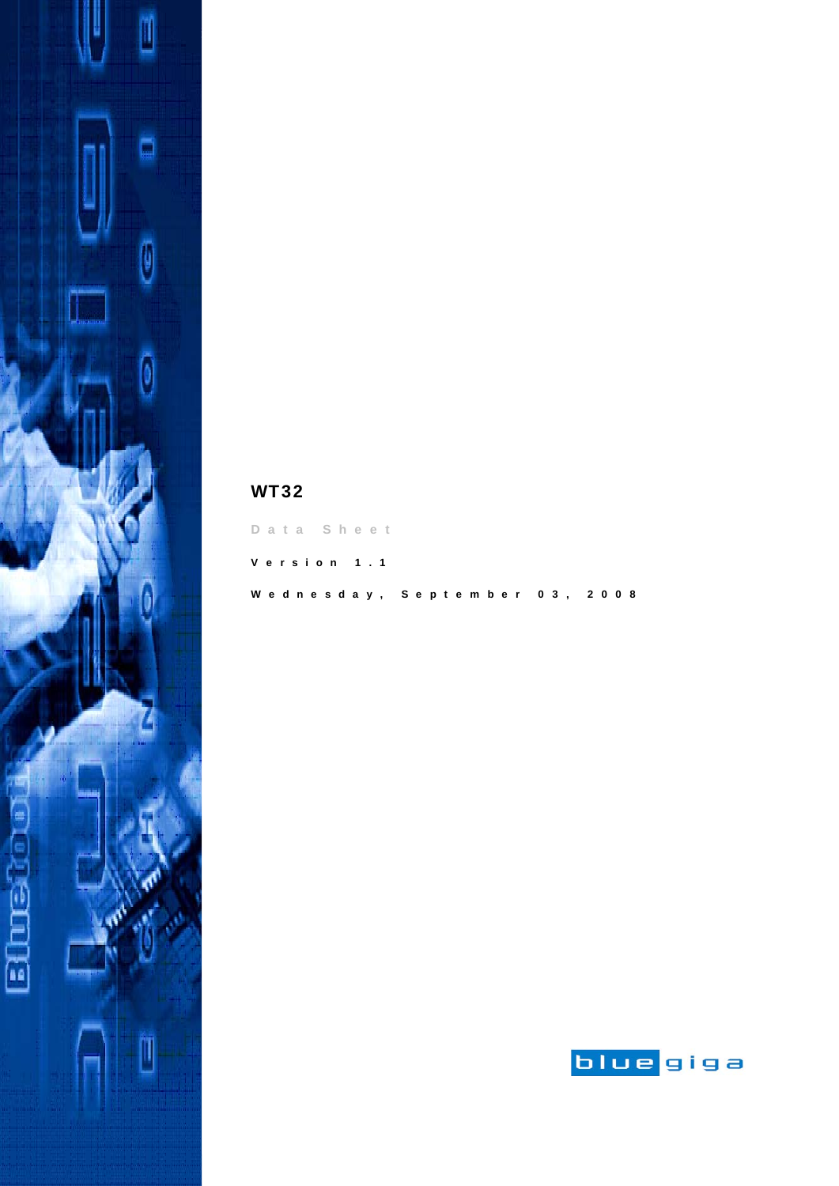

| Data Sheet                    |  |
|-------------------------------|--|
| Version 1.1                   |  |
| Wednesday, September 03, 2008 |  |

WT32

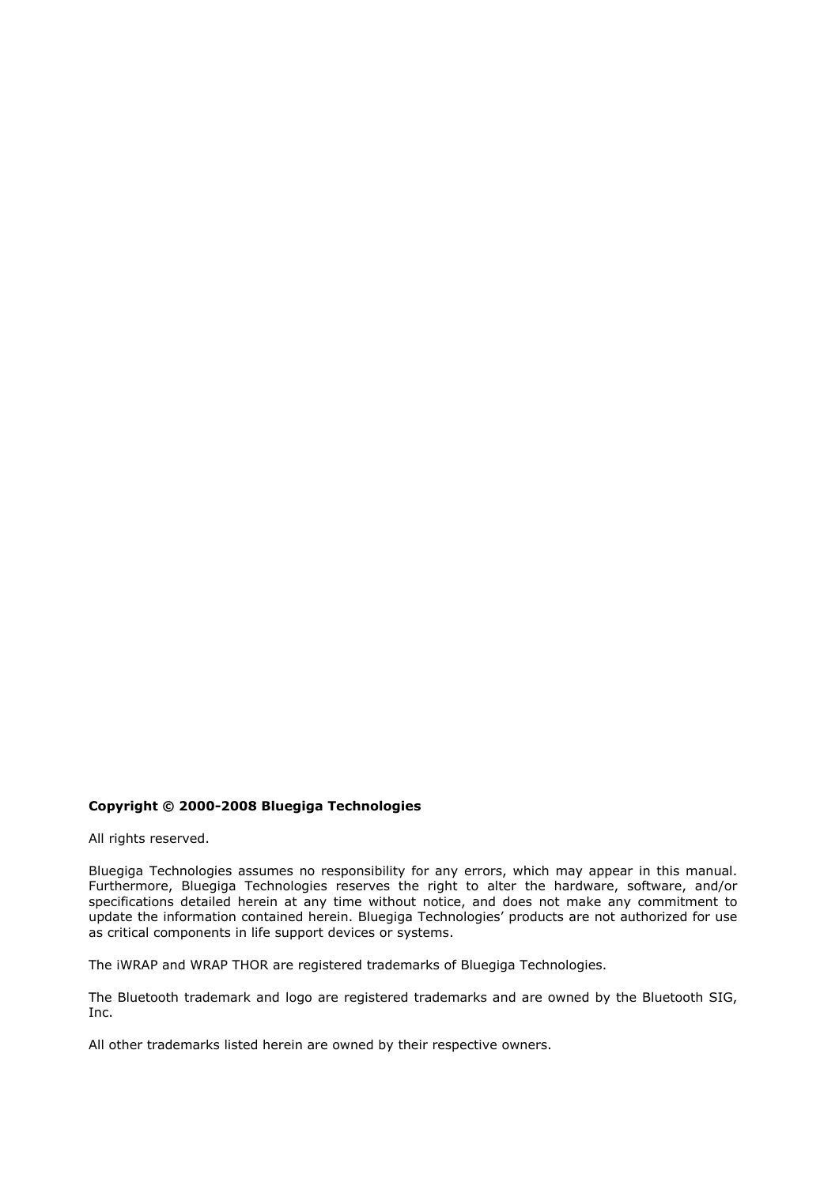#### **Copyright © 2000-2008 Bluegiga Technologies**

All rights reserved.

Bluegiga Technologies assumes no responsibility for any errors, which may appear in this manual. Furthermore, Bluegiga Technologies reserves the right to alter the hardware, software, and/or specifications detailed herein at any time without notice, and does not make any commitment to update the information contained herein. Bluegiga Technologies' products are not authorized for use as critical components in life support devices or systems.

The iWRAP and WRAP THOR are registered trademarks of Bluegiga Technologies.

The Bluetooth trademark and logo are registered trademarks and are owned by the Bluetooth SIG, Inc.

All other trademarks listed herein are owned by their respective owners.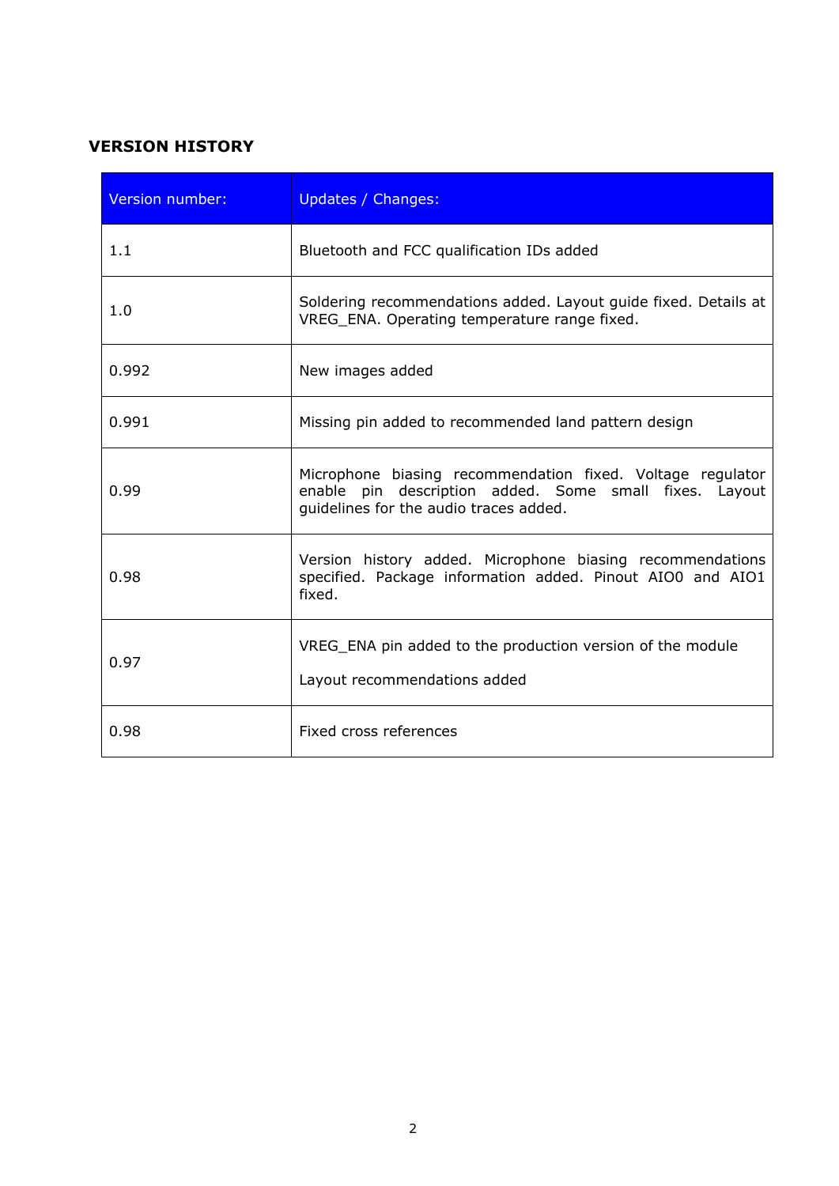# **VERSION HISTORY**

| Version number: | Updates / Changes:                                                                                                                                             |
|-----------------|----------------------------------------------------------------------------------------------------------------------------------------------------------------|
| 1.1             | Bluetooth and FCC qualification IDs added                                                                                                                      |
| 1.0             | Soldering recommendations added. Layout guide fixed. Details at<br>VREG_ENA. Operating temperature range fixed.                                                |
| 0.992           | New images added                                                                                                                                               |
| 0.991           | Missing pin added to recommended land pattern design                                                                                                           |
| 0.99            | Microphone biasing recommendation fixed. Voltage regulator<br>enable pin description added. Some small fixes. Layout<br>guidelines for the audio traces added. |
| 0.98            | Version history added. Microphone biasing recommendations<br>specified. Package information added. Pinout AIO0 and AIO1<br>fixed.                              |
| 0.97            | VREG_ENA pin added to the production version of the module<br>Layout recommendations added                                                                     |
| 0.98            | Fixed cross references                                                                                                                                         |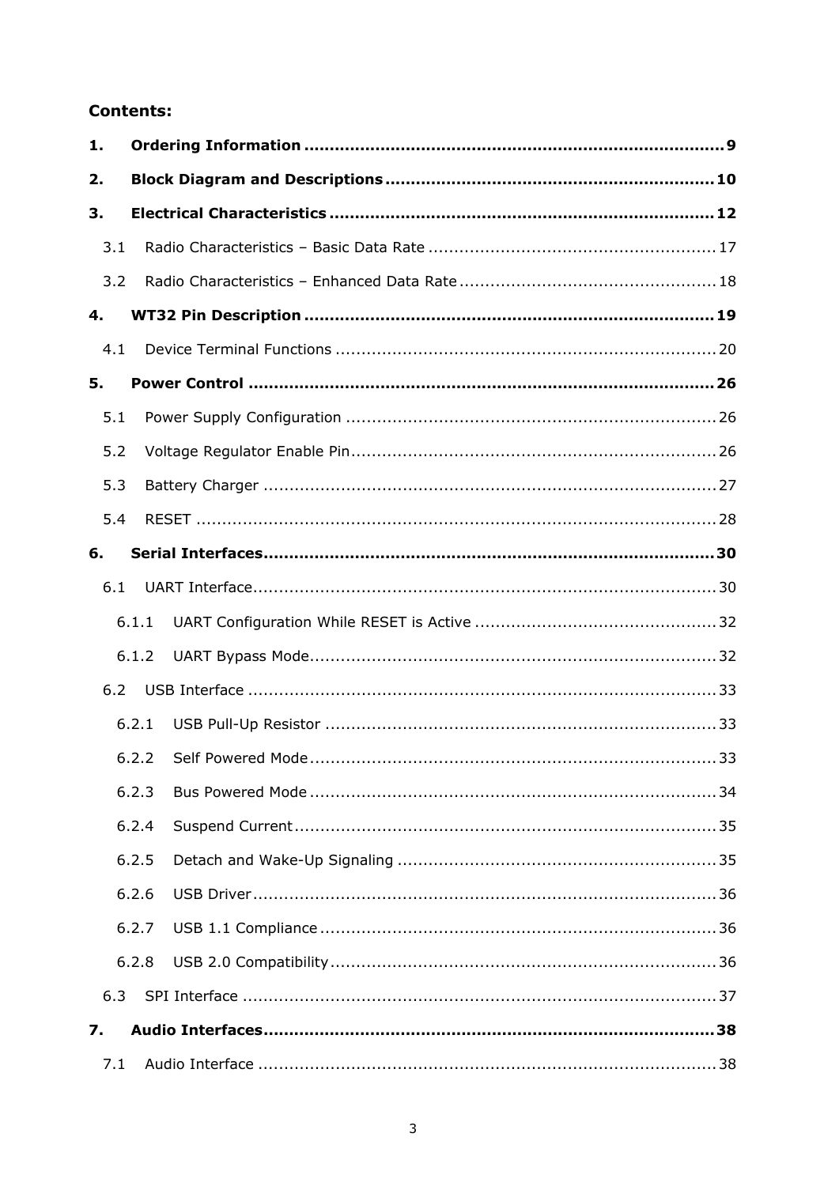## **Contents:**

| 1.  |       |  |
|-----|-------|--|
| 2.  |       |  |
| 3.  |       |  |
| 3.1 |       |  |
| 3.2 |       |  |
| 4.  |       |  |
| 4.1 |       |  |
| 5.  |       |  |
| 5.1 |       |  |
| 5.2 |       |  |
| 5.3 |       |  |
| 5.4 |       |  |
| 6.  |       |  |
| 6.1 |       |  |
|     | 6.1.1 |  |
|     | 6.1.2 |  |
| 6.2 |       |  |
|     | 6.2.1 |  |
|     | 6.2.2 |  |
|     | 6.2.3 |  |
|     | 6.2.4 |  |
|     | 6.2.5 |  |
|     | 6.2.6 |  |
|     | 6.2.7 |  |
|     | 6.2.8 |  |
| 6.3 |       |  |
| 7.  |       |  |
|     |       |  |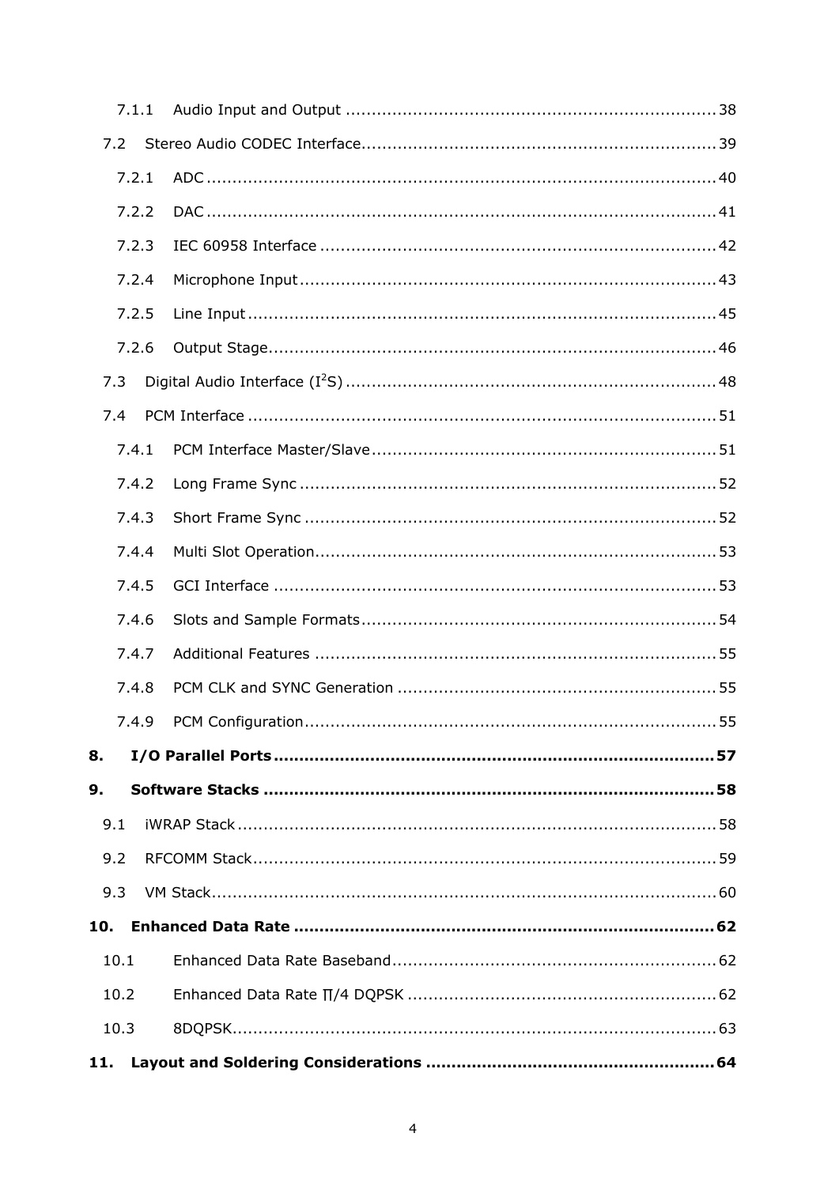|      | 7.1.1 |  |
|------|-------|--|
| 7.2  |       |  |
|      | 7.2.1 |  |
|      | 7.2.2 |  |
|      | 7.2.3 |  |
|      | 7.2.4 |  |
|      | 7.2.5 |  |
|      | 7.2.6 |  |
| 7.3  |       |  |
| 7.4  |       |  |
|      | 7.4.1 |  |
|      | 7.4.2 |  |
|      | 7.4.3 |  |
|      | 7.4.4 |  |
|      | 7.4.5 |  |
|      | 7.4.6 |  |
|      | 7.4.7 |  |
|      | 7.4.8 |  |
|      | 7.4.9 |  |
| 8.   |       |  |
| 9.   |       |  |
| 9.1  |       |  |
| 9.2  |       |  |
| 9.3  |       |  |
| 10.  |       |  |
| 10.1 |       |  |
| 10.2 |       |  |
| 10.3 |       |  |
| 11.  |       |  |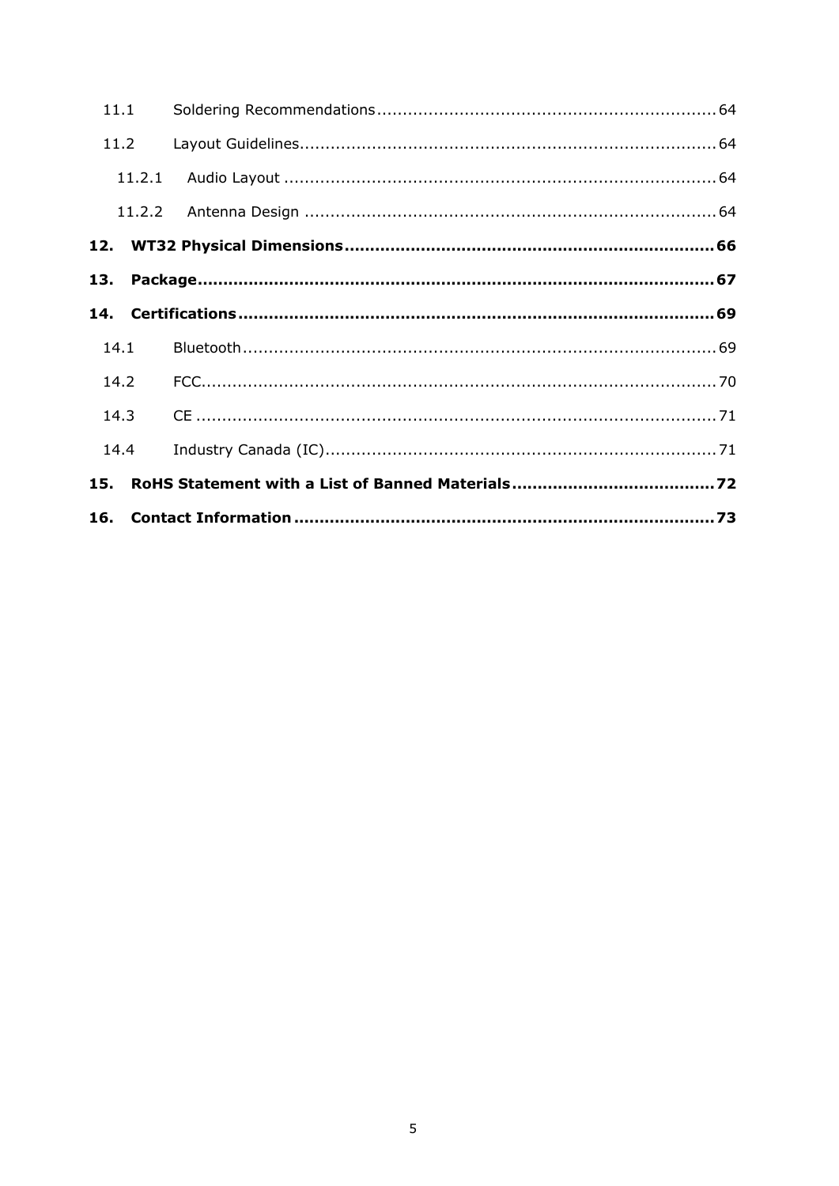| 11.1 |        |  |
|------|--------|--|
| 11.2 |        |  |
|      | 11.2.1 |  |
|      |        |  |
|      |        |  |
|      |        |  |
|      |        |  |
| 14.1 |        |  |
| 14.2 |        |  |
| 14.3 |        |  |
| 14.4 |        |  |
| 15.  |        |  |
|      |        |  |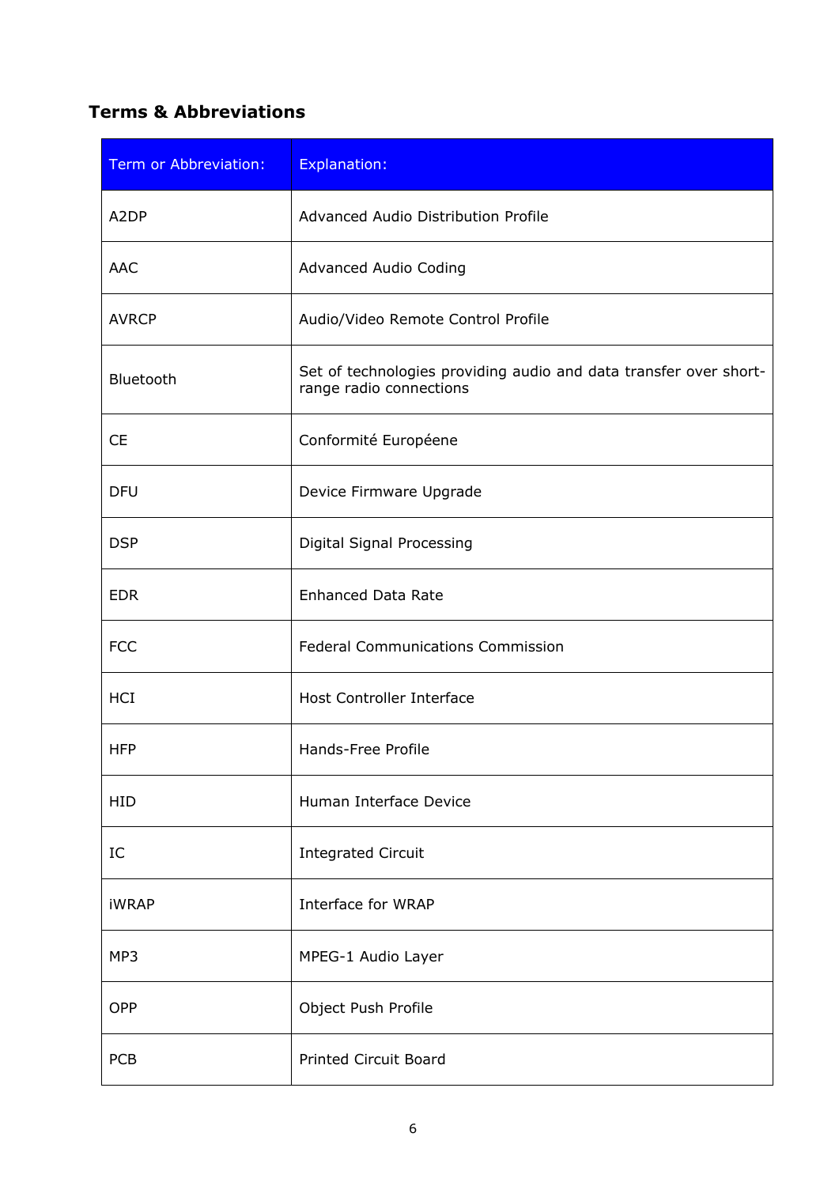# **Terms & Abbreviations**

| <b>Term or Abbreviation:</b> | <b>Explanation:</b>                                                                          |
|------------------------------|----------------------------------------------------------------------------------------------|
| A <sub>2</sub> DP            | Advanced Audio Distribution Profile                                                          |
| <b>AAC</b>                   | Advanced Audio Coding                                                                        |
| <b>AVRCP</b>                 | Audio/Video Remote Control Profile                                                           |
| Bluetooth                    | Set of technologies providing audio and data transfer over short-<br>range radio connections |
| <b>CE</b>                    | Conformité Européene                                                                         |
| <b>DFU</b>                   | Device Firmware Upgrade                                                                      |
| <b>DSP</b>                   | Digital Signal Processing                                                                    |
| <b>EDR</b>                   | <b>Enhanced Data Rate</b>                                                                    |
| <b>FCC</b>                   | <b>Federal Communications Commission</b>                                                     |
| <b>HCI</b>                   | <b>Host Controller Interface</b>                                                             |
| <b>HFP</b>                   | Hands-Free Profile                                                                           |
| <b>HID</b>                   | Human Interface Device                                                                       |
| IC                           | <b>Integrated Circuit</b>                                                                    |
| <b>iWRAP</b>                 | Interface for WRAP                                                                           |
| MP3                          | MPEG-1 Audio Layer                                                                           |
| <b>OPP</b>                   | Object Push Profile                                                                          |
| PCB                          | <b>Printed Circuit Board</b>                                                                 |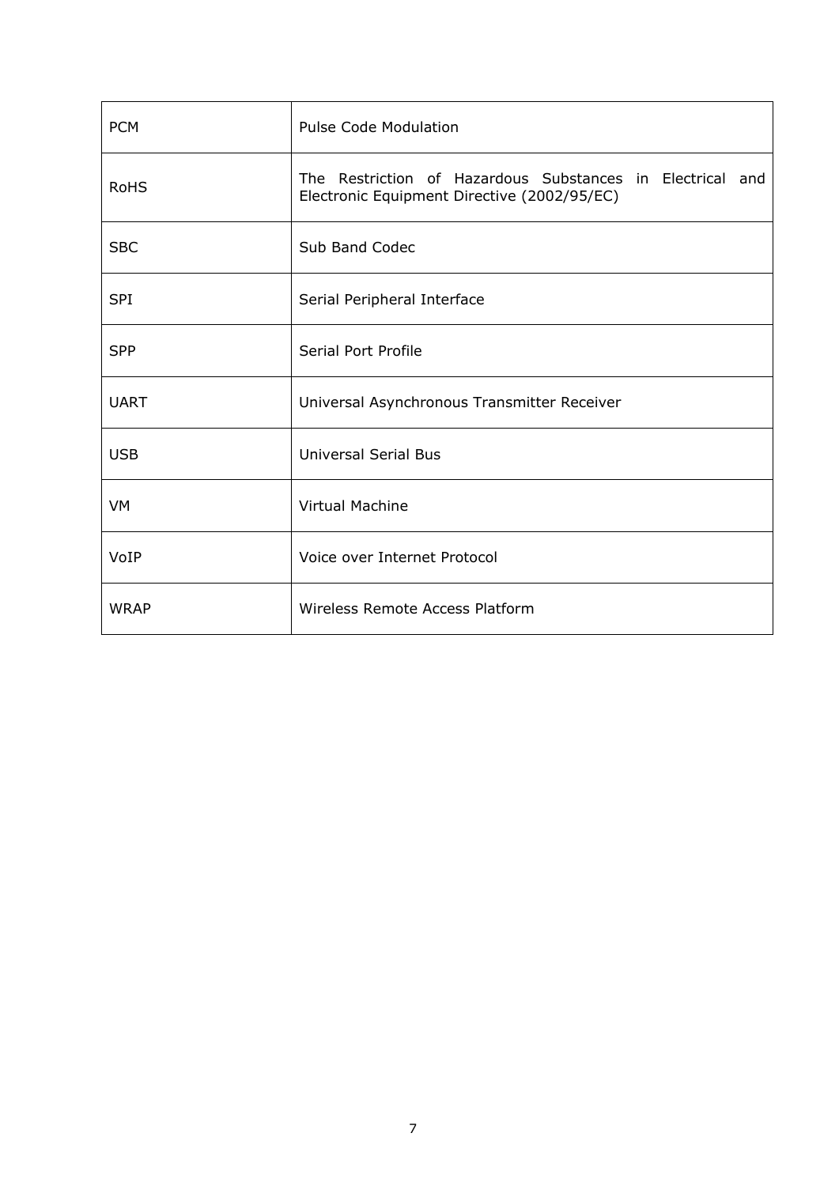| <b>PCM</b>  | <b>Pulse Code Modulation</b>                                                                             |
|-------------|----------------------------------------------------------------------------------------------------------|
| <b>RoHS</b> | The Restriction of Hazardous Substances in Electrical and<br>Electronic Equipment Directive (2002/95/EC) |
| <b>SBC</b>  | Sub Band Codec                                                                                           |
| <b>SPI</b>  | Serial Peripheral Interface                                                                              |
| <b>SPP</b>  | Serial Port Profile                                                                                      |
| <b>UART</b> | Universal Asynchronous Transmitter Receiver                                                              |
| <b>USB</b>  | <b>Universal Serial Bus</b>                                                                              |
| VM          | <b>Virtual Machine</b>                                                                                   |
| VoIP        | Voice over Internet Protocol                                                                             |
| <b>WRAP</b> | Wireless Remote Access Platform                                                                          |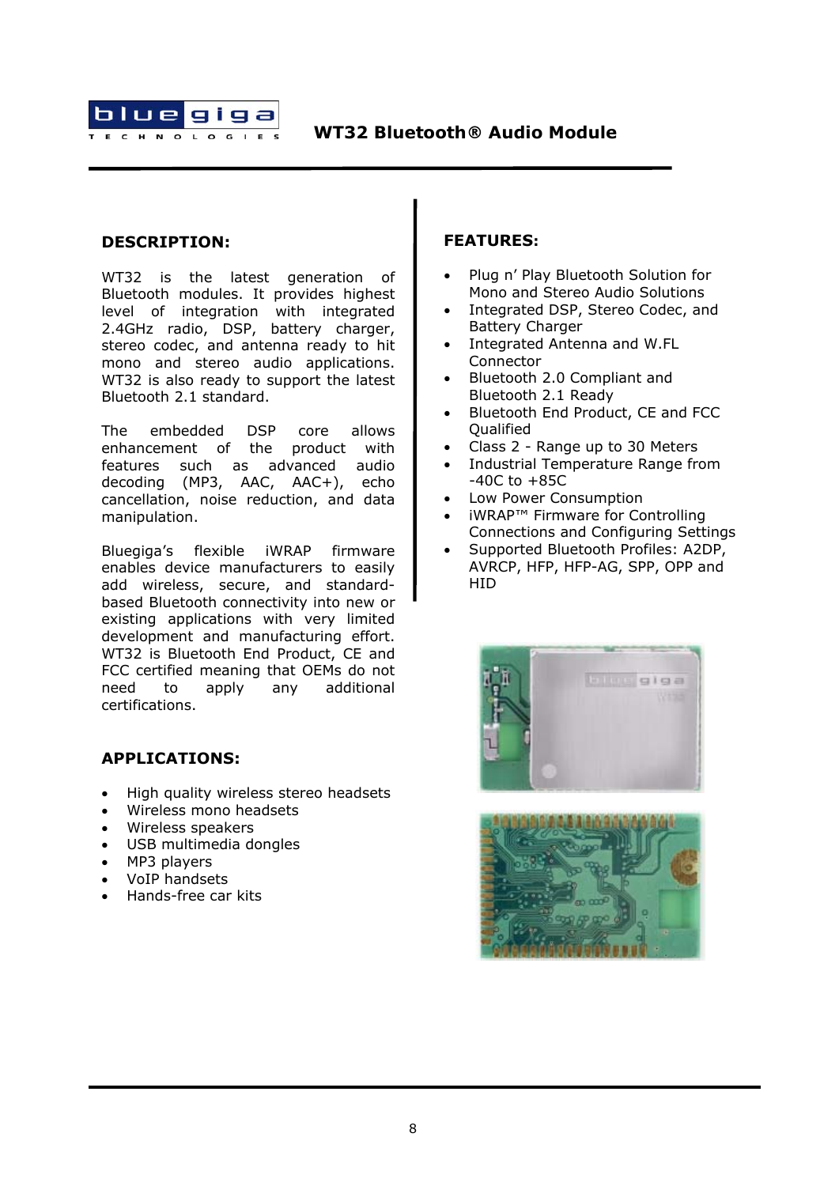

### **DESCRIPTION:**

WT32 is the latest generation of Bluetooth modules. It provides highest level of integration with integrated 2.4GHz radio, DSP, battery charger. stereo codec, and antenna ready to hit mono and stereo audio applications. WT32 is also ready to support the latest Bluetooth 2.1 standard.

The embedded DSP core allows enhancement of the product with features such as advanced audio decoding (MP3, AAC, AAC+), echo cancellation, noise reduction, and data manipulation.

Bluegiga's flexible iWRAP firmware enables device manufacturers to easily add wireless, secure, and standardbased Bluetooth connectivity into new or existing applications with very limited development and manufacturing effort. WT32 is Bluetooth End Product, CE and FCC certified meaning that OEMs do not need to apply any additional certifications.

#### **APPLICATIONS:**

- High quality wireless stereo headsets
- Wireless mono headsets
- Wireless speakers
- USB multimedia dongles
- MP3 players
- VoIP handsets
- Hands-free car kits

#### **FEATURES:**

- Plug n' Play Bluetooth Solution for Mono and Stereo Audio Solutions
- Integrated DSP, Stereo Codec, and Battery Charger
- Integrated Antenna and W.FL Connector
- Bluetooth 2.0 Compliant and Bluetooth 2.1 Ready
- Bluetooth End Product, CE and FCC **Oualified**
- Class 2 Range up to 30 Meters
- Industrial Temperature Range from  $-40C$  to  $+85C$
- Low Power Consumption
- iWRAP™ Firmware for Controlling Connections and Configuring Settings
- Supported Bluetooth Profiles: A2DP, AVRCP, HFP, HFP-AG, SPP, OPP and HID



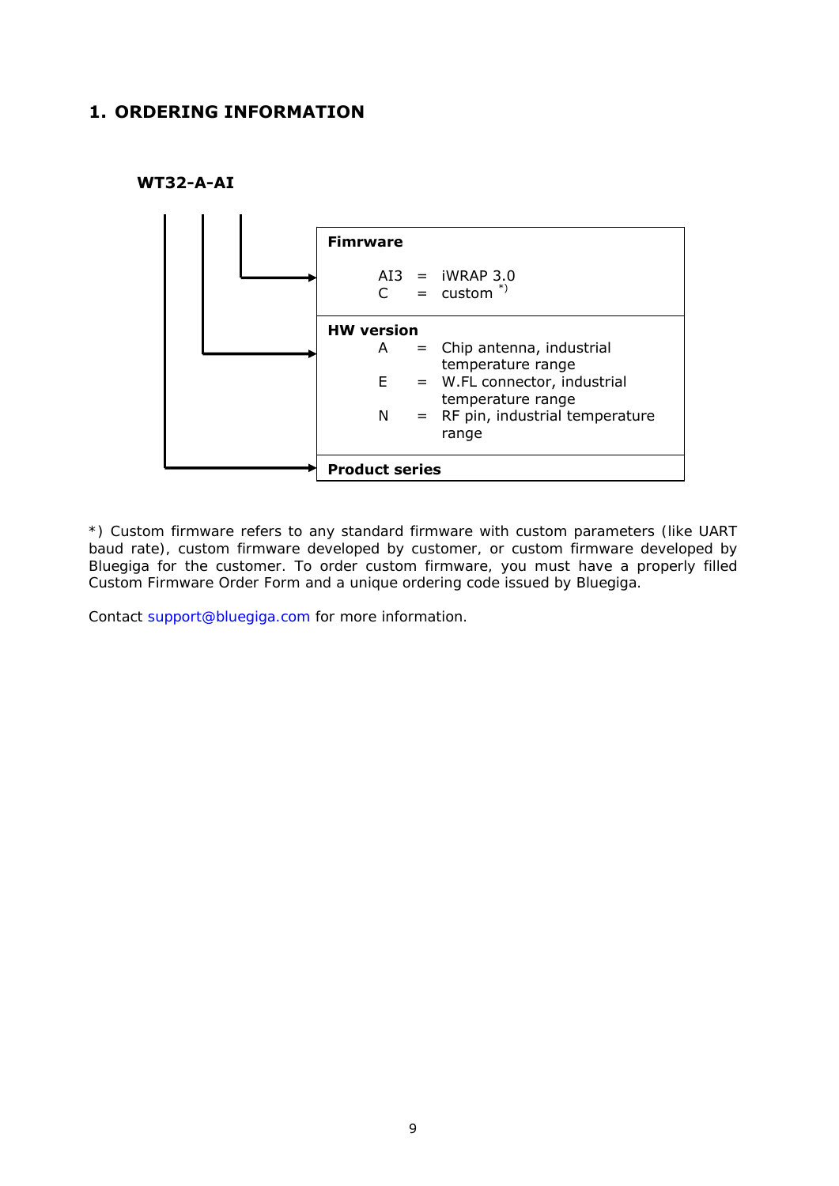# <span id="page-9-0"></span>**1. ORDERING INFORMATION**





*\*) Custom firmware refers to any standard firmware with custom parameters (like UART baud rate), custom firmware developed by customer, or custom firmware developed by Bluegiga for the customer. To order custom firmware, you must have a properly filled Custom Firmware Order Form and a unique ordering code issued by Bluegiga.* 

*Contact [support@bluegiga.com](mailto:support@bluegiga.com) for more information.*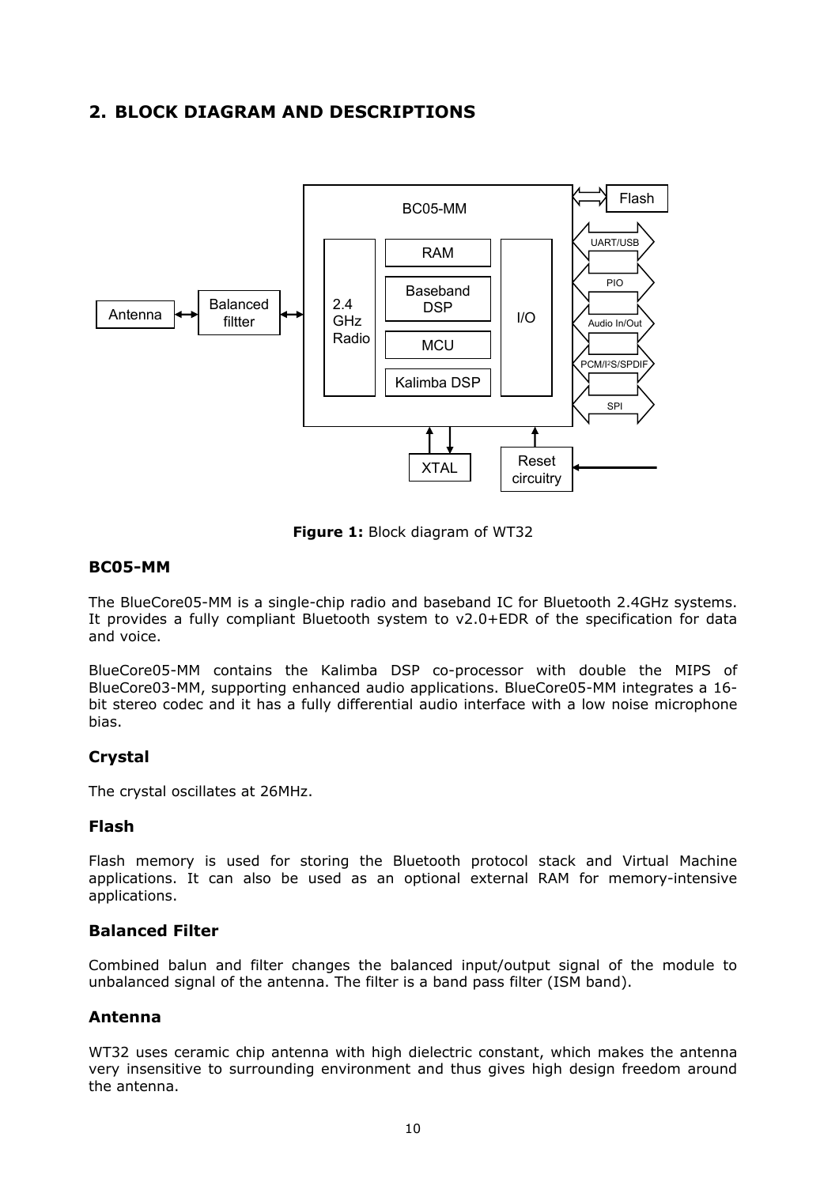# **2. BLOCK DIAGRAM AND DESCRIPTIONS**

<span id="page-10-0"></span>

**Figure 1:** Block diagram of WT32

#### **BC05-MM**

The BlueCore05-MM is a single-chip radio and baseband IC for Bluetooth 2.4GHz systems. It provides a fully compliant Bluetooth system to v2.0+EDR of the specification for data and voice.

BlueCore05-MM contains the Kalimba DSP co-processor with double the MIPS of BlueCore03-MM, supporting enhanced audio applications. BlueCore05-MM integrates a 16 bit stereo codec and it has a fully differential audio interface with a low noise microphone bias.

## **Crystal**

The crystal oscillates at 26MHz.

## **Flash**

Flash memory is used for storing the Bluetooth protocol stack and Virtual Machine applications. It can also be used as an optional external RAM for memory-intensive applications.

#### **Balanced Filter**

Combined balun and filter changes the balanced input/output signal of the module to unbalanced signal of the antenna. The filter is a band pass filter (ISM band).

## **Antenna**

WT32 uses ceramic chip antenna with high dielectric constant, which makes the antenna very insensitive to surrounding environment and thus gives high design freedom around the antenna.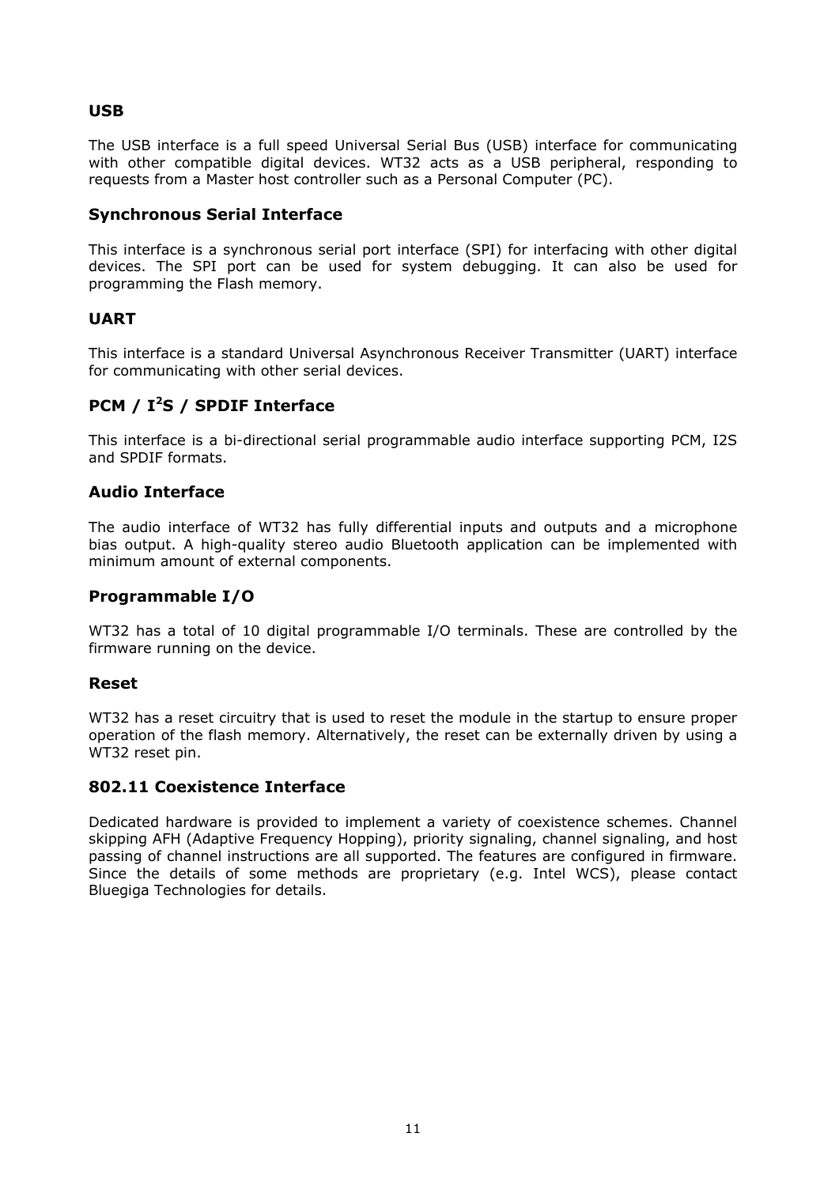## **USB**

The USB interface is a full speed Universal Serial Bus (USB) interface for communicating with other compatible digital devices. WT32 acts as a USB peripheral, responding to requests from a Master host controller such as a Personal Computer (PC).

#### **Synchronous Serial Interface**

This interface is a synchronous serial port interface (SPI) for interfacing with other digital devices. The SPI port can be used for system debugging. It can also be used for programming the Flash memory.

### **UART**

This interface is a standard Universal Asynchronous Receiver Transmitter (UART) interface for communicating with other serial devices.

# **PCM / I<sup>2</sup> S / SPDIF Interface**

This interface is a bi-directional serial programmable audio interface supporting PCM, I2S and SPDIF formats.

### **Audio Interface**

The audio interface of WT32 has fully differential inputs and outputs and a microphone bias output. A high-quality stereo audio Bluetooth application can be implemented with minimum amount of external components.

## **Programmable I/O**

WT32 has a total of 10 digital programmable I/O terminals. These are controlled by the firmware running on the device.

#### **Reset**

WT32 has a reset circuitry that is used to reset the module in the startup to ensure proper operation of the flash memory. Alternatively, the reset can be externally driven by using a WT32 reset pin.

#### **802.11 Coexistence Interface**

Dedicated hardware is provided to implement a variety of coexistence schemes. Channel skipping AFH (Adaptive Frequency Hopping), priority signaling, channel signaling, and host passing of channel instructions are all supported. The features are configured in firmware. Since the details of some methods are proprietary (e.g. Intel WCS), please contact Bluegiga Technologies for details.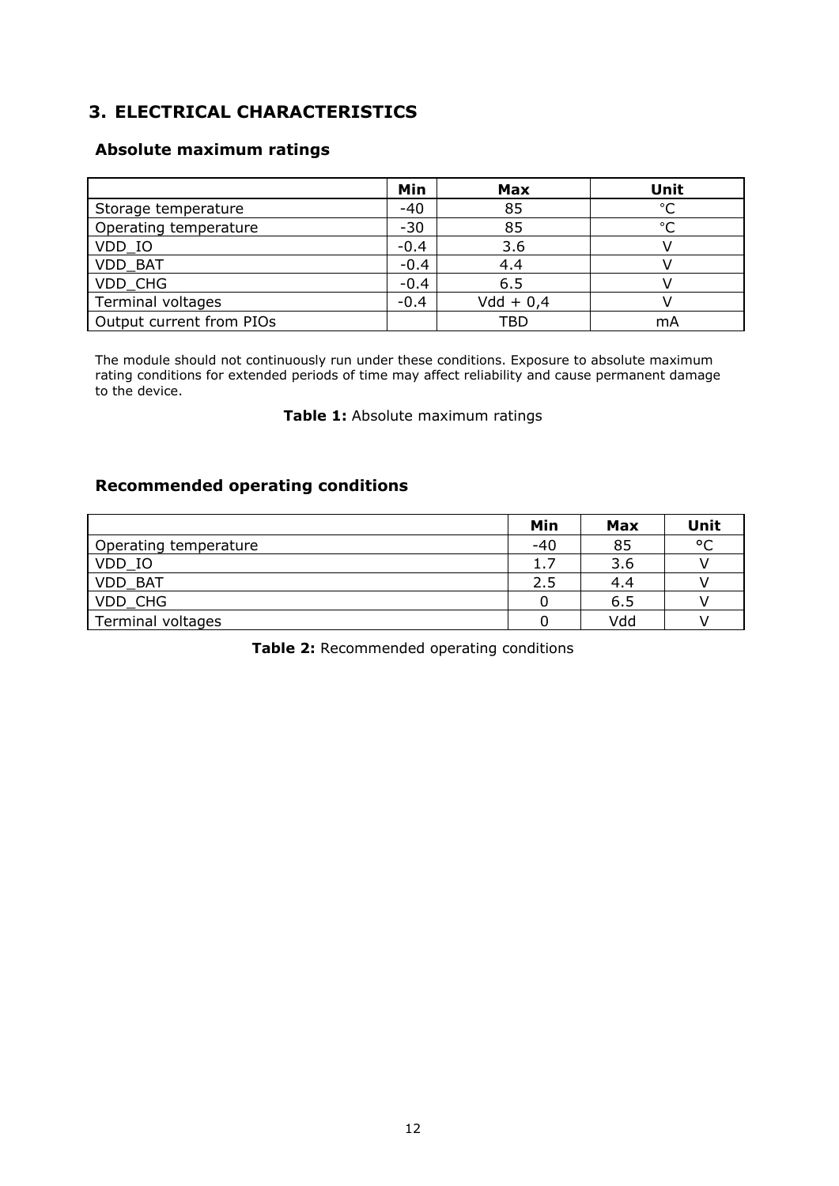# <span id="page-12-0"></span>**3. ELECTRICAL CHARACTERISTICS**

## **Absolute maximum ratings**

|                          | Min    | <b>Max</b>  | Unit          |
|--------------------------|--------|-------------|---------------|
| Storage temperature      | $-40$  | 85          | $\circ$ C     |
| Operating temperature    | $-30$  | 85          | $\mathcal{C}$ |
| VDD_IO                   | $-0.4$ | 3.6         |               |
| <b>VDD BAT</b>           | $-0.4$ | 4.4         |               |
| VDD CHG                  | $-0.4$ | 6.5         |               |
| Terminal voltages        | $-0.4$ | $Vdd + 0,4$ |               |
| Output current from PIOs |        | TBD         | mA            |

The module should not continuously run under these conditions. Exposure to absolute maximum rating conditions for extended periods of time may affect reliability and cause permanent damage to the device.

#### **Table 1:** Absolute maximum ratings

## **Recommended operating conditions**

|                       | Min   | Max | Unit |
|-----------------------|-------|-----|------|
| Operating temperature | $-40$ | 85  | °C   |
| VDD IO                | 1.7   | 3.6 |      |
| VDD BAT               | 2.5   | 4.4 |      |
| VDD CHG               |       | 6.5 |      |
| Terminal voltages     |       | Vdd |      |

**Table 2:** Recommended operating conditions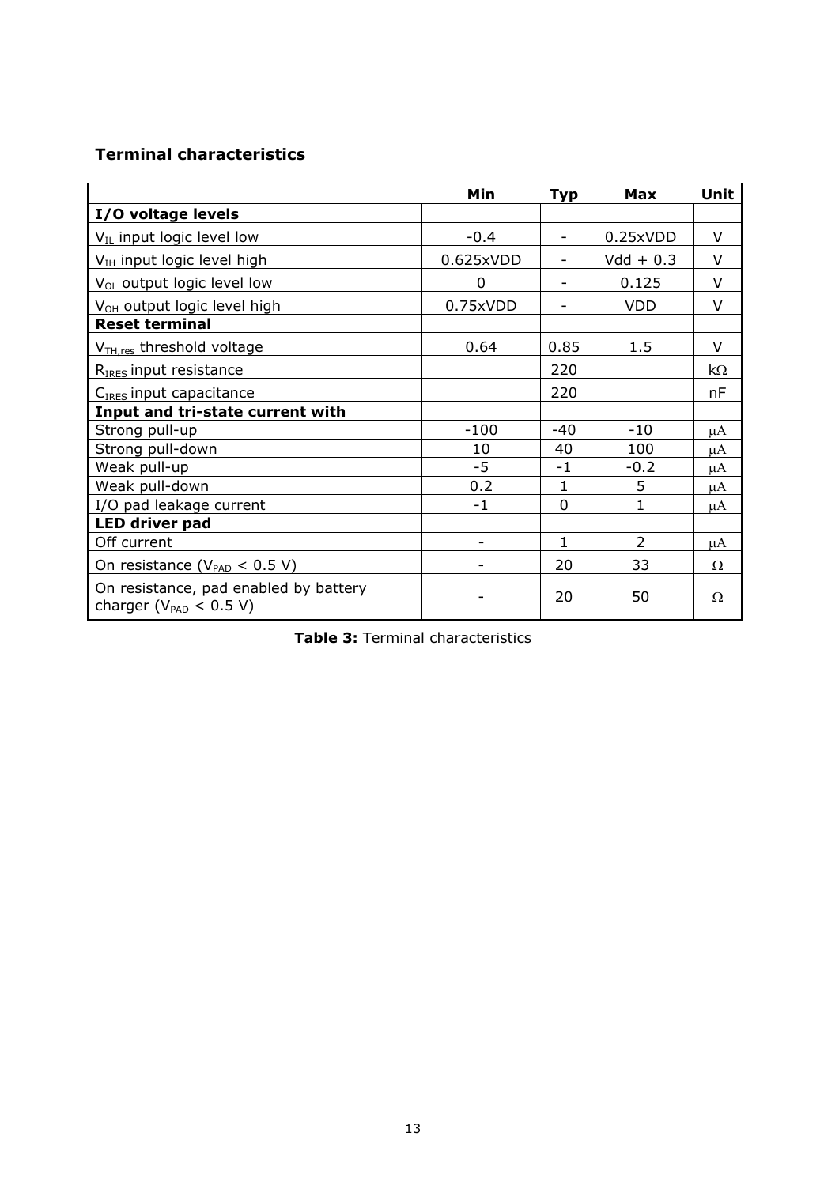# **Terminal characteristics**

|                                                                       | Min               | <b>Typ</b>               | Max            | Unit     |
|-----------------------------------------------------------------------|-------------------|--------------------------|----------------|----------|
| I/O voltage levels                                                    |                   |                          |                |          |
| $V_{IL}$ input logic level low                                        | $-0.4$            | $\blacksquare$           | 0.25xVDD       | $\vee$   |
| V <sub>IH</sub> input logic level high                                | 0.625xVDD         | $\overline{\phantom{0}}$ | $Vdd + 0.3$    | V        |
| $V_{OL}$ output logic level low                                       | 0                 | -                        | 0.125          | $\vee$   |
| V <sub>OH</sub> output logic level high                               | 0.75xVDD          |                          | <b>VDD</b>     | $\vee$   |
| <b>Reset terminal</b>                                                 |                   |                          |                |          |
| V <sub>TH,res</sub> threshold voltage                                 | 0.64              | 0.85                     | 1.5            | $\vee$   |
| R <sub>IRES</sub> input resistance                                    |                   | 220                      |                | kΩ       |
| C <sub>IRES</sub> input capacitance                                   |                   | 220                      |                | nF       |
| Input and tri-state current with                                      |                   |                          |                |          |
| Strong pull-up                                                        | $-100$            | $-40$                    | $-10$          | uA       |
| Strong pull-down                                                      | 10                | 40                       | 100            | μA       |
| Weak pull-up                                                          | $-5$              | -1                       | $-0.2$         | μA       |
| Weak pull-down                                                        | 0.2               | 1                        | 5              | μA       |
| I/O pad leakage current                                               | $-1$              | $\Omega$                 | 1              | μA       |
| <b>LED driver pad</b>                                                 |                   |                          |                |          |
| Off current                                                           | $\qquad \qquad -$ | 1                        | $\overline{2}$ | μA       |
| On resistance ( $V_{PAD}$ < 0.5 V)                                    |                   | 20                       | 33             | $\Omega$ |
| On resistance, pad enabled by battery<br>charger ( $V_{PAD}$ < 0.5 V) |                   | 20                       | 50             | Ω        |

|  |  | Table 3: Terminal characteristics |  |
|--|--|-----------------------------------|--|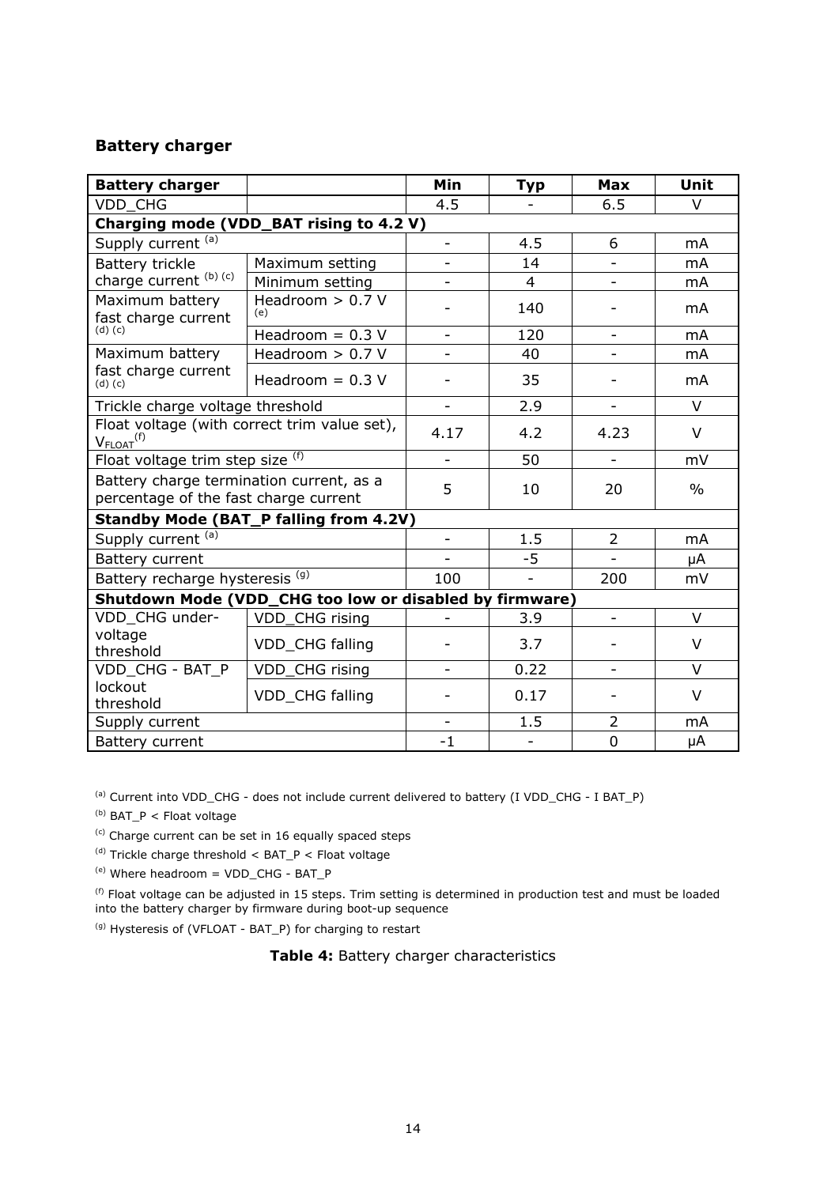#### **Battery charger**

| <b>Battery charger</b>                                                            |                                                         | <b>Min</b>               | <b>Typ</b>     | <b>Max</b>               | Unit           |
|-----------------------------------------------------------------------------------|---------------------------------------------------------|--------------------------|----------------|--------------------------|----------------|
| <b>VDD CHG</b>                                                                    |                                                         | 4.5                      |                | 6.5                      | $\vee$         |
|                                                                                   | Charging mode (VDD_BAT rising to 4.2 V)                 |                          |                |                          |                |
| Supply current (a)                                                                |                                                         | ÷,                       | 4.5            | 6                        | m <sub>A</sub> |
| Battery trickle                                                                   | Maximum setting                                         | $\overline{\phantom{a}}$ | 14             |                          | mA             |
| charge current (b) (c)                                                            | Minimum setting                                         | ÷                        | $\overline{4}$ | $\overline{\phantom{a}}$ | mA             |
| Maximum battery<br>fast charge current                                            | Headroom $> 0.7$ V<br>(e)                               |                          | 140            |                          | mA             |
| $(d)$ $(c)$                                                                       | Headroom = $0.3$ V                                      | $\overline{\phantom{a}}$ | 120            | $\overline{\phantom{a}}$ | m <sub>A</sub> |
| Maximum battery                                                                   | Headroom $> 0.7$ V                                      |                          | 40             |                          | m <sub>A</sub> |
| fast charge current<br>$(d)$ $(c)$                                                | Headroom = $0.3$ V                                      |                          | 35             |                          | mA             |
| Trickle charge voltage threshold                                                  |                                                         | $\overline{\phantom{a}}$ | 2.9            | ÷,                       | V              |
| Float voltage (with correct trim value set),<br>$V_{FLOAT}$ <sup>(f)</sup>        | 4.17                                                    | 4.2                      | 4.23           | $\vee$                   |                |
| Float voltage trim step size (f)                                                  |                                                         | $\overline{\phantom{a}}$ | 50             | $\overline{\phantom{0}}$ | mV             |
| Battery charge termination current, as a<br>percentage of the fast charge current |                                                         | 5                        | 10             | 20                       | $\frac{0}{0}$  |
|                                                                                   | <b>Standby Mode (BAT_P falling from 4.2V)</b>           |                          |                |                          |                |
| Supply current (a)                                                                |                                                         | $\blacksquare$           | 1.5            | $\overline{2}$           | m <sub>A</sub> |
| Battery current                                                                   |                                                         |                          | $-5$           |                          | μA             |
| Battery recharge hysteresis <sup>(g)</sup>                                        |                                                         | 100                      |                | 200                      | mV             |
|                                                                                   | Shutdown Mode (VDD_CHG too low or disabled by firmware) |                          |                |                          |                |
| VDD CHG under-                                                                    | VDD_CHG rising                                          |                          | 3.9            | $\overline{a}$           | $\vee$         |
| voltage<br>threshold                                                              | VDD_CHG falling                                         |                          | 3.7            |                          | $\vee$         |
| VDD_CHG - BAT_P                                                                   | VDD_CHG rising                                          | $\overline{\phantom{0}}$ | 0.22           | $\overline{\phantom{a}}$ | V              |
| lockout<br>threshold                                                              | VDD CHG falling                                         |                          | 0.17           |                          | V              |
| Supply current                                                                    |                                                         |                          | 1.5            | $\overline{2}$           | mA             |
| Battery current                                                                   | $-1$                                                    | $\blacksquare$           | $\overline{0}$ | μA                       |                |

(a) Current into VDD\_CHG - does not include current delivered to battery (I VDD\_CHG - I BAT\_P)

 $(b)$  BAT\_P < Float voltage

 $(c)$  Charge current can be set in 16 equally spaced steps

 $^{(d)}$  Trickle charge threshold < BAT\_P < Float voltage

 $(e)$  Where headroom = VDD CHG - BAT P

<sup>(f)</sup> Float voltage can be adjusted in 15 steps. Trim setting is determined in production test and must be loaded into the battery charger by firmware during boot-up sequence

(g) Hysteresis of (VFLOAT - BAT\_P) for charging to restart

**Table 4:** Battery charger characteristics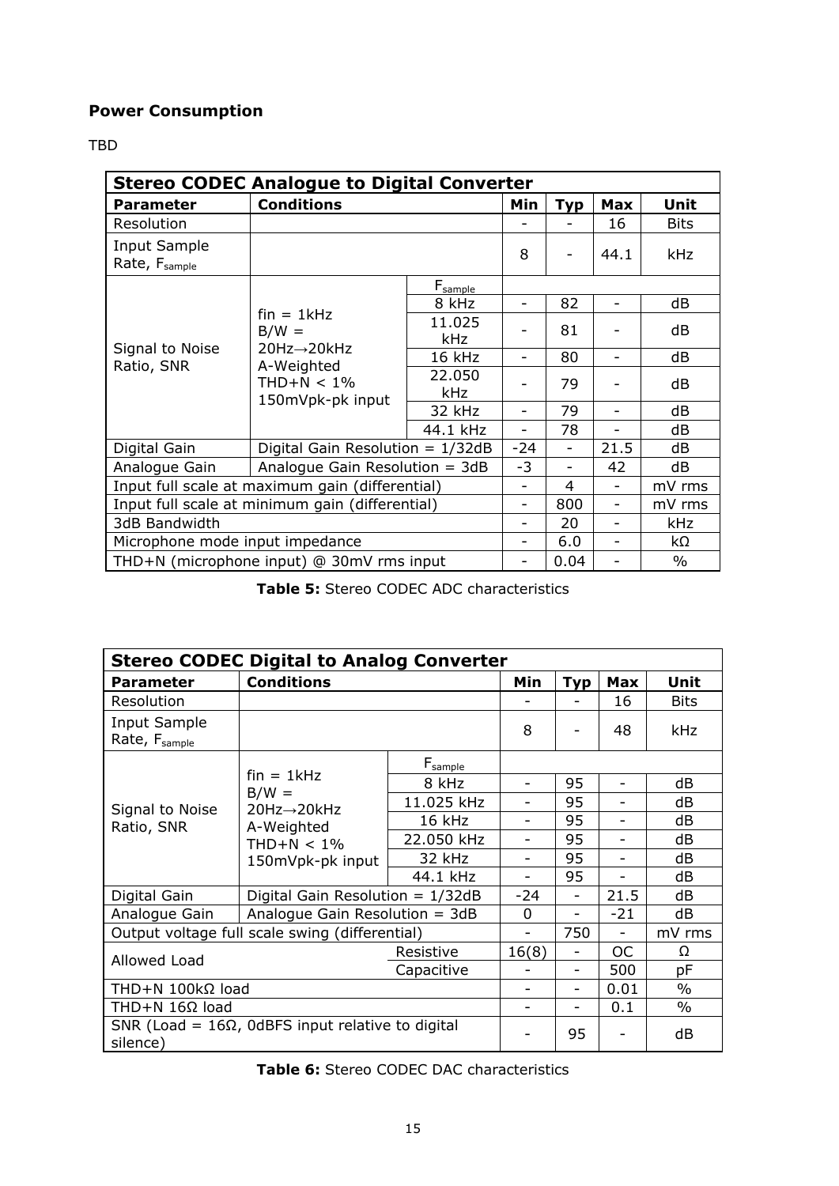# **Power Consumption**

#### TBD

| <b>Stereo CODEC Analogue to Digital Converter</b> |                                                                                          |                                    |      |            |            |             |
|---------------------------------------------------|------------------------------------------------------------------------------------------|------------------------------------|------|------------|------------|-------------|
| <b>Parameter</b>                                  | <b>Conditions</b>                                                                        |                                    | Min  | <b>Typ</b> | <b>Max</b> | Unit        |
| Resolution                                        |                                                                                          |                                    |      |            | 16         | <b>Bits</b> |
| Input Sample<br>Rate, F <sub>sample</sub>         |                                                                                          |                                    | 8    |            | 44.1       | kHz         |
|                                                   |                                                                                          | F <sub>sample</sub>                |      |            |            |             |
|                                                   |                                                                                          | 8 kHz                              |      | 82         |            | dB          |
| Signal to Noise<br>Ratio, SNR                     | $fin = 1kHz$<br>$B/W =$<br>20Hz→20kHz<br>A-Weighted<br>$THD+N < 1\%$<br>150mVpk-pk input | 11.025<br><b>kHz</b>               |      | 81         |            | dB          |
|                                                   |                                                                                          | 16 kHz                             |      | 80         |            | dB          |
|                                                   |                                                                                          | 22.050<br><b>kHz</b>               |      | 79         |            | dB          |
|                                                   |                                                                                          | 32 kHz                             |      | 79         |            | dB          |
|                                                   |                                                                                          | 44.1 kHz                           | -    | 78         |            | dB          |
| Digital Gain                                      |                                                                                          | Digital Gain Resolution = $1/32dB$ |      |            | 21.5       | dB          |
| Analogue Gain                                     | Analogue Gain Resolution = $3dB$                                                         |                                    | $-3$ |            | 42         | dB          |
| Input full scale at maximum gain (differential)   |                                                                                          |                                    | -    | 4          |            | mV rms      |
| Input full scale at minimum gain (differential)   |                                                                                          |                                    |      | 800        |            | mV rms      |
| 3dB Bandwidth                                     |                                                                                          |                                    |      | 20         | -          | kHz         |
| Microphone mode input impedance                   |                                                                                          |                                    |      | 6.0        |            | kΩ          |
| THD+N (microphone input) @ 30mV rms input         |                                                                                          |                                    |      | 0.04       |            | $\%$        |

**Table 5:** Stereo CODEC ADC characteristics

| <b>Stereo CODEC Digital to Analog Converter</b>                      |                                                                                          |                     |                          |     |                |               |
|----------------------------------------------------------------------|------------------------------------------------------------------------------------------|---------------------|--------------------------|-----|----------------|---------------|
| <b>Parameter</b>                                                     | <b>Conditions</b>                                                                        | Min                 | <b>Typ</b>               | Max | Unit           |               |
| Resolution                                                           |                                                                                          |                     |                          |     | 16             | <b>Bits</b>   |
| Input Sample<br>Rate, F <sub>sample</sub>                            |                                                                                          |                     | 8                        |     | 48             | kHz           |
|                                                                      | $fin = 1kHz$<br>$B/W =$<br>20Hz→20kHz<br>A-Weighted<br>$THD+N < 1\%$<br>150mVpk-pk input | $F_{\text{sample}}$ |                          |     |                |               |
|                                                                      |                                                                                          | 8 kHz               | $\qquad \qquad -$        | 95  |                | dB            |
| Signal to Noise                                                      |                                                                                          | 11.025 kHz          |                          | 95  |                | dB            |
| Ratio, SNR                                                           |                                                                                          | 16 kHz              |                          | 95  |                | dB            |
|                                                                      |                                                                                          | 22.050 kHz          |                          | 95  |                | dB            |
|                                                                      |                                                                                          | 32 kHz              | $\overline{\phantom{0}}$ | 95  |                | dB            |
|                                                                      |                                                                                          | 44.1 kHz            | $\overline{\phantom{0}}$ | 95  | $\overline{a}$ | dB            |
| Digital Gain                                                         | Digital Gain Resolution = $1/32dB$                                                       |                     | $-24$                    |     | 21.5           | dB            |
| Analogue Gain                                                        | Analogue Gain Resolution = $3dB$                                                         |                     | 0                        | -   | $-21$          | dB            |
| Output voltage full scale swing (differential)                       |                                                                                          |                     |                          | 750 |                | mV rms        |
| Resistive<br>Allowed Load<br>Capacitive                              |                                                                                          |                     | 16(8)                    | -   | <b>OC</b>      | Ω             |
|                                                                      |                                                                                          |                     |                          | -   | 500            | pF            |
| THD+N 100kΩ load                                                     |                                                                                          |                     |                          |     | 0.01           | $\%$          |
| THD+N $16\Omega$ load                                                |                                                                                          |                     | $\overline{\phantom{0}}$ | -   | 0.1            | $\frac{0}{0}$ |
| SNR (Load = $16\Omega$ , OdBFS input relative to digital<br>silence) |                                                                                          |                     |                          | 95  |                | dB            |

**Table 6:** Stereo CODEC DAC characteristics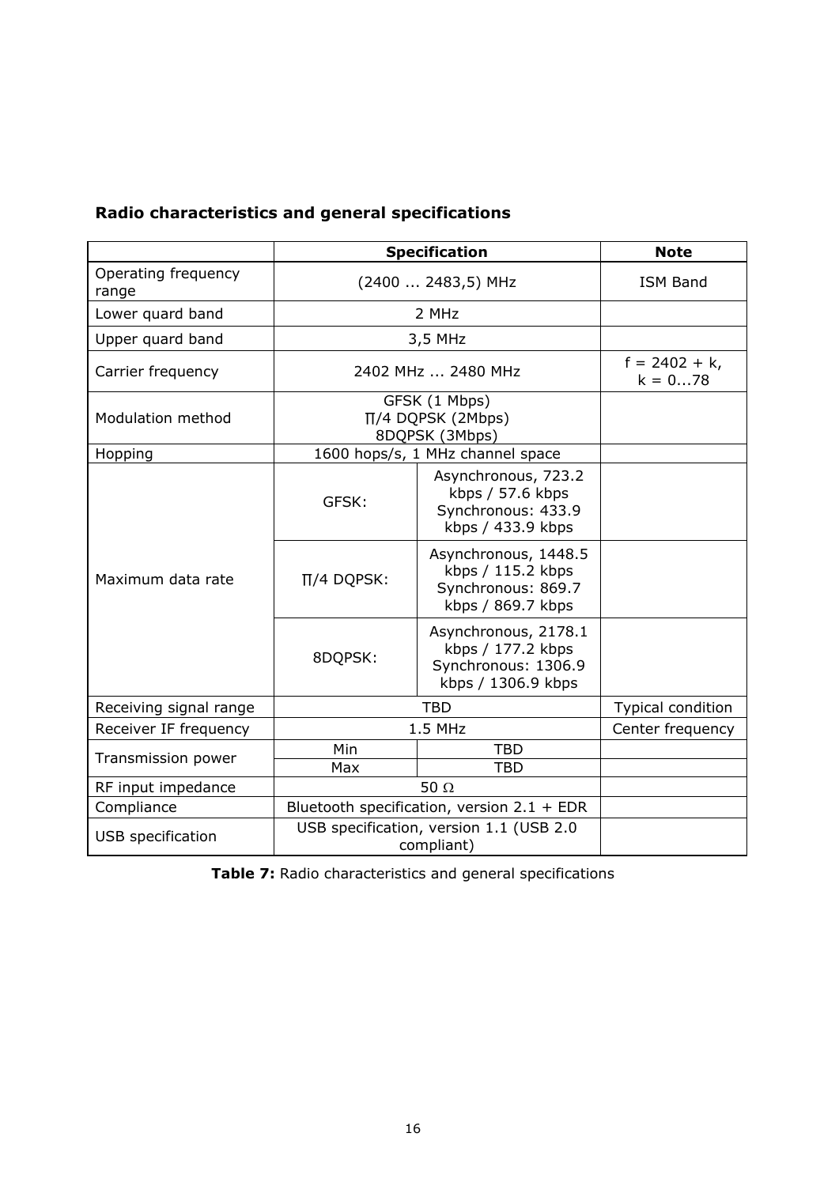| Radio characteristics and general specifications |
|--------------------------------------------------|
|--------------------------------------------------|

|                                                                            | <b>Specification</b>                                     |                                                                                        | <b>Note</b>                  |
|----------------------------------------------------------------------------|----------------------------------------------------------|----------------------------------------------------------------------------------------|------------------------------|
| Operating frequency<br>range                                               | (2400  2483,5) MHz                                       |                                                                                        | <b>ISM Band</b>              |
| Lower quard band                                                           |                                                          | 2 MHz                                                                                  |                              |
| Upper quard band                                                           |                                                          | 3,5 MHz                                                                                |                              |
| Carrier frequency                                                          | 2402 MHz  2480 MHz                                       |                                                                                        | $f = 2402 + k,$<br>$k = 078$ |
| Modulation method                                                          | GFSK (1 Mbps)<br>$\Pi/4$ DQPSK (2Mbps)<br>8DQPSK (3Mbps) |                                                                                        |                              |
| Hopping                                                                    |                                                          | 1600 hops/s, 1 MHz channel space                                                       |                              |
|                                                                            | GFSK:                                                    | Asynchronous, 723.2<br>kbps / 57.6 kbps<br>Synchronous: 433.9<br>kbps / 433.9 kbps     |                              |
| Maximum data rate                                                          | $\Pi/4$ DQPSK:                                           | Asynchronous, 1448.5<br>kbps / 115.2 kbps<br>Synchronous: 869.7<br>kbps / 869.7 kbps   |                              |
|                                                                            | 8DQPSK:                                                  | Asynchronous, 2178.1<br>kbps / 177.2 kbps<br>Synchronous: 1306.9<br>kbps / 1306.9 kbps |                              |
| Receiving signal range                                                     | <b>TBD</b>                                               |                                                                                        | Typical condition            |
| Receiver IF frequency                                                      | 1.5 MHz                                                  |                                                                                        | Center frequency             |
| Transmission power                                                         | Min                                                      | <b>TBD</b>                                                                             |                              |
|                                                                            | Max                                                      | <b>TBD</b>                                                                             |                              |
| RF input impedance                                                         | 50 $\Omega$                                              |                                                                                        |                              |
| Compliance                                                                 |                                                          | Bluetooth specification, version $2.1 + EDR$                                           |                              |
| USB specification, version 1.1 (USB 2.0<br>USB specification<br>compliant) |                                                          |                                                                                        |                              |

**Table 7:** Radio characteristics and general specifications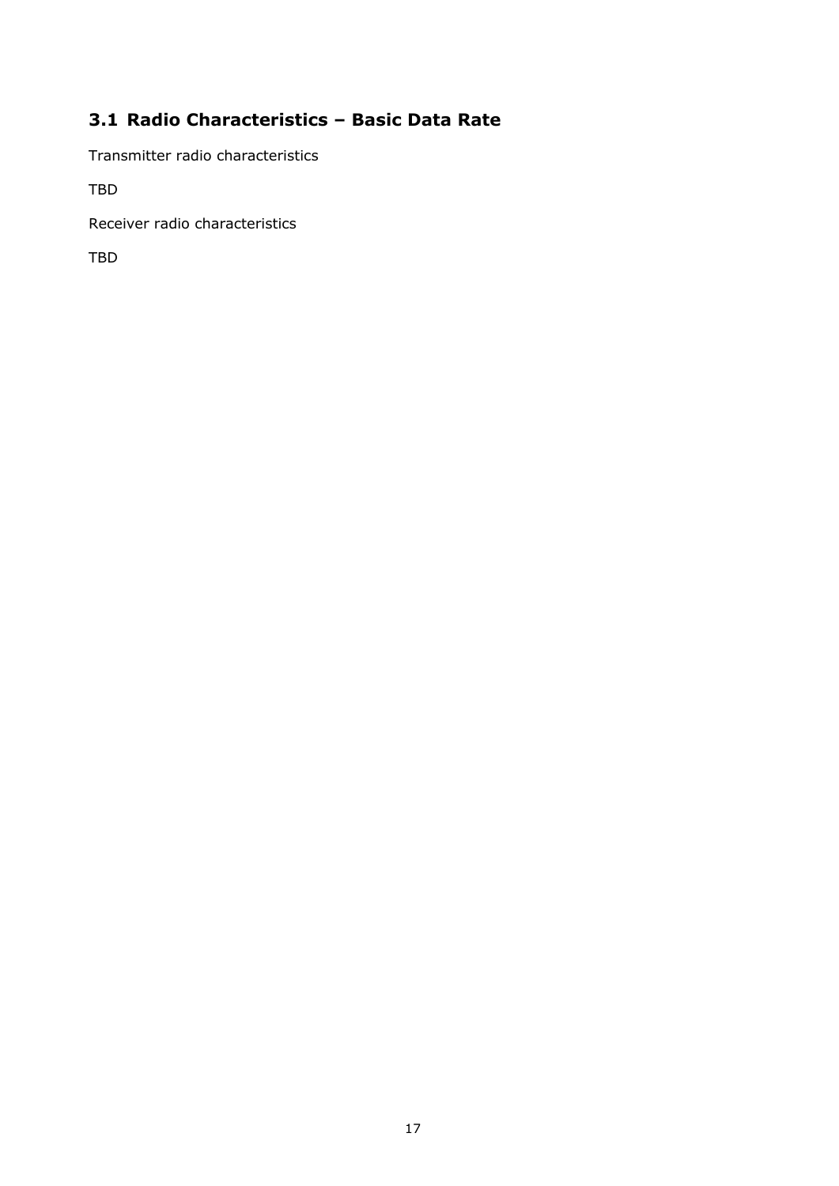# <span id="page-17-0"></span>**3.1 Radio Characteristics – Basic Data Rate**

Transmitter radio characteristics

TBD

Receiver radio characteristics

TBD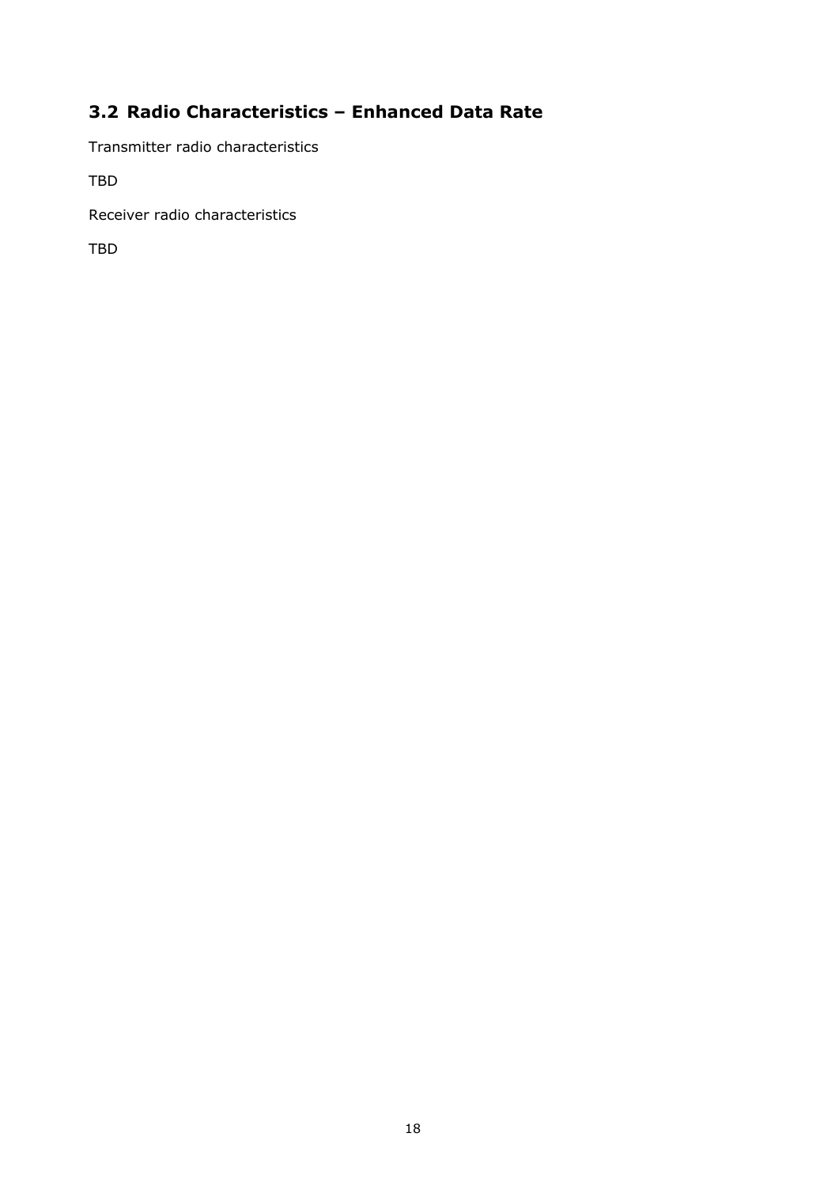# <span id="page-18-0"></span>**3.2 Radio Characteristics – Enhanced Data Rate**

Transmitter radio characteristics

TBD

Receiver radio characteristics

TBD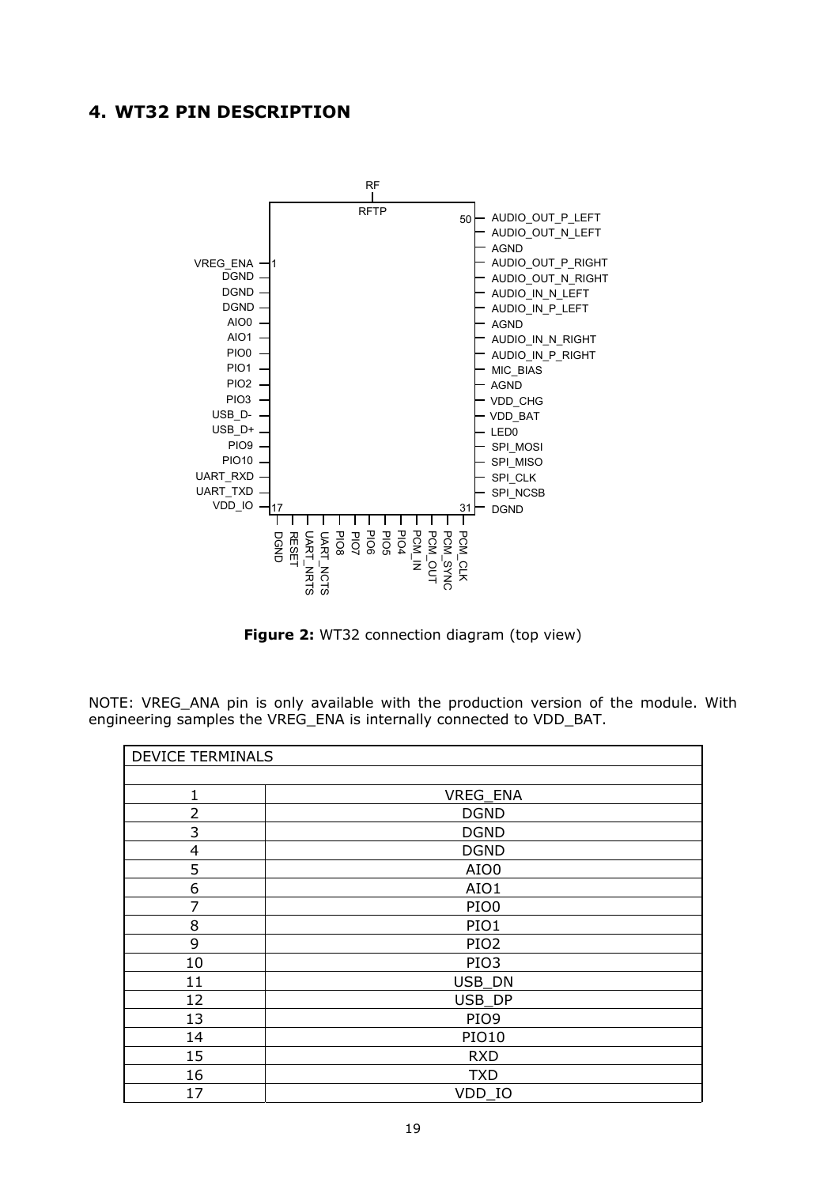# <span id="page-19-0"></span>**4. WT32 PIN DESCRIPTION**



**Figure 2:** WT32 connection diagram (top view)

NOTE: VREG\_ANA pin is only available with the production version of the module. With engineering samples the VREG\_ENA is internally connected to VDD\_BAT.

| <b>DEVICE TERMINALS</b> |                  |
|-------------------------|------------------|
|                         |                  |
| 1                       | VREG_ENA         |
| $\overline{2}$          | <b>DGND</b>      |
| 3                       | <b>DGND</b>      |
| $\overline{4}$          | <b>DGND</b>      |
| 5                       | AIO0             |
| 6                       | AIO1             |
| 7                       | PIO <sub>0</sub> |
| 8                       | PIO1             |
| 9                       | PIO <sub>2</sub> |
| 10                      | PIO <sub>3</sub> |
| 11                      | USB_DN           |
| 12                      | USB_DP           |
| 13                      | PIO9             |
| 14                      | <b>PIO10</b>     |
| 15                      | <b>RXD</b>       |
| 16                      | <b>TXD</b>       |
| 17                      | VDD IO           |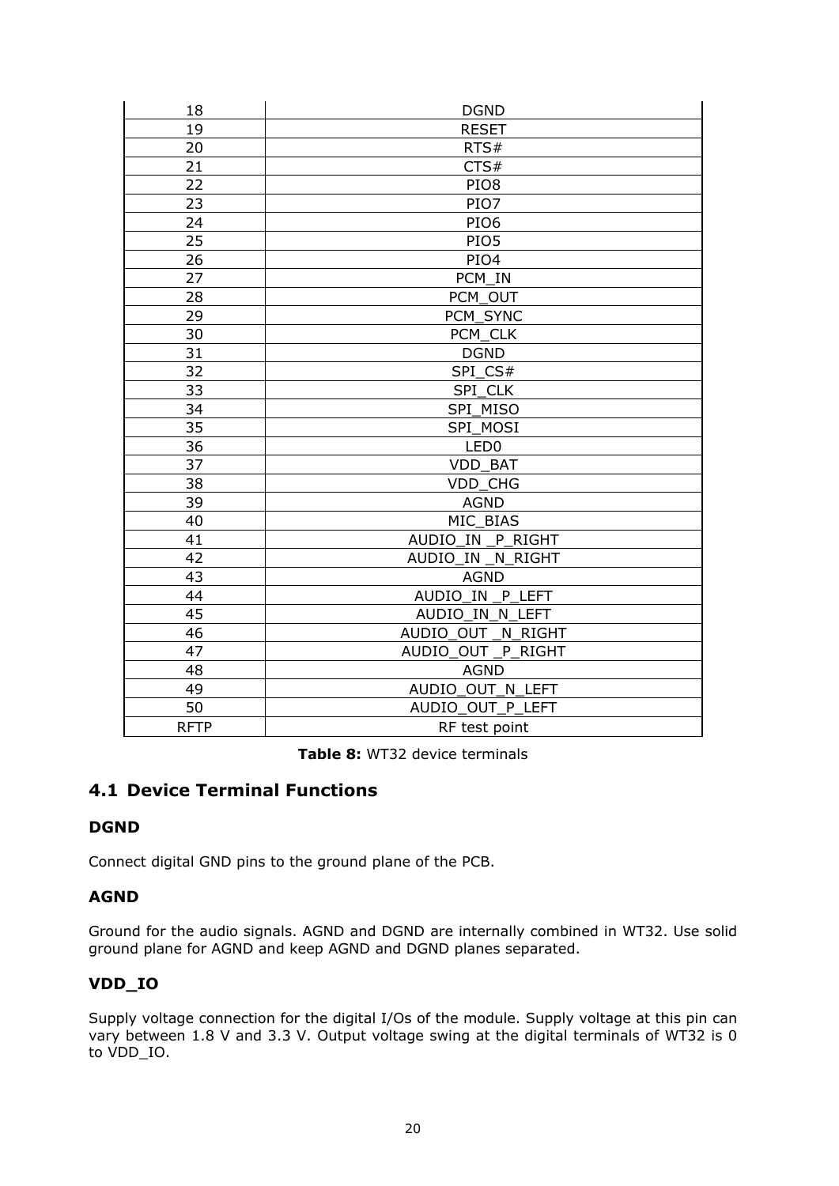| 18          | <b>DGND</b>          |  |  |
|-------------|----------------------|--|--|
| 19          | <b>RESET</b>         |  |  |
| 20          | RTS#                 |  |  |
| 21          | CTS#                 |  |  |
| 22          | PIO <sub>8</sub>     |  |  |
| 23          | PIO7                 |  |  |
| 24          | PIO <sub>6</sub>     |  |  |
| 25          | PIO5                 |  |  |
| 26          | PIO4                 |  |  |
| 27          | PCM_IN               |  |  |
| 28          | PCM OUT              |  |  |
| 29          | PCM_SYNC             |  |  |
| 30          | PCM_CLK              |  |  |
| 31          | <b>DGND</b>          |  |  |
| 32          | SPI_CS#              |  |  |
| 33          | SPI CLK              |  |  |
| 34          | SPI MISO             |  |  |
| 35          | SPI_MOSI             |  |  |
| 36          | LED <sub>0</sub>     |  |  |
| 37          | <b>VDD BAT</b>       |  |  |
| 38          | <b>VDD CHG</b>       |  |  |
| 39          | <b>AGND</b>          |  |  |
| 40          | MIC BIAS             |  |  |
| 41          | AUDIO_IN _P_RIGHT    |  |  |
| 42          | AUDIO IN<br>N_RIGHT  |  |  |
| 43          | <b>AGND</b>          |  |  |
| 44          | AUDIO IN<br>P LEFT   |  |  |
| 45          | AUDIO IN N LEFT      |  |  |
| 46          | AUDIO OUT<br>N RIGHT |  |  |
| 47          | AUDIO OUT P RIGHT    |  |  |
| 48          | <b>AGND</b>          |  |  |
| 49          | AUDIO OUT N LEFT     |  |  |
| 50          | AUDIO OUT P LEFT     |  |  |
| <b>RFTP</b> | RF test point        |  |  |

**Table 8:** WT32 device terminals

# <span id="page-20-0"></span>**4.1 Device Terminal Functions**

# **DGND**

Connect digital GND pins to the ground plane of the PCB.

## **AGND**

Ground for the audio signals. AGND and DGND are internally combined in WT32. Use solid ground plane for AGND and keep AGND and DGND planes separated.

# **VDD\_IO**

Supply voltage connection for the digital I/Os of the module. Supply voltage at this pin can vary between 1.8 V and 3.3 V. Output voltage swing at the digital terminals of WT32 is 0 to VDD\_IO.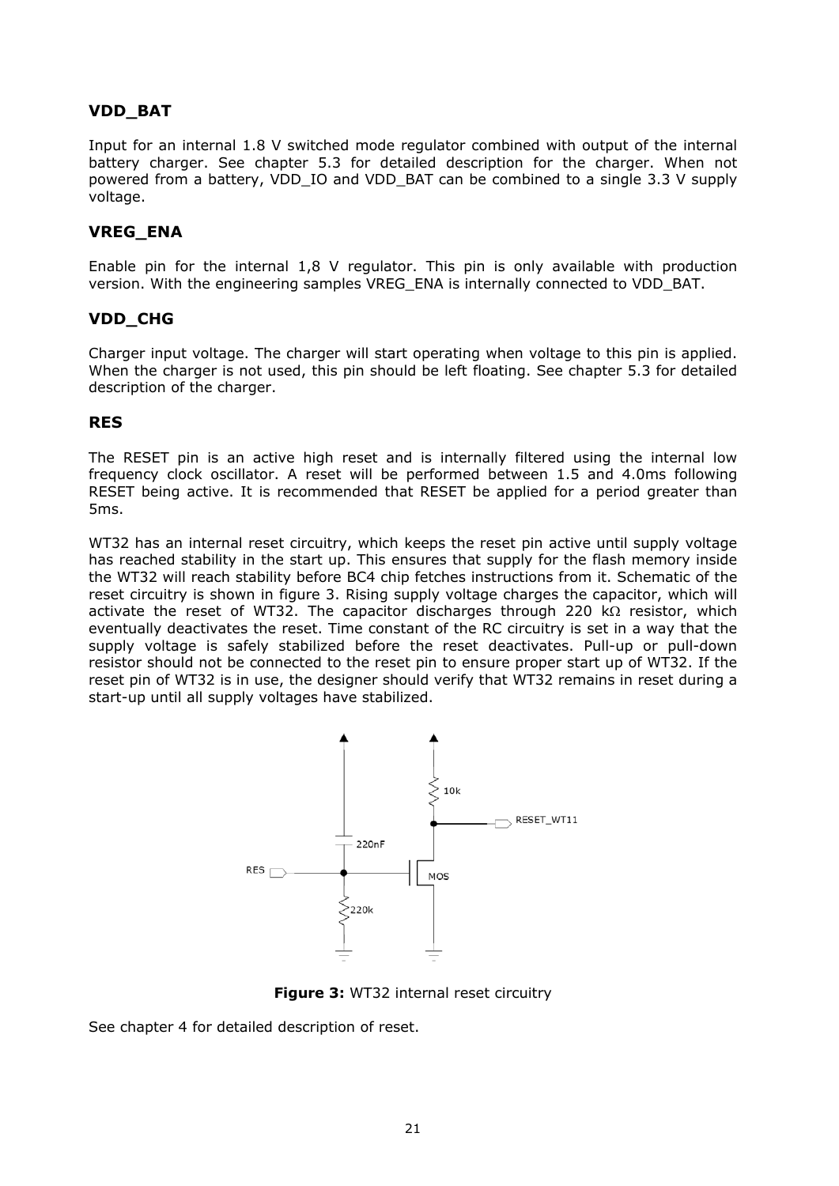## **VDD\_BAT**

Input for an internal 1.8 V switched mode regulator combined with output of the internal battery charger. See chapter [5.3](#page-27-0) for detailed description for the charger. When not powered from a battery, VDD\_IO and VDD\_BAT can be combined to a single 3.3 V supply voltage.

# **VREG\_ENA**

Enable pin for the internal 1,8 V regulator. This pin is only available with production version. With the engineering samples VREG\_ENA is internally connected to VDD\_BAT.

## **VDD\_CHG**

Charger input voltage. The charger will start operating when voltage to this pin is applied. When the charger is not used, this pin should be left floating. See chapter [5.3](#page-27-0) for detailed description of the charger.

### **RES**

The RESET pin is an active high reset and is internally filtered using the internal low frequency clock oscillator. A reset will be performed between 1.5 and 4.0ms following RESET being active. It is recommended that RESET be applied for a period greater than 5ms.

WT32 has an internal reset circuitry, which keeps the reset pin active until supply voltage has reached stability in the start up. This ensures that supply for the flash memory inside the WT32 will reach stability before BC4 chip fetches instructions from it. Schematic of the reset circuitry is shown in figure 3. Rising supply voltage charges the capacitor, which will activate the reset of WT32. The capacitor discharges through 220  $k\Omega$  resistor, which eventually deactivates the reset. Time constant of the RC circuitry is set in a way that the supply voltage is safely stabilized before the reset deactivates. Pull-up or pull-down resistor should not be connected to the reset pin to ensure proper start up of WT32. If the reset pin of WT32 is in use, the designer should verify that WT32 remains in reset during a start-up until all supply voltages have stabilized.



**Figure 3: WT32 internal reset circuitry** 

See chapter 4 for detailed description of reset.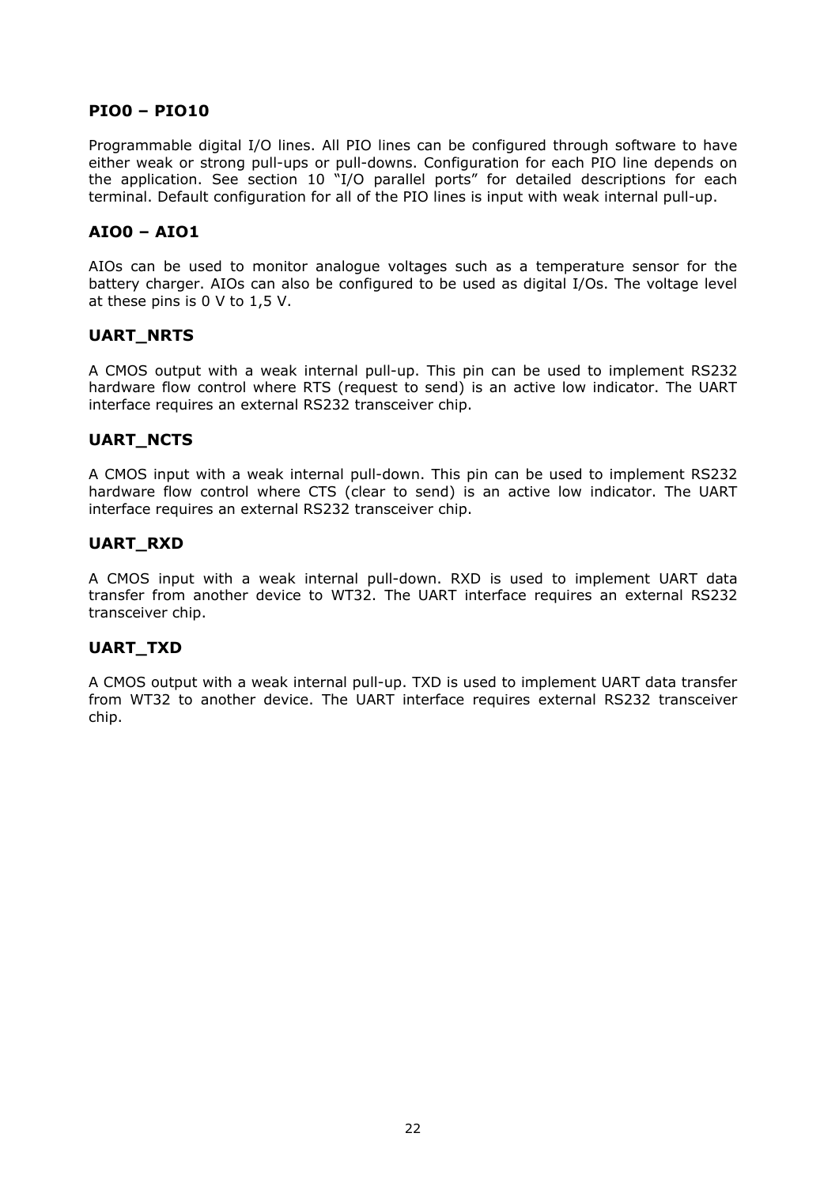#### **PIO0 – PIO10**

Programmable digital I/O lines. All PIO lines can be configured through software to have either weak or strong pull-ups or pull-downs. Configuration for each PIO line depends on the application. See section 10 "I/O parallel ports" for detailed descriptions for each terminal. Default configuration for all of the PIO lines is input with weak internal pull-up.

## **AIO0 – AIO1**

AIOs can be used to monitor analogue voltages such as a temperature sensor for the battery charger. AIOs can also be configured to be used as digital I/Os. The voltage level at these pins is 0 V to 1,5 V.

#### **UART\_NRTS**

A CMOS output with a weak internal pull-up. This pin can be used to implement RS232 hardware flow control where RTS (request to send) is an active low indicator. The UART interface requires an external RS232 transceiver chip.

### **UART\_NCTS**

A CMOS input with a weak internal pull-down. This pin can be used to implement RS232 hardware flow control where CTS (clear to send) is an active low indicator. The UART interface requires an external RS232 transceiver chip.

### **UART\_RXD**

A CMOS input with a weak internal pull-down. RXD is used to implement UART data transfer from another device to WT32. The UART interface requires an external RS232 transceiver chip.

#### **UART\_TXD**

A CMOS output with a weak internal pull-up. TXD is used to implement UART data transfer from WT32 to another device. The UART interface requires external RS232 transceiver chip.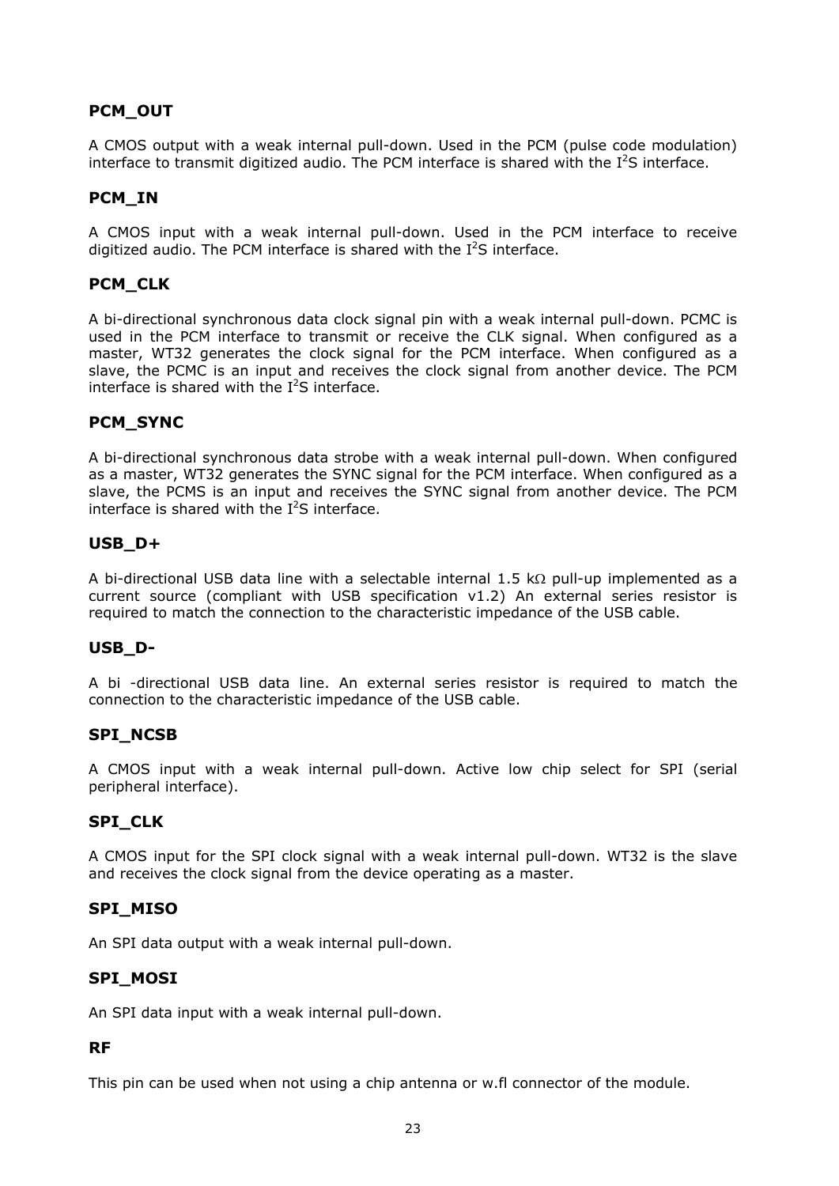# **PCM\_OUT**

A CMOS output with a weak internal pull-down. Used in the PCM (pulse code modulation) interface to transmit digitized audio. The PCM interface is shared with the  $I^2S$  interface.

### **PCM\_IN**

A CMOS input with a weak internal pull-down. Used in the PCM interface to receive digitized audio. The PCM interface is shared with the  $I^2S$  interface.

## **PCM\_CLK**

A bi-directional synchronous data clock signal pin with a weak internal pull-down. PCMC is used in the PCM interface to transmit or receive the CLK signal. When configured as a master, WT32 generates the clock signal for the PCM interface. When configured as a slave, the PCMC is an input and receives the clock signal from another device. The PCM interface is shared with the  $I^2S$  interface.

### **PCM\_SYNC**

A bi-directional synchronous data strobe with a weak internal pull-down. When configured as a master, WT32 generates the SYNC signal for the PCM interface. When configured as a slave, the PCMS is an input and receives the SYNC signal from another device. The PCM interface is shared with the  $I^2S$  interface.

#### **USB\_D+**

A bi-directional USB data line with a selectable internal 1.5 k $\Omega$  pull-up implemented as a current source (compliant with USB specification v1.2) An external series resistor is required to match the connection to the characteristic impedance of the USB cable.

#### **USB\_D-**

A bi -directional USB data line. An external series resistor is required to match the connection to the characteristic impedance of the USB cable.

### **SPI\_NCSB**

A CMOS input with a weak internal pull-down. Active low chip select for SPI (serial peripheral interface).

#### **SPI\_CLK**

A CMOS input for the SPI clock signal with a weak internal pull-down. WT32 is the slave and receives the clock signal from the device operating as a master.

#### **SPI\_MISO**

An SPI data output with a weak internal pull-down.

#### **SPI\_MOSI**

An SPI data input with a weak internal pull-down.

#### **RF**

This pin can be used when not using a chip antenna or w.fl connector of the module.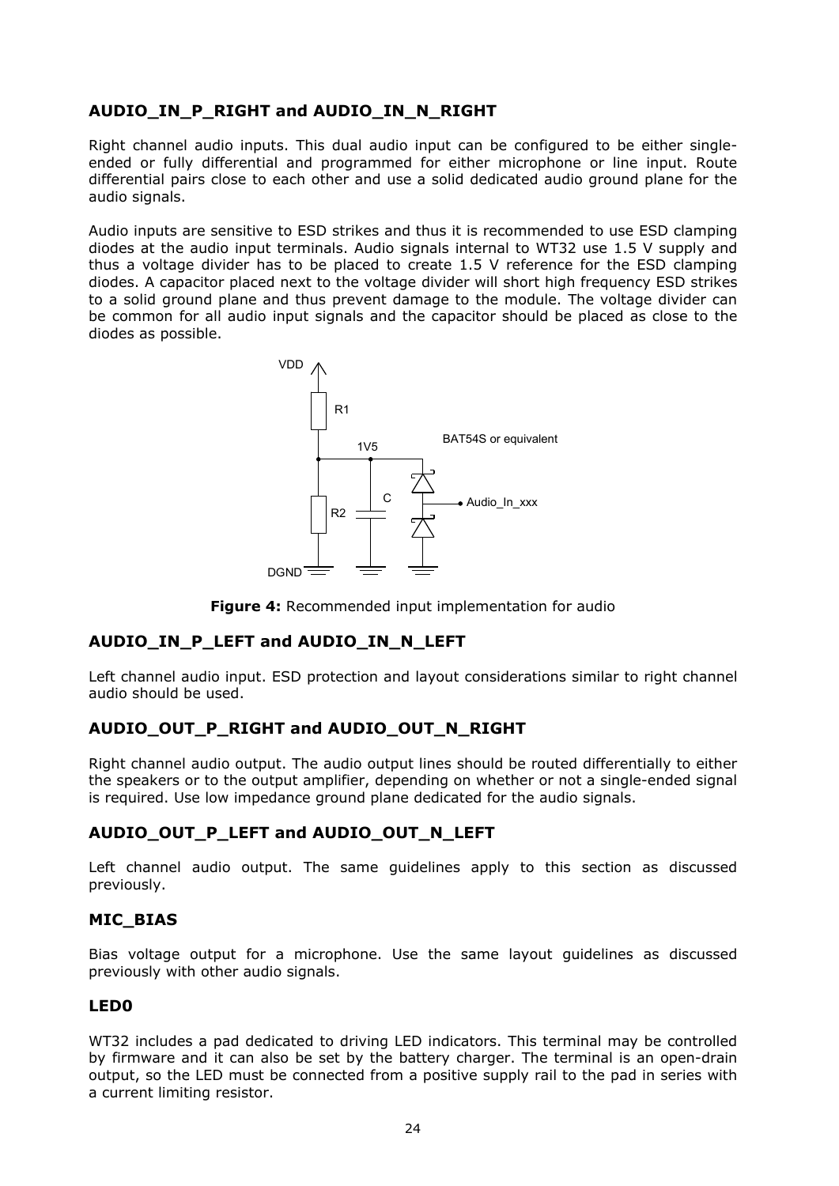# **AUDIO\_IN\_P\_RIGHT and AUDIO\_IN\_N\_RIGHT**

Right channel audio inputs. This dual audio input can be configured to be either singleended or fully differential and programmed for either microphone or line input. Route differential pairs close to each other and use a solid dedicated audio ground plane for the audio signals.

Audio inputs are sensitive to ESD strikes and thus it is recommended to use ESD clamping diodes at the audio input terminals. Audio signals internal to WT32 use 1.5 V supply and thus a voltage divider has to be placed to create 1.5 V reference for the ESD clamping diodes. A capacitor placed next to the voltage divider will short high frequency ESD strikes to a solid ground plane and thus prevent damage to the module. The voltage divider can be common for all audio input signals and the capacitor should be placed as close to the diodes as possible.



**Figure 4:** Recommended input implementation for audio

# **AUDIO\_IN\_P\_LEFT and AUDIO\_IN\_N\_LEFT**

Left channel audio input. ESD protection and layout considerations similar to right channel audio should be used.

## **AUDIO\_OUT\_P\_RIGHT and AUDIO\_OUT\_N\_RIGHT**

Right channel audio output. The audio output lines should be routed differentially to either the speakers or to the output amplifier, depending on whether or not a single-ended signal is required. Use low impedance ground plane dedicated for the audio signals.

## **AUDIO\_OUT\_P\_LEFT and AUDIO\_OUT\_N\_LEFT**

Left channel audio output. The same guidelines apply to this section as discussed previously.

#### **MIC\_BIAS**

Bias voltage output for a microphone. Use the same layout guidelines as discussed previously with other audio signals.

#### **LED0**

WT32 includes a pad dedicated to driving LED indicators. This terminal may be controlled by firmware and it can also be set by the battery charger. The terminal is an open-drain output, so the LED must be connected from a positive supply rail to the pad in series with a current limiting resistor.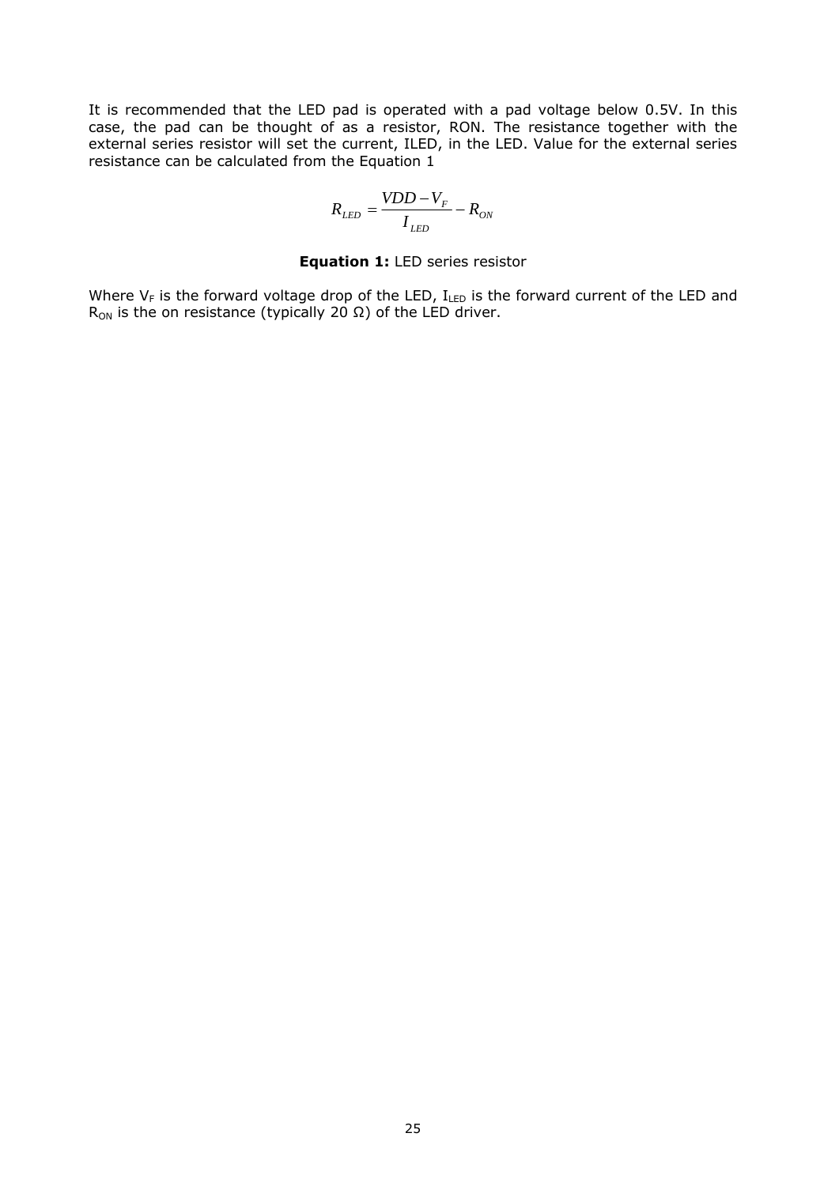It is recommended that the LED pad is operated with a pad voltage below 0.5V. In this case, the pad can be thought of as a resistor, RON. The resistance together with the external series resistor will set the current, ILED, in the LED. Value for the external series resistance can be calculated from the Equation 1

$$
R_{LED} = \frac{VDD - V_F}{I_{LED}} - R_{ON}
$$

#### **Equation 1:** LED series resistor

Where  $V_F$  is the forward voltage drop of the LED,  $I_{LED}$  is the forward current of the LED and R<sub>ON</sub> is the on resistance (typically 20 Ω) of the LED driver.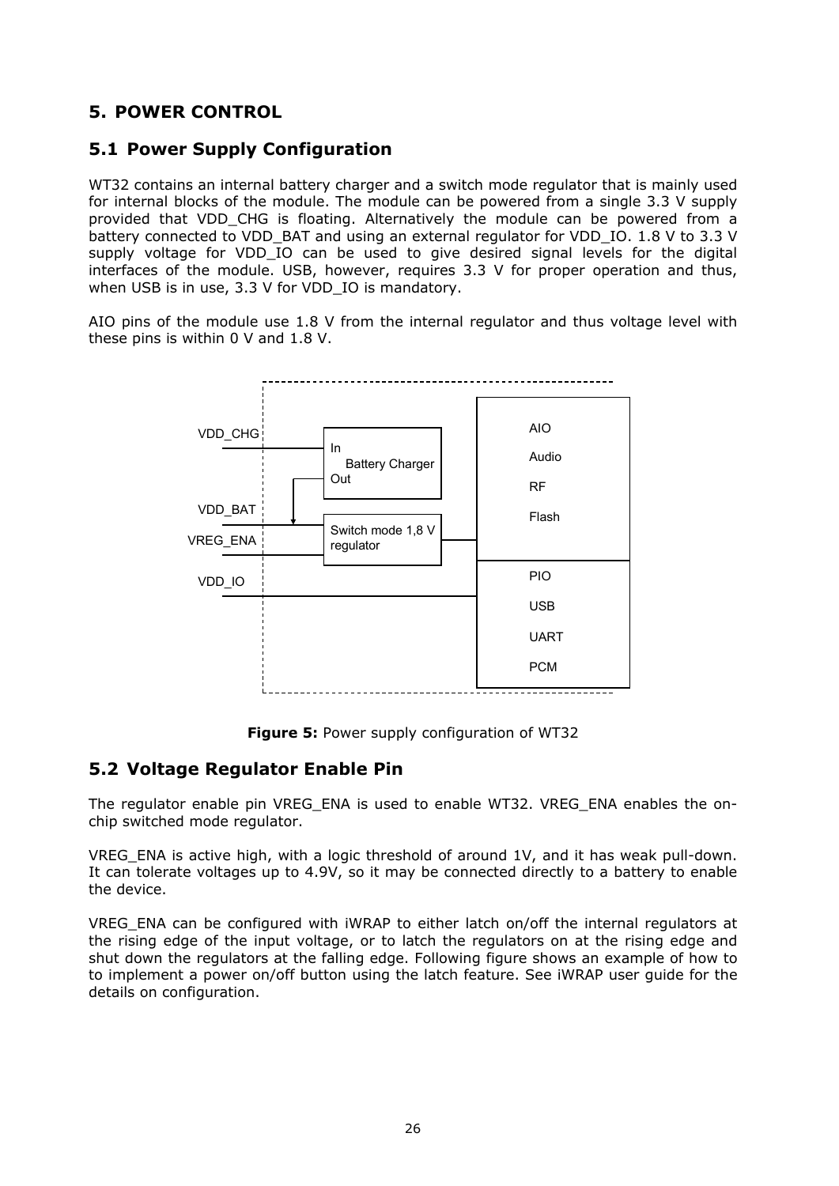# <span id="page-26-0"></span>**5. POWER CONTROL**

# <span id="page-26-1"></span>**5.1 Power Supply Configuration**

WT32 contains an internal battery charger and a switch mode regulator that is mainly used for internal blocks of the module. The module can be powered from a single 3.3 V supply provided that VDD\_CHG is floating. Alternatively the module can be powered from a battery connected to VDD\_BAT and using an external regulator for VDD\_IO. 1.8 V to 3.3 V supply voltage for VDD IO can be used to give desired signal levels for the digital interfaces of the module. USB, however, requires 3.3 V for proper operation and thus, when USB is in use, 3.3 V for VDD IO is mandatory.

AIO pins of the module use 1.8 V from the internal regulator and thus voltage level with these pins is within 0 V and 1.8 V.



**Figure 5:** Power supply configuration of WT32

# <span id="page-26-2"></span>**5.2 Voltage Regulator Enable Pin**

The regulator enable pin VREG\_ENA is used to enable WT32. VREG\_ENA enables the onchip switched mode regulator.

VREG ENA is active high, with a logic threshold of around 1V, and it has weak pull-down. It can tolerate voltages up to 4.9V, so it may be connected directly to a battery to enable the device.

VREG ENA can be configured with iWRAP to either latch on/off the internal regulators at the rising edge of the input voltage, or to latch the regulators on at the rising edge and shut down the regulators at the falling edge. Following figure shows an example of how to to implement a power on/off button using the latch feature. See iWRAP user guide for the details on configuration.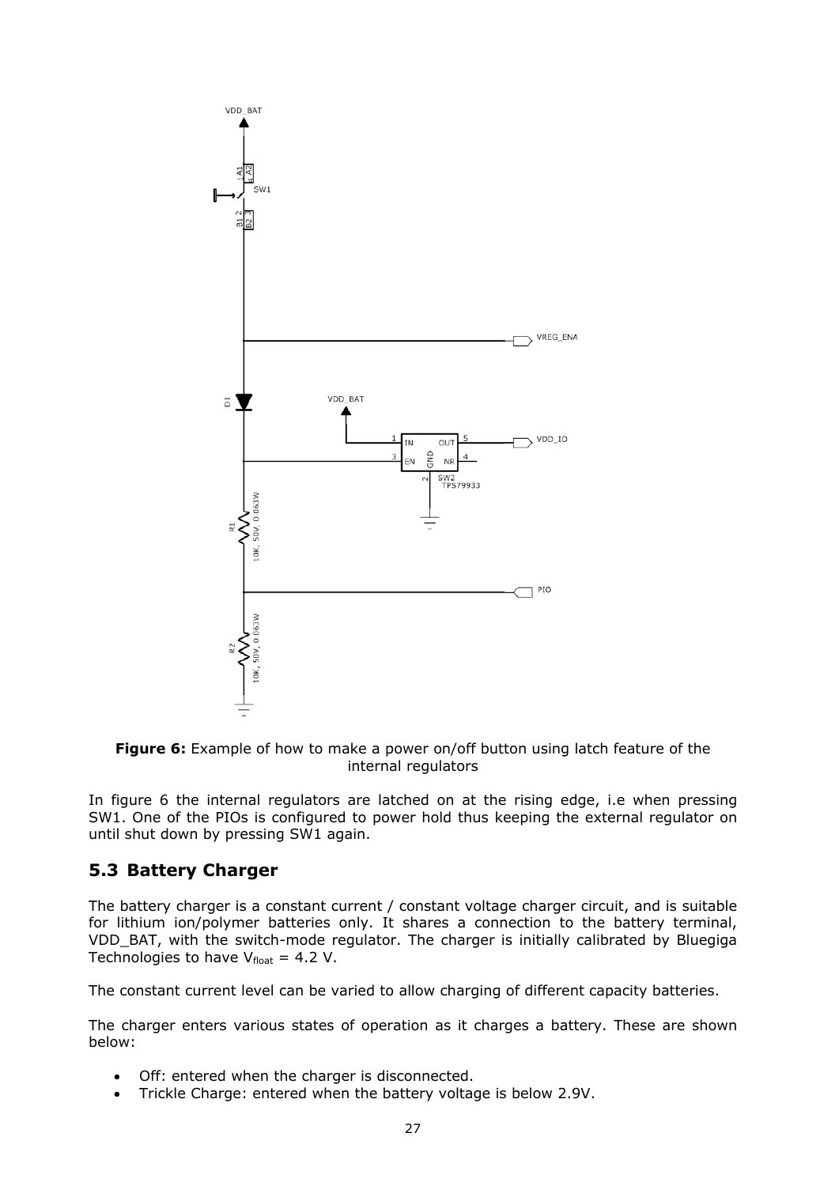

**Figure 6:** Example of how to make a power on/off button using latch feature of the internal regulators

In figure 6 the internal regulators are latched on at the rising edge, i.e when pressing SW1. One of the PIOs is configured to power hold thus keeping the external regulator on until shut down by pressing SW1 again.

# <span id="page-27-0"></span>**5.3 Battery Charger**

The battery charger is a constant current / constant voltage charger circuit, and is suitable for lithium ion/polymer batteries only. It shares a connection to the battery terminal, VDD\_BAT, with the switch-mode regulator. The charger is initially calibrated by Bluegiga Technologies to have  $V_{\text{float}} = 4.2$  V.

The constant current level can be varied to allow charging of different capacity batteries.

The charger enters various states of operation as it charges a battery. These are shown below:

- Off: entered when the charger is disconnected.
- Trickle Charge: entered when the battery voltage is below 2.9V.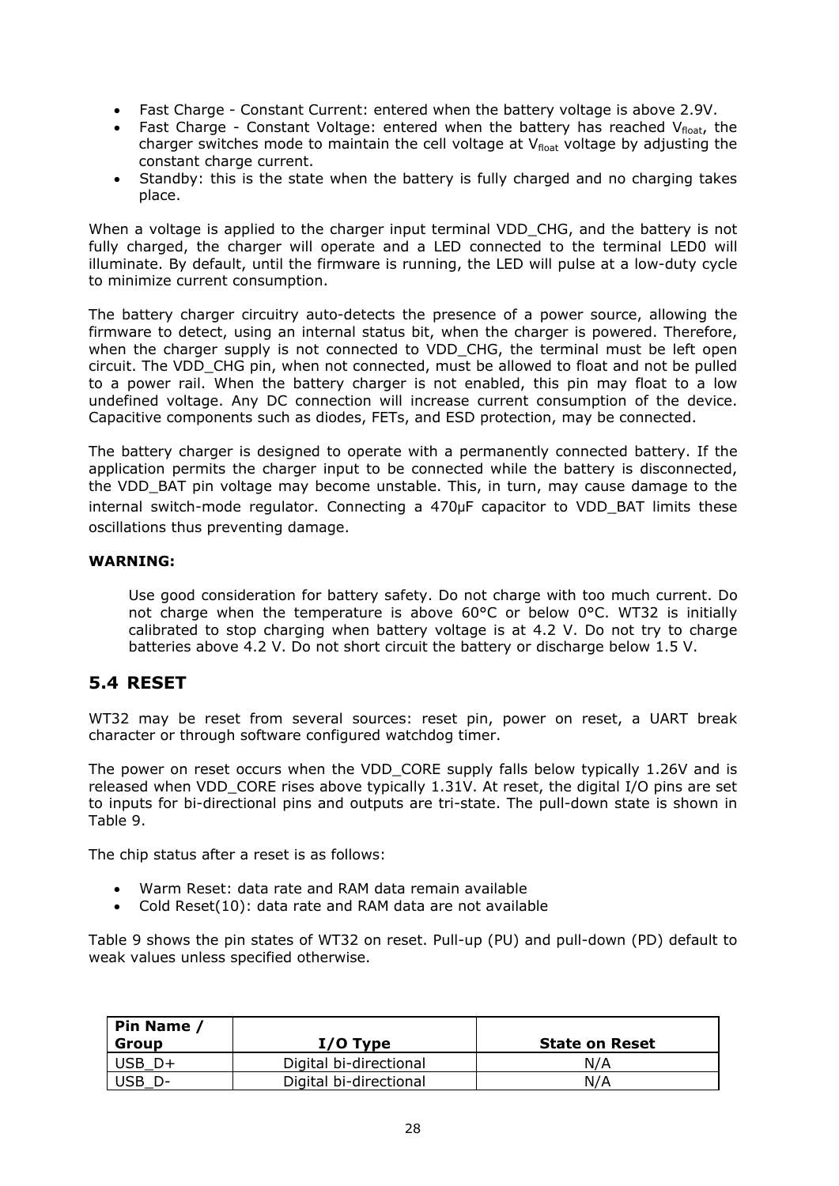- Fast Charge Constant Current: entered when the battery voltage is above 2.9V.
- Fast Charge Constant Voltage: entered when the battery has reached  $V_{float}$ , the charger switches mode to maintain the cell voltage at  $V_{\text{float}}$  voltage by adjusting the constant charge current.
- Standby: this is the state when the battery is fully charged and no charging takes place.

When a voltage is applied to the charger input terminal VDD CHG, and the battery is not fully charged, the charger will operate and a LED connected to the terminal LED0 will illuminate. By default, until the firmware is running, the LED will pulse at a low-duty cycle to minimize current consumption.

The battery charger circuitry auto-detects the presence of a power source, allowing the firmware to detect, using an internal status bit, when the charger is powered. Therefore, when the charger supply is not connected to VDD\_CHG, the terminal must be left open circuit. The VDD\_CHG pin, when not connected, must be allowed to float and not be pulled to a power rail. When the battery charger is not enabled, this pin may float to a low undefined voltage. Any DC connection will increase current consumption of the device. Capacitive components such as diodes, FETs, and ESD protection, may be connected.

The battery charger is designed to operate with a permanently connected battery. If the application permits the charger input to be connected while the battery is disconnected, the VDD BAT pin voltage may become unstable. This, in turn, may cause damage to the internal switch-mode regulator. Connecting a 470μF capacitor to VDD\_BAT limits these oscillations thus preventing damage.

#### **WARNING:**

Use good consideration for battery safety. Do not charge with too much current. Do not charge when the temperature is above  $60^{\circ}$ C or below  $0^{\circ}$ C. WT32 is initially calibrated to stop charging when battery voltage is at 4.2 V. Do not try to charge batteries above 4.2 V. Do not short circuit the battery or discharge below 1.5 V.

# <span id="page-28-0"></span>**5.4 RESET**

WT32 may be reset from several sources: reset pin, power on reset, a UART break character or through software configured watchdog timer.

The power on reset occurs when the VDD\_CORE supply falls below typically 1.26V and is released when VDD\_CORE rises above typically 1.31V. At reset, the digital I/O pins are set to inputs for bi-directional pins and outputs are tri-state. The pull-down state is shown in Table 9.

The chip status after a reset is as follows:

- Warm Reset: data rate and RAM data remain available
- Cold Reset(10): data rate and RAM data are not available

Table 9 shows the pin states of WT32 on reset. Pull-up (PU) and pull-down (PD) default to weak values unless specified otherwise.

| Pin Name<br>Group | $I/O$ Type             | <b>State on Reset</b> |
|-------------------|------------------------|-----------------------|
| JSB -             | Digital bi-directional | N/A                   |
| JSB               | Digital bi-directional | N/A                   |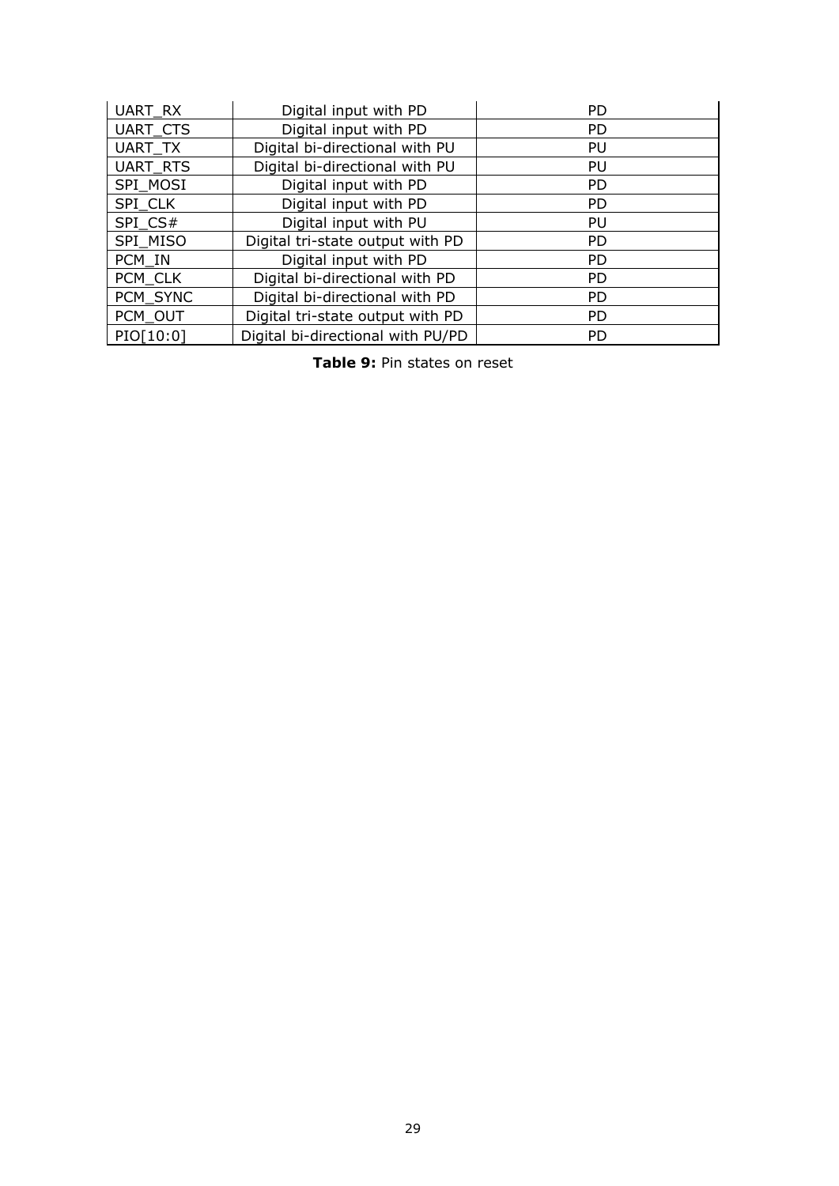| UART_RX         | Digital input with PD             | <b>PD</b> |
|-----------------|-----------------------------------|-----------|
| <b>UART CTS</b> | Digital input with PD             | <b>PD</b> |
| UART TX         | Digital bi-directional with PU    | PU        |
| UART_RTS        | Digital bi-directional with PU    | PU        |
| SPI_MOSI        | Digital input with PD             | <b>PD</b> |
| SPI CLK         | Digital input with PD             | <b>PD</b> |
| SPI CS#         | Digital input with PU             | PU        |
| SPI MISO        | Digital tri-state output with PD  | <b>PD</b> |
| PCM IN          | Digital input with PD             | <b>PD</b> |
| PCM CLK         | Digital bi-directional with PD    | <b>PD</b> |
| PCM SYNC        | Digital bi-directional with PD    | <b>PD</b> |
| PCM_OUT         | Digital tri-state output with PD  | <b>PD</b> |
| PIO[10:0]       | Digital bi-directional with PU/PD | <b>PD</b> |

**Table 9:** Pin states on reset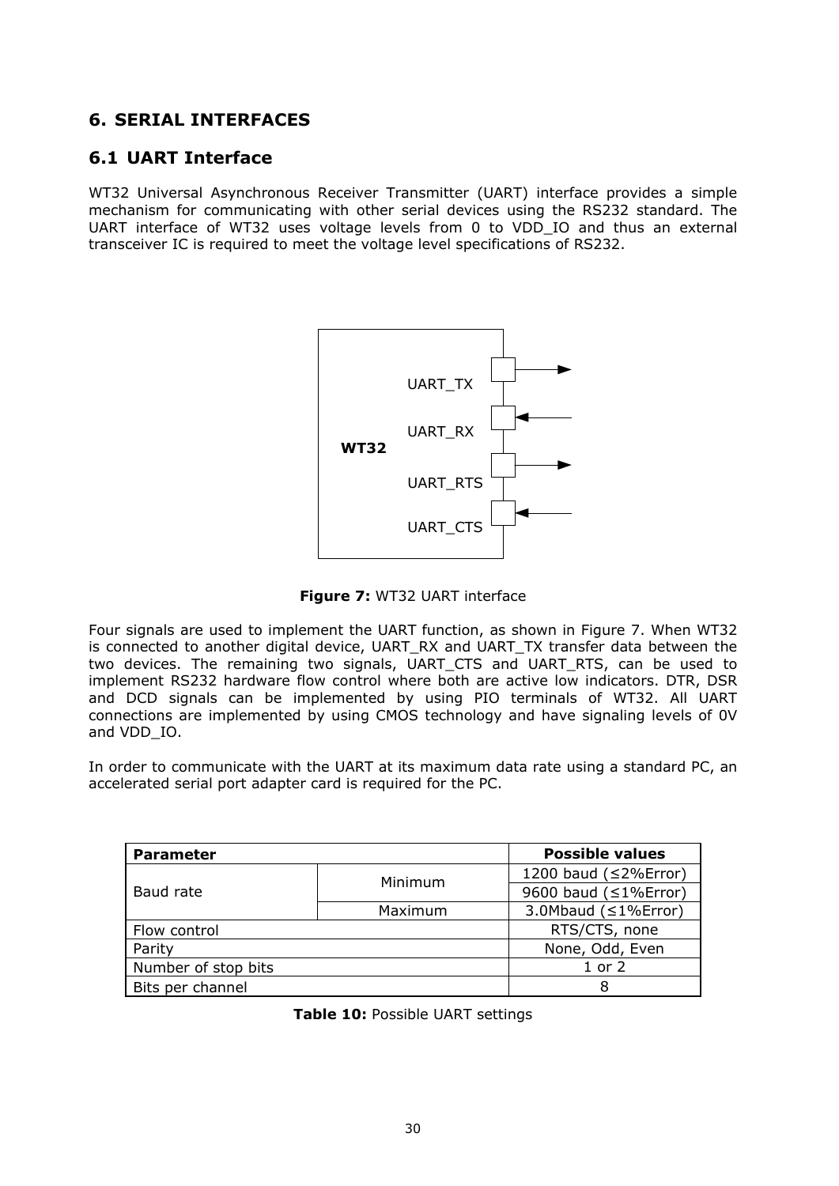# <span id="page-30-0"></span>**6. SERIAL INTERFACES**

# <span id="page-30-1"></span>**6.1 UART Interface**

WT32 Universal Asynchronous Receiver Transmitter (UART) interface provides a simple mechanism for communicating with other serial devices using the RS232 standard. The UART interface of WT32 uses voltage levels from 0 to VDD IO and thus an external transceiver IC is required to meet the voltage level specifications of RS232.



**Figure 7:** WT32 UART interface

Four signals are used to implement the UART function, as shown in Figure 7. When WT32 is connected to another digital device, UART\_RX and UART\_TX transfer data between the two devices. The remaining two signals, UART\_CTS and UART\_RTS, can be used to implement RS232 hardware flow control where both are active low indicators. DTR, DSR and DCD signals can be implemented by using PIO terminals of WT32. All UART connections are implemented by using CMOS technology and have signaling levels of 0V and VDD\_IO.

In order to communicate with the UART at its maximum data rate using a standard PC, an accelerated serial port adapter card is required for the PC.

| <b>Parameter</b>    |         | <b>Possible values</b> |
|---------------------|---------|------------------------|
|                     | Minimum | 1200 baud (≤2%Error)   |
| Baud rate           |         | 9600 baud (≤1%Error)   |
|                     | Maximum | 3.0Mbaud (≤1%Error)    |
| Flow control        |         | RTS/CTS, none          |
| Parity              |         | None, Odd, Even        |
| Number of stop bits |         | $1$ or $2$             |
| Bits per channel    |         | 8                      |

**Table 10:** Possible UART settings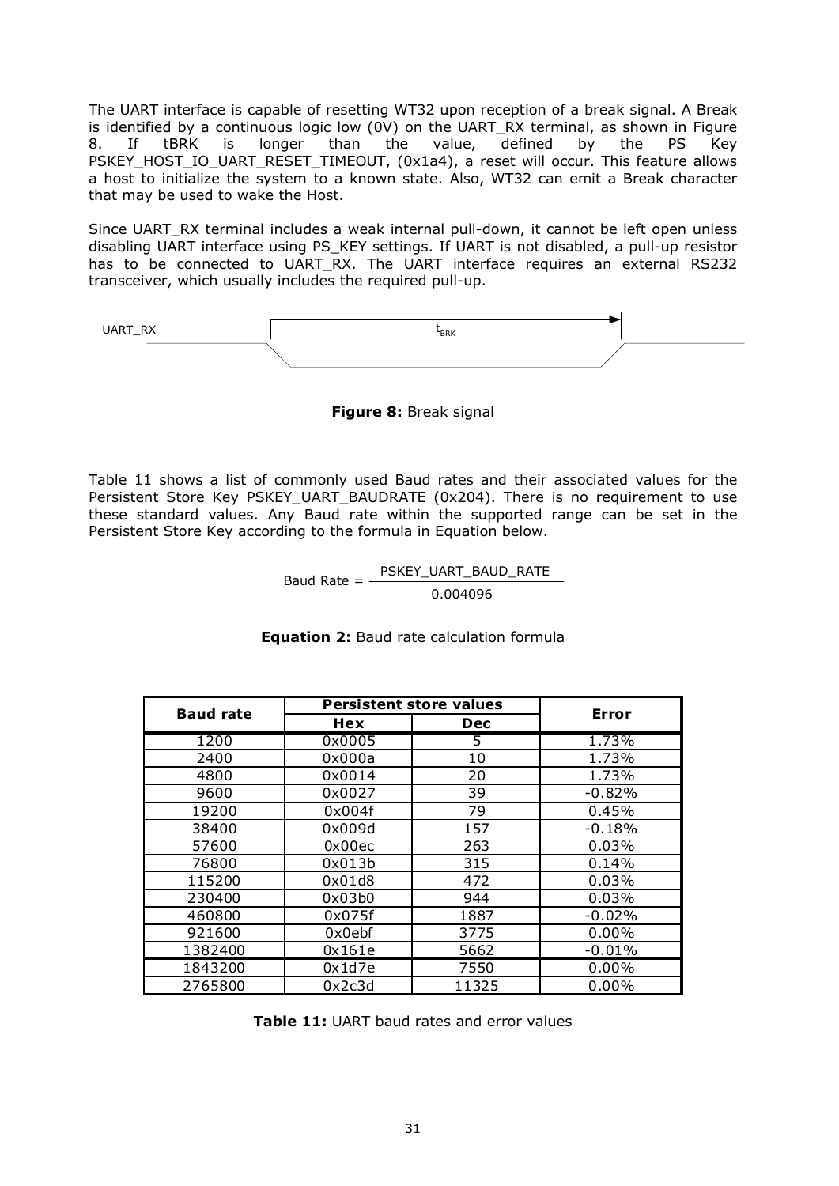The UART interface is capable of resetting WT32 upon reception of a break signal. A Break is identified by a continuous logic low (0V) on the UART\_RX terminal, as shown in Figure 8. If tBRK is longer than the value, defined by the PS Key PSKEY\_HOST\_IO\_UART\_RESET\_TIMEOUT, (0x1a4), a reset will occur. This feature allows a host to initialize the system to a known state. Also, WT32 can emit a Break character that may be used to wake the Host.

Since UART\_RX terminal includes a weak internal pull-down, it cannot be left open unless disabling UART interface using PS\_KEY settings. If UART is not disabled, a pull-up resistor has to be connected to UART RX. The UART interface requires an external RS232 transceiver, which usually includes the required pull-up.

 $\begin{array}{ccc} \texttt{UART\_RX} \end{array}$   $\begin{array}{ccc} \texttt{UART\_RX} \end{array}$ 

**Figure 8:** Break signal

Table 11 shows a list of commonly used Baud rates and their associated values for the Persistent Store Key PSKEY\_UART\_BAUDRATE (0x204). There is no requirement to use these standard values. Any Baud rate within the supported range can be set in the Persistent Store Key according to the formula in Equation below.

> Baud Rate = PSKEY\_UART\_BAUD\_RATE 0.004096

| <b>Baud rate</b> |        | <b>Persistent store values</b> | Error    |
|------------------|--------|--------------------------------|----------|
|                  | Hex    | <b>Dec</b>                     |          |
| 1200             | 0x0005 | 5                              | 1.73%    |
| 2400             | 0x000a | 10                             | 1.73%    |
| 4800             | 0x0014 | 20                             | 1.73%    |
| 9600             | 0x0027 | 39                             | $-0.82%$ |
| 19200            | 0x004f | 79                             | 0.45%    |
| 38400            | 0x009d | 157                            | $-0.18%$ |
| 57600            | 0x00ec | 263                            | 0.03%    |
| 76800            | 0x013b | 315                            | 0.14%    |
| 115200           | 0x01d8 | 472                            | 0.03%    |
| 230400           | 0x03b0 | 944                            | 0.03%    |
| 460800           | 0x075f | 1887                           | $-0.02%$ |
| 921600           | 0x0ebf | 3775                           | $0.00\%$ |
| 1382400          | 0x161e | 5662                           | $-0.01%$ |
| 1843200          | 0x1d7e | 7550                           | $0.00\%$ |
| 2765800          | 0x2c3d | 11325                          | 0.00%    |

#### **Equation 2:** Baud rate calculation formula

**Table 11:** UART baud rates and error values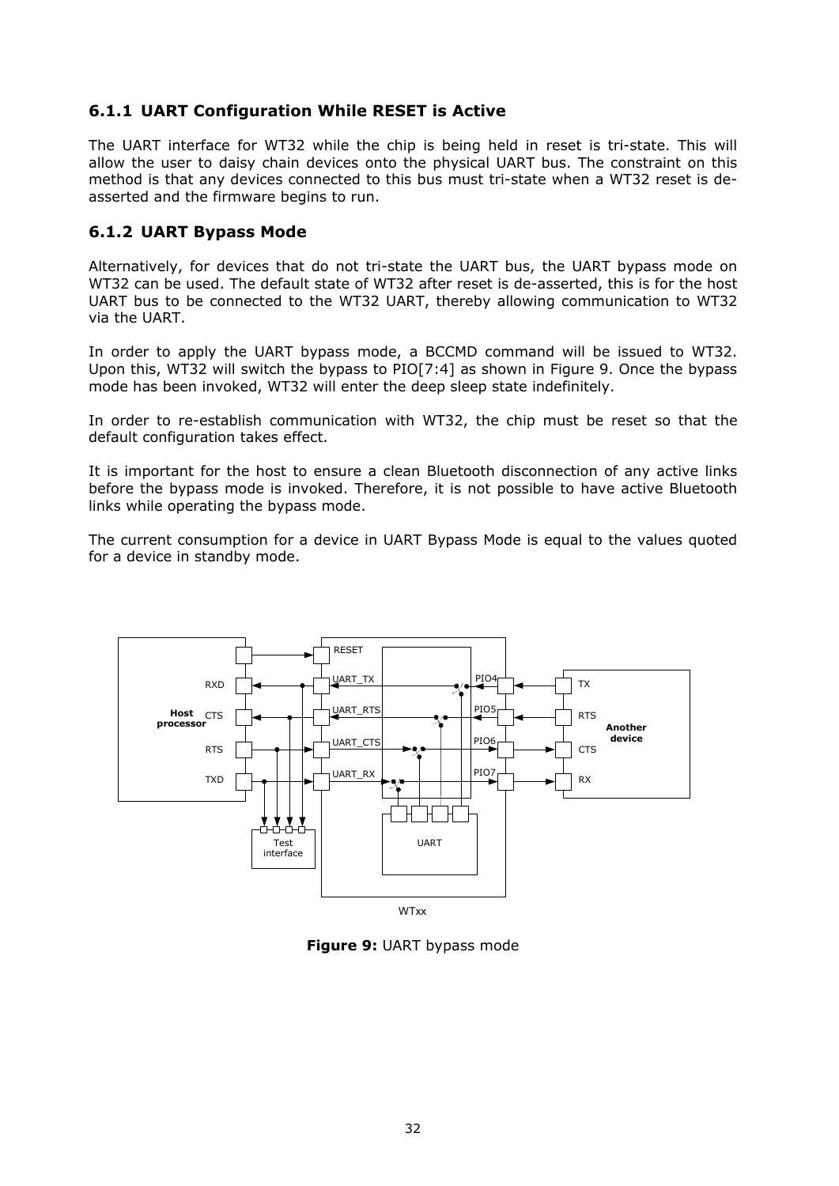## <span id="page-32-0"></span>**6.1.1 UART Configuration While RESET is Active**

The UART interface for WT32 while the chip is being held in reset is tri-state. This will allow the user to daisy chain devices onto the physical UART bus. The constraint on this method is that any devices connected to this bus must tri-state when a WT32 reset is deasserted and the firmware begins to run.

## <span id="page-32-1"></span>**6.1.2 UART Bypass Mode**

Alternatively, for devices that do not tri-state the UART bus, the UART bypass mode on WT32 can be used. The default state of WT32 after reset is de-asserted, this is for the host UART bus to be connected to the WT32 UART, thereby allowing communication to WT32 via the UART.

In order to apply the UART bypass mode, a BCCMD command will be issued to WT32. Upon this, WT32 will switch the bypass to PIO[7:4] as shown in Figure 9. Once the bypass mode has been invoked, WT32 will enter the deep sleep state indefinitely.

In order to re-establish communication with WT32, the chip must be reset so that the default configuration takes effect.

It is important for the host to ensure a clean Bluetooth disconnection of any active links before the bypass mode is invoked. Therefore, it is not possible to have active Bluetooth links while operating the bypass mode.

The current consumption for a device in UART Bypass Mode is equal to the values quoted for a device in standby mode.



**Figure 9:** UART bypass mode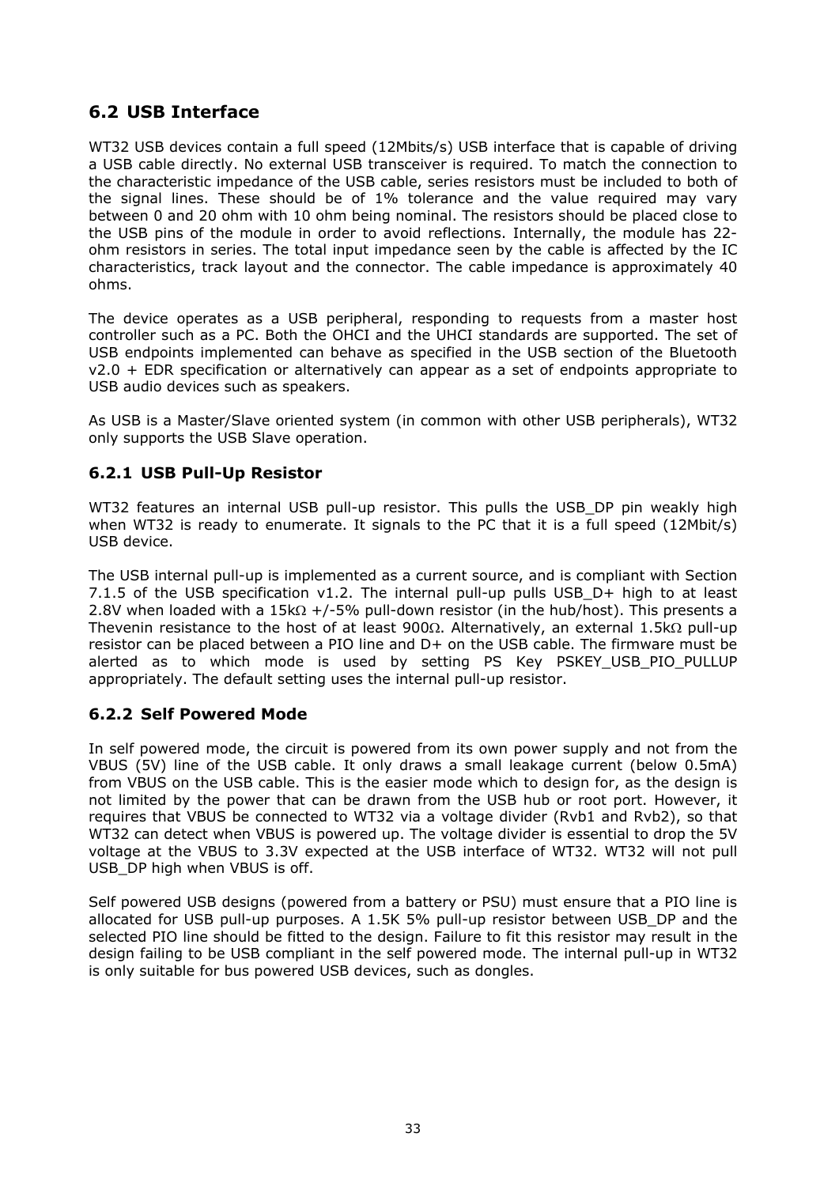# **6.2 USB Interface**

<span id="page-33-0"></span>WT32 USB devices contain a full speed (12Mbits/s) USB interface that is capable of driving a USB cable directly. No external USB transceiver is required. To match the connection to the characteristic impedance of the USB cable, series resistors must be included to both of the signal lines. These should be of 1% tolerance and the value required may vary between 0 and 20 ohm with 10 ohm being nominal. The resistors should be placed close to the USB pins of the module in order to avoid reflections. Internally, the module has 22 ohm resistors in series. The total input impedance seen by the cable is affected by the IC characteristics, track layout and the connector. The cable impedance is approximately 40 ohms.

The device operates as a USB peripheral, responding to requests from a master host controller such as a PC. Both the OHCI and the UHCI standards are supported. The set of USB endpoints implemented can behave as specified in the USB section of the Bluetooth  $v2.0 + EDR$  specification or alternatively can appear as a set of endpoints appropriate to USB audio devices such as speakers.

As USB is a Master/Slave oriented system (in common with other USB peripherals), WT32 only supports the USB Slave operation.

# <span id="page-33-1"></span>**6.2.1 USB Pull-Up Resistor**

WT32 features an internal USB pull-up resistor. This pulls the USB DP pin weakly high when WT32 is ready to enumerate. It signals to the PC that it is a full speed (12Mbit/s) USB device.

The USB internal pull-up is implemented as a current source, and is compliant with Section 7.1.5 of the USB specification v1.2. The internal pull-up pulls USB\_D+ high to at least 2.8V when loaded with a 15k $\Omega$  +/-5% pull-down resistor (in the hub/host). This presents a Thevenin resistance to the host of at least  $900\Omega$ . Alternatively, an external 1.5k $\Omega$  pull-up resistor can be placed between a PIO line and D+ on the USB cable. The firmware must be alerted as to which mode is used by setting PS Key PSKEY USB PIO PULLUP appropriately. The default setting uses the internal pull-up resistor.

## <span id="page-33-2"></span>**6.2.2 Self Powered Mode**

In self powered mode, the circuit is powered from its own power supply and not from the VBUS (5V) line of the USB cable. It only draws a small leakage current (below 0.5mA) from VBUS on the USB cable. This is the easier mode which to design for, as the design is not limited by the power that can be drawn from the USB hub or root port. However, it requires that VBUS be connected to WT32 via a voltage divider (Rvb1 and Rvb2), so that WT32 can detect when VBUS is powered up. The voltage divider is essential to drop the 5V voltage at the VBUS to 3.3V expected at the USB interface of WT32. WT32 will not pull USB\_DP high when VBUS is off.

Self powered USB designs (powered from a battery or PSU) must ensure that a PIO line is allocated for USB pull-up purposes. A 1.5K 5% pull-up resistor between USB\_DP and the selected PIO line should be fitted to the design. Failure to fit this resistor may result in the design failing to be USB compliant in the self powered mode. The internal pull-up in WT32 is only suitable for bus powered USB devices, such as dongles.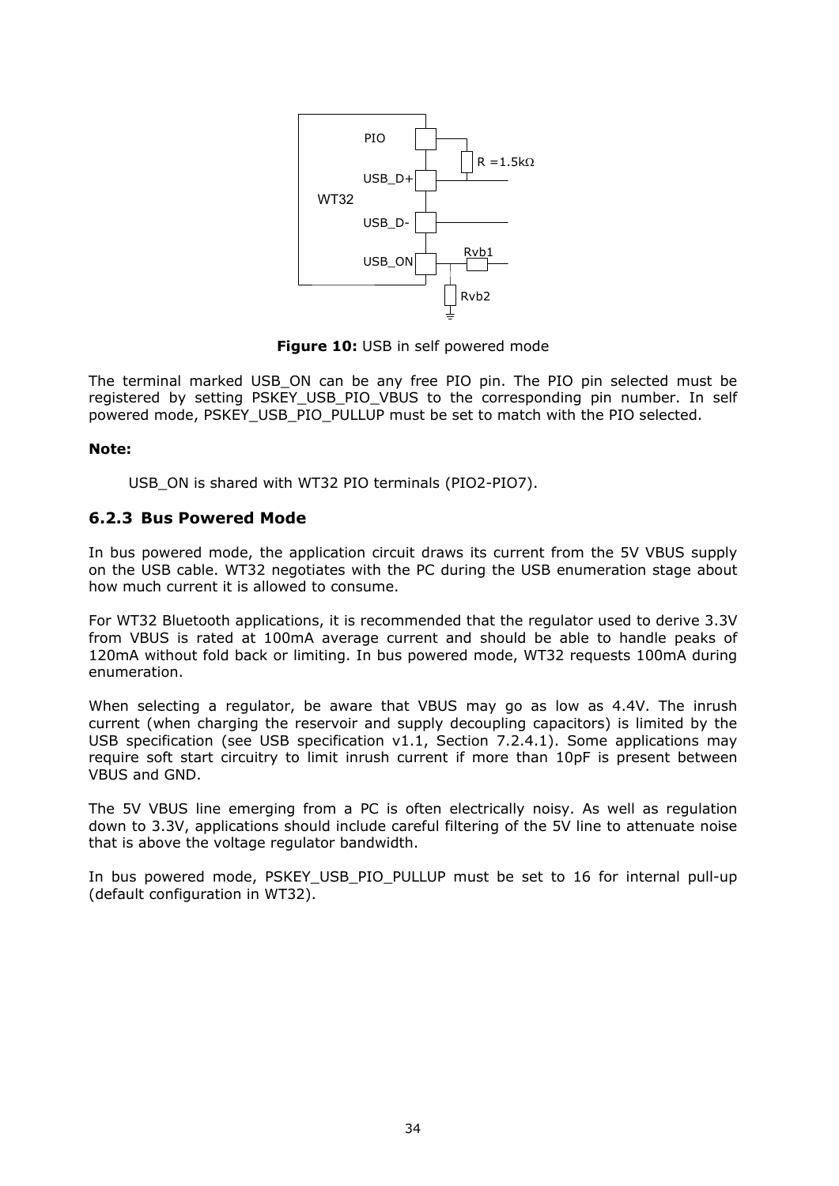

**Figure 10:** USB in self powered mode

The terminal marked USB\_ON can be any free PIO pin. The PIO pin selected must be registered by setting PSKEY USB PIO VBUS to the corresponding pin number. In self powered mode, PSKEY\_USB\_PIO\_PULLUP must be set to match with the PIO selected.

#### **Note:**

USB\_ON is shared with WT32 PIO terminals (PIO2-PIO7).

### **6.2.3 Bus Powered Mode**

<span id="page-34-0"></span>In bus powered mode, the application circuit draws its current from the 5V VBUS supply on the USB cable. WT32 negotiates with the PC during the USB enumeration stage about how much current it is allowed to consume.

For WT32 Bluetooth applications, it is recommended that the regulator used to derive 3.3V from VBUS is rated at 100mA average current and should be able to handle peaks of 120mA without fold back or limiting. In bus powered mode, WT32 requests 100mA during enumeration.

When selecting a regulator, be aware that VBUS may go as low as 4.4V. The inrush current (when charging the reservoir and supply decoupling capacitors) is limited by the USB specification (see USB specification v1.1, Section 7.2.4.1). Some applications may require soft start circuitry to limit inrush current if more than 10pF is present between VBUS and GND.

The 5V VBUS line emerging from a PC is often electrically noisy. As well as regulation down to 3.3V, applications should include careful filtering of the 5V line to attenuate noise that is above the voltage regulator bandwidth.

In bus powered mode, PSKEY\_USB\_PIO\_PULLUP must be set to 16 for internal pull-up (default configuration in WT32).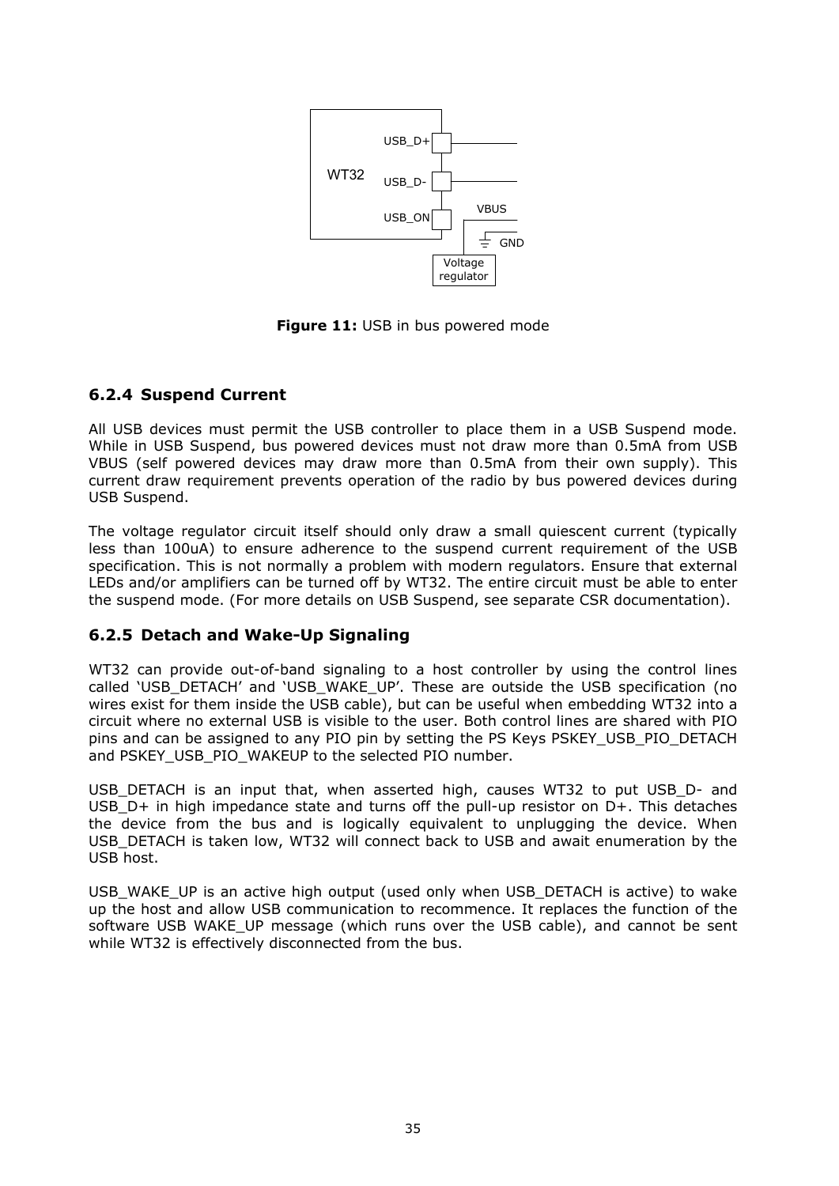

**Figure 11:** USB in bus powered mode

# <span id="page-35-0"></span>**6.2.4 Suspend Current**

All USB devices must permit the USB controller to place them in a USB Suspend mode. While in USB Suspend, bus powered devices must not draw more than 0.5mA from USB VBUS (self powered devices may draw more than 0.5mA from their own supply). This current draw requirement prevents operation of the radio by bus powered devices during USB Suspend.

The voltage regulator circuit itself should only draw a small quiescent current (typically less than 100uA) to ensure adherence to the suspend current requirement of the USB specification. This is not normally a problem with modern regulators. Ensure that external LEDs and/or amplifiers can be turned off by WT32. The entire circuit must be able to enter the suspend mode. (For more details on USB Suspend, see separate CSR documentation).

#### <span id="page-35-1"></span>**6.2.5 Detach and Wake-Up Signaling**

WT32 can provide out-of-band signaling to a host controller by using the control lines called 'USB\_DETACH' and 'USB\_WAKE\_UP'. These are outside the USB specification (no wires exist for them inside the USB cable), but can be useful when embedding WT32 into a circuit where no external USB is visible to the user. Both control lines are shared with PIO pins and can be assigned to any PIO pin by setting the PS Keys PSKEY\_USB\_PIO\_DETACH and PSKEY\_USB\_PIO\_WAKEUP to the selected PIO number.

USB DETACH is an input that, when asserted high, causes WT32 to put USB D- and USB  $D+$  in high impedance state and turns off the pull-up resistor on  $D+$ . This detaches the device from the bus and is logically equivalent to unplugging the device. When USB\_DETACH is taken low, WT32 will connect back to USB and await enumeration by the USB host.

USB\_WAKE\_UP is an active high output (used only when USB\_DETACH is active) to wake up the host and allow USB communication to recommence. It replaces the function of the software USB WAKE\_UP message (which runs over the USB cable), and cannot be sent while WT32 is effectively disconnected from the bus.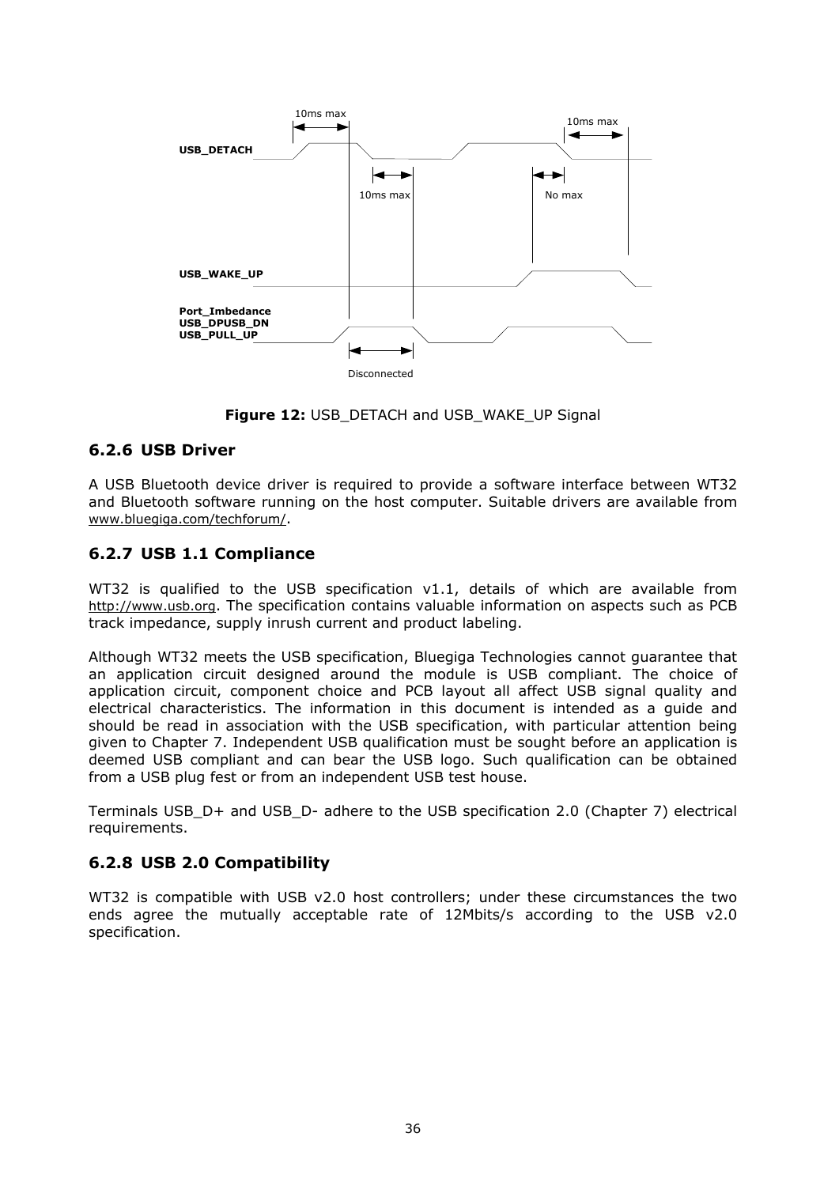

**Figure 12: USB DETACH and USB WAKE UP Signal** 

#### **6.2.6 USB Driver**

A USB Bluetooth device driver is required to provide a software interface between WT32 and Bluetooth software running on the host computer. Suitable drivers are available from [www.bluegiga.com/techforum/](http://www.bluegiga.com/techforum/).

#### **6.2.7 USB 1.1 Compliance**

WT32 is qualified to the USB specification v1.1, details of which are available from [http://www.usb.org](http://www.usb.org/). The specification contains valuable information on aspects such as PCB track impedance, supply inrush current and product labeling.

Although WT32 meets the USB specification, Bluegiga Technologies cannot guarantee that an application circuit designed around the module is USB compliant. The choice of application circuit, component choice and PCB layout all affect USB signal quality and electrical characteristics. The information in this document is intended as a guide and should be read in association with the USB specification, with particular attention being given to Chapter 7. Independent USB qualification must be sought before an application is deemed USB compliant and can bear the USB logo. Such qualification can be obtained from a USB plug fest or from an independent USB test house.

Terminals USB\_D+ and USB\_D- adhere to the USB specification 2.0 (Chapter 7) electrical requirements.

#### **6.2.8 USB 2.0 Compatibility**

WT32 is compatible with USB v2.0 host controllers; under these circumstances the two ends agree the mutually acceptable rate of 12Mbits/s according to the USB v2.0 specification.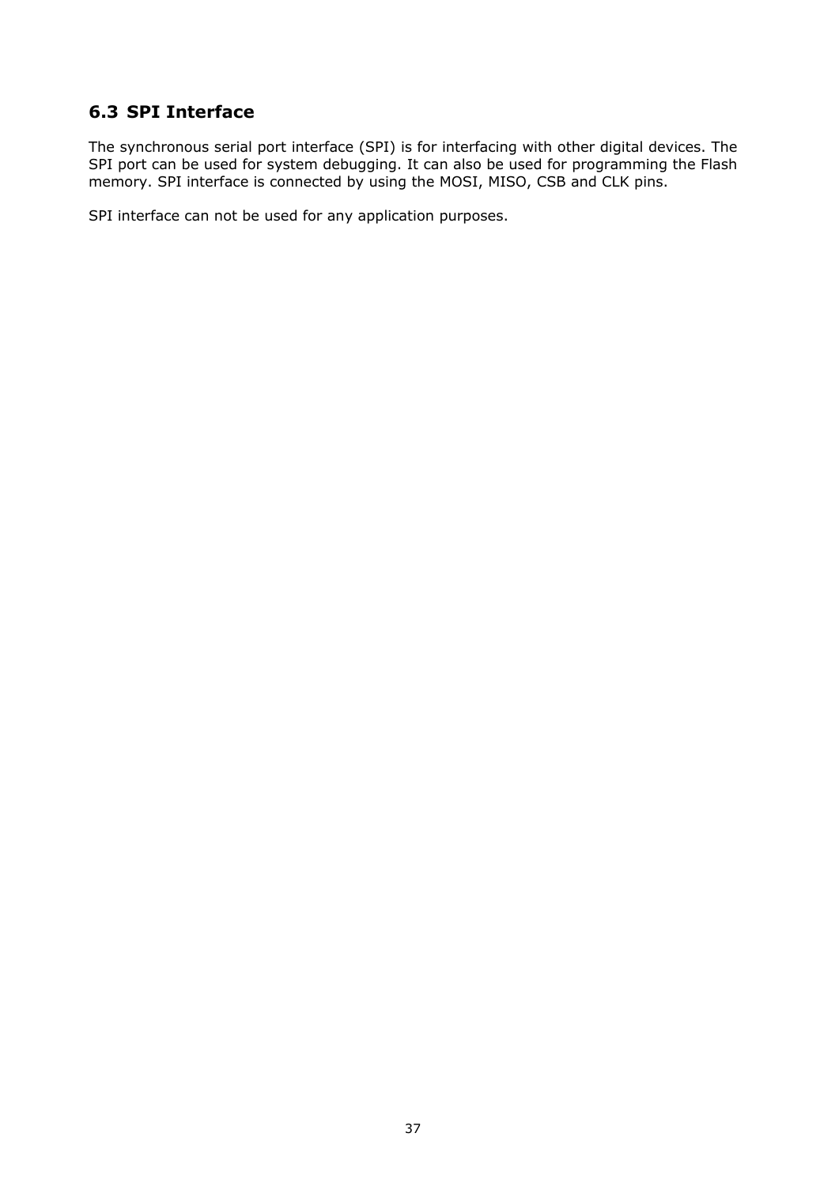# **6.3 SPI Interface**

The synchronous serial port interface (SPI) is for interfacing with other digital devices. The SPI port can be used for system debugging. It can also be used for programming the Flash memory. SPI interface is connected by using the MOSI, MISO, CSB and CLK pins.

SPI interface can not be used for any application purposes.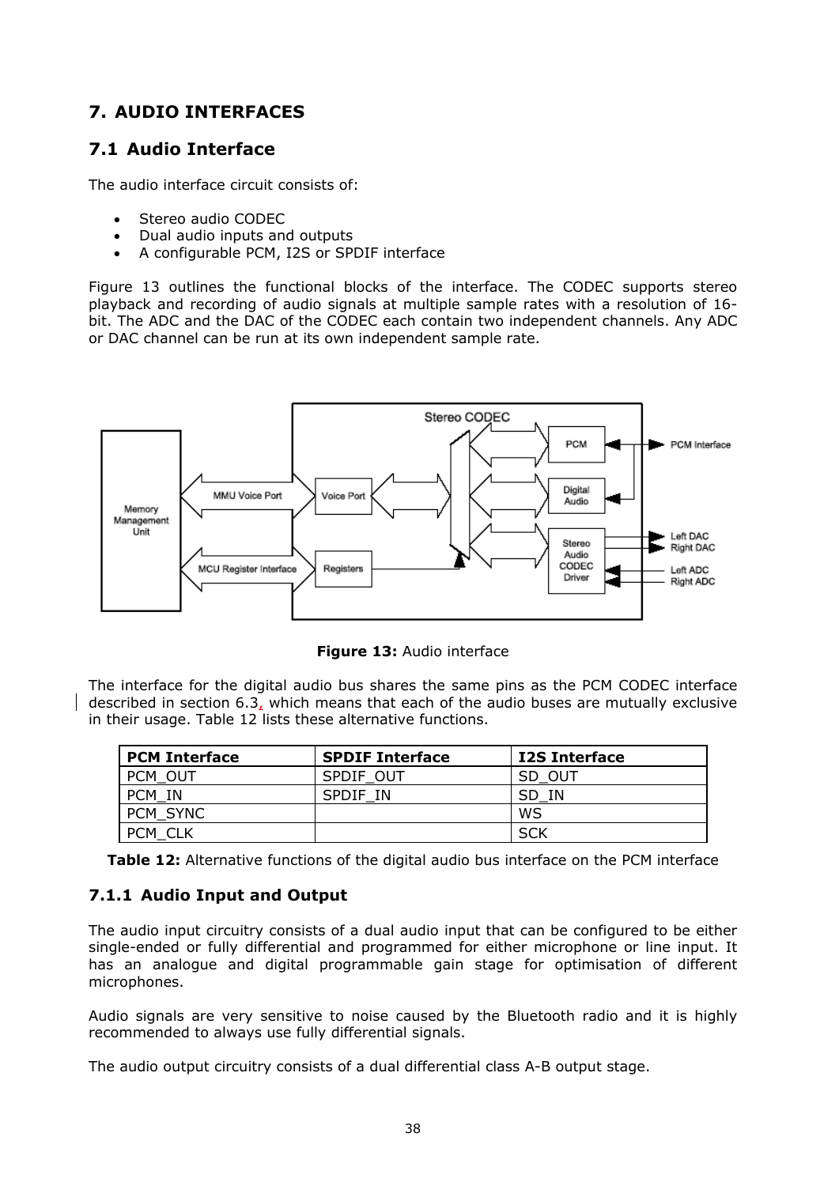# **7. AUDIO INTERFACES**

# **7.1 Audio Interface**

The audio interface circuit consists of:

- Stereo audio CODEC
- Dual audio inputs and outputs
- A configurable PCM, I2S or SPDIF interface

Figure 13 outlines the functional blocks of the interface. The CODEC supports stereo playback and recording of audio signals at multiple sample rates with a resolution of 16 bit. The ADC and the DAC of the CODEC each contain two independent channels. Any ADC or DAC channel can be run at its own independent sample rate.



**Figure 13:** Audio interface

The interface for the digital audio bus shares the same pins as the PCM CODEC interface described in section 6.3, which means that each of the audio buses are mutually exclusive in their usage. Table 12 lists these alternative functions.

| <b>PCM Interface</b> | <b>SPDIF Interface</b> | <b>I2S Interface</b> |  |
|----------------------|------------------------|----------------------|--|
| <b>PCM OUT</b>       | SPDIF OUT              | SD OUT               |  |
| - IN<br><b>PCM</b>   | SPDIF IN               | SD IN                |  |
| <b>PCM SYNC</b>      |                        | WS                   |  |
| <b>PCM</b>           |                        | SCK                  |  |

**Table 12:** Alternative functions of the digital audio bus interface on the PCM interface

#### **7.1.1 Audio Input and Output**

The audio input circuitry consists of a dual audio input that can be configured to be either single-ended or fully differential and programmed for either microphone or line input. It has an analogue and digital programmable gain stage for optimisation of different microphones.

Audio signals are very sensitive to noise caused by the Bluetooth radio and it is highly recommended to always use fully differential signals.

The audio output circuitry consists of a dual differential class A-B output stage.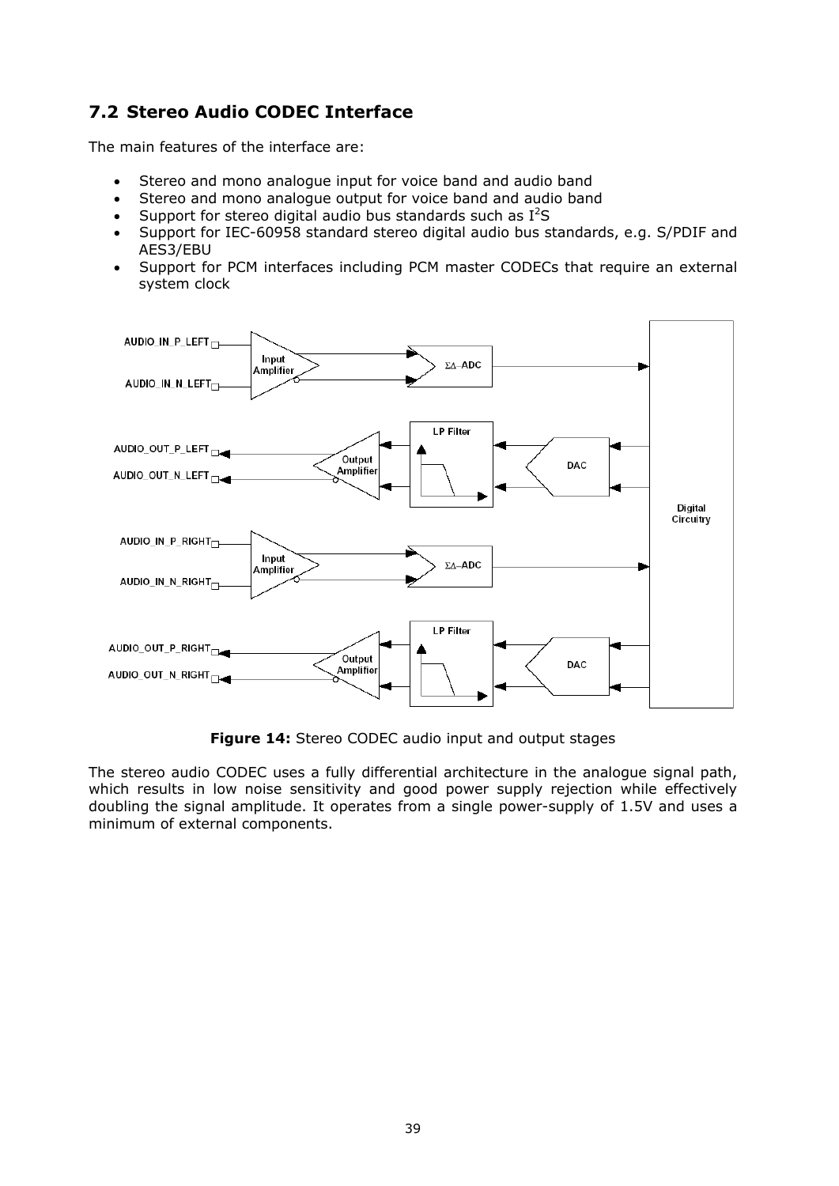# **7.2 Stereo Audio CODEC Interface**

The main features of the interface are:

- Stereo and mono analogue input for voice band and audio band
- Stereo and mono analogue output for voice band and audio band
- Support for stereo digital audio bus standards such as  $I^2S$
- Support for IEC-60958 standard stereo digital audio bus standards, e.g. S/PDIF and AES3/EBU
- Support for PCM interfaces including PCM master CODECs that require an external system clock



**Figure 14:** Stereo CODEC audio input and output stages

The stereo audio CODEC uses a fully differential architecture in the analogue signal path, which results in low noise sensitivity and good power supply rejection while effectively doubling the signal amplitude. It operates from a single power-supply of 1.5V and uses a minimum of external components.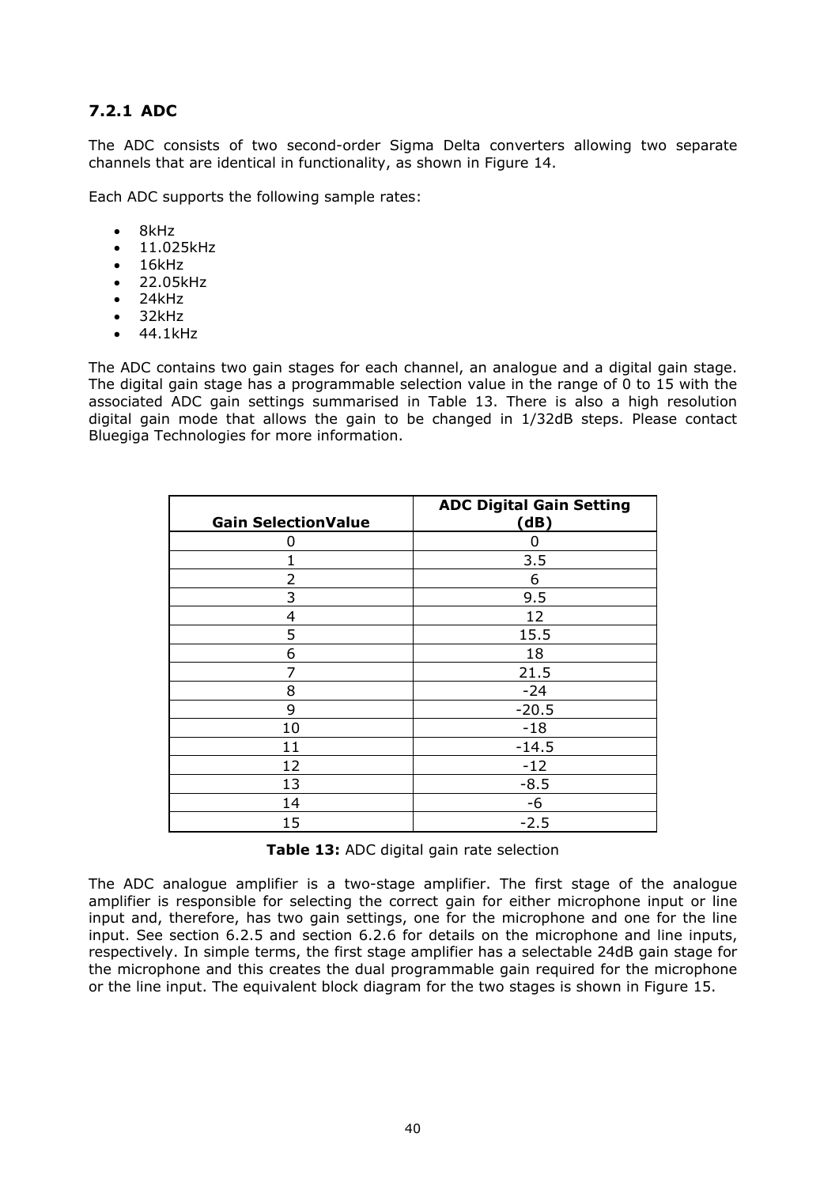#### **7.2.1 ADC**

The ADC consists of two second-order Sigma Delta converters allowing two separate channels that are identical in functionality, as shown in Figure 14.

Each ADC supports the following sample rates:

- $\bullet$  8kHz
- 11.025kHz
- 16kHz
- 22.05kHz
- 24kHz
- 32kHz
- 44.1kHz

The ADC contains two gain stages for each channel, an analogue and a digital gain stage. The digital gain stage has a programmable selection value in the range of 0 to 15 with the associated ADC gain settings summarised in Table 13. There is also a high resolution digital gain mode that allows the gain to be changed in 1/32dB steps. Please contact Bluegiga Technologies for more information.

| <b>Gain SelectionValue</b> | <b>ADC Digital Gain Setting</b><br>(dB) |  |  |
|----------------------------|-----------------------------------------|--|--|
| 0                          |                                         |  |  |
| 1                          | 3.5                                     |  |  |
| 2                          | 6                                       |  |  |
| 3                          | 9.5                                     |  |  |
| 4                          | 12                                      |  |  |
| 5                          | 15.5                                    |  |  |
| 6                          | 18                                      |  |  |
| 7                          | 21.5                                    |  |  |
| 8                          | $-24$                                   |  |  |
| 9                          | $-20.5$                                 |  |  |
| 10                         | $-18$                                   |  |  |
| 11                         | $-14.5$                                 |  |  |
| 12                         | $-12$                                   |  |  |
| 13                         | $-8.5$                                  |  |  |
| 14                         | -6                                      |  |  |
| 15                         | $-2.5$                                  |  |  |

**Table 13:** ADC digital gain rate selection

The ADC analogue amplifier is a two-stage amplifier. The first stage of the analogue amplifier is responsible for selecting the correct gain for either microphone input or line input and, therefore, has two gain settings, one for the microphone and one for the line input. See section 6.2.5 and section 6.2.6 for details on the microphone and line inputs, respectively. In simple terms, the first stage amplifier has a selectable 24dB gain stage for the microphone and this creates the dual programmable gain required for the microphone or the line input. The equivalent block diagram for the two stages is shown in Figure 15.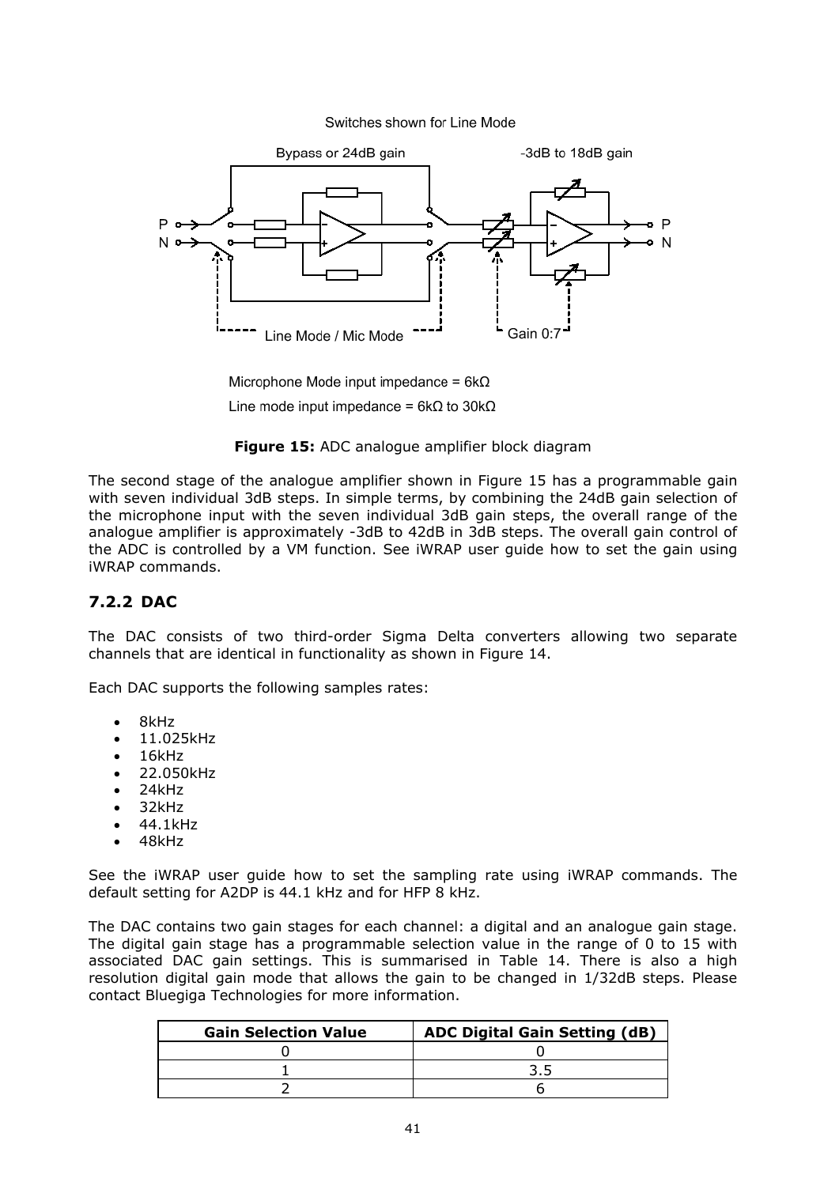



Microphone Mode input impedance =  $6k\Omega$ Line mode input impedance =  $6k\Omega$  to 30k $\Omega$ 



The second stage of the analogue amplifier shown in Figure 15 has a programmable gain with seven individual 3dB steps. In simple terms, by combining the 24dB gain selection of the microphone input with the seven individual 3dB gain steps, the overall range of the analogue amplifier is approximately -3dB to 42dB in 3dB steps. The overall gain control of the ADC is controlled by a VM function. See iWRAP user guide how to set the gain using iWRAP commands.

#### **7.2.2 DAC**

The DAC consists of two third-order Sigma Delta converters allowing two separate channels that are identical in functionality as shown in Figure 14.

Each DAC supports the following samples rates:

- 8kHz
- 11.025kHz
- 16kHz
- 22.050kHz
- 24kHz
- 32kHz
- 44.1kHz
- 48kHz

See the iWRAP user guide how to set the sampling rate using iWRAP commands. The default setting for A2DP is 44.1 kHz and for HFP 8 kHz.

The DAC contains two gain stages for each channel: a digital and an analogue gain stage. The digital gain stage has a programmable selection value in the range of 0 to 15 with associated DAC gain settings. This is summarised in Table 14. There is also a high resolution digital gain mode that allows the gain to be changed in 1/32dB steps. Please contact Bluegiga Technologies for more information.

| <b>Gain Selection Value</b> | <b>ADC Digital Gain Setting (dB)</b> |  |
|-----------------------------|--------------------------------------|--|
|                             |                                      |  |
|                             |                                      |  |
|                             |                                      |  |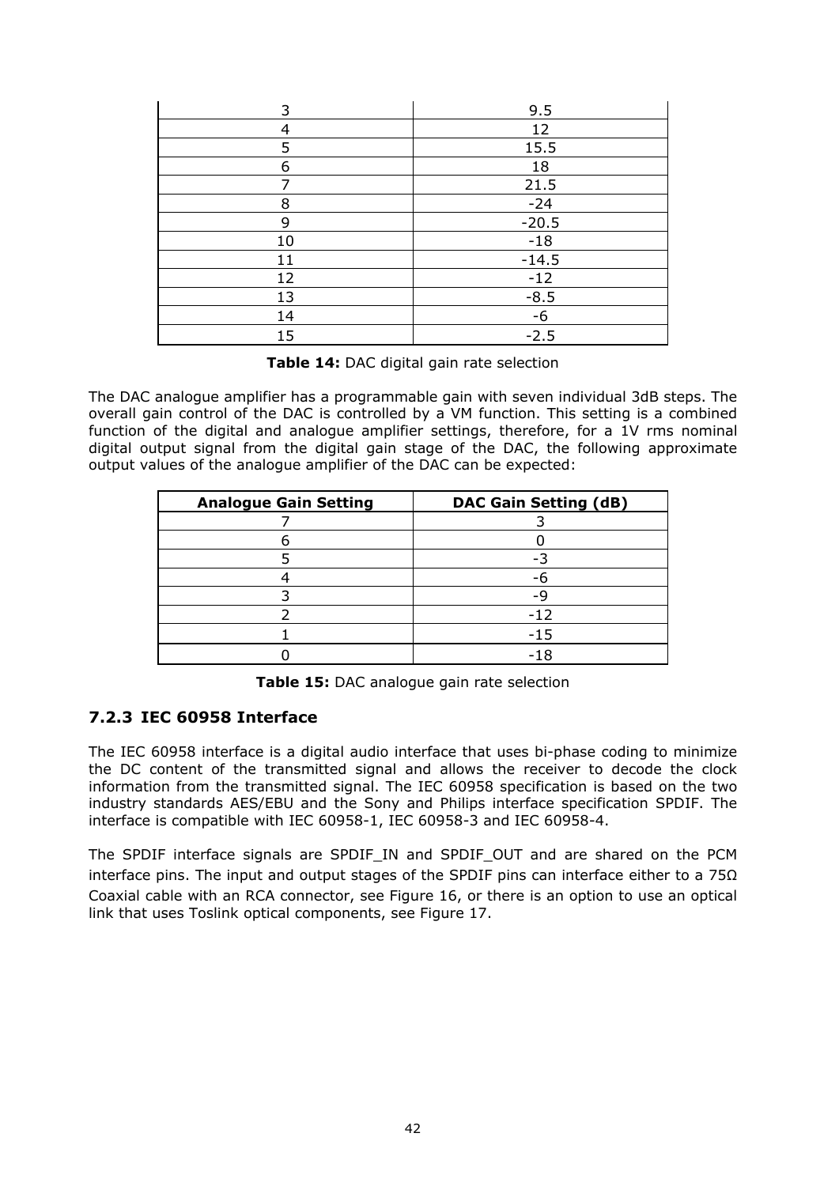| 3  | 9.5     |  |  |
|----|---------|--|--|
| 4  | 12      |  |  |
| 5  | 15.5    |  |  |
| 6  | 18      |  |  |
| ⇁  | 21.5    |  |  |
| 8  | $-24$   |  |  |
| 9  | $-20.5$ |  |  |
| 10 | $-18$   |  |  |
| 11 | $-14.5$ |  |  |
| 12 | $-12$   |  |  |
| 13 | $-8.5$  |  |  |
| 14 | $-6$    |  |  |
| 15 | $-2.5$  |  |  |

**Table 14:** DAC digital gain rate selection

The DAC analogue amplifier has a programmable gain with seven individual 3dB steps. The overall gain control of the DAC is controlled by a VM function. This setting is a combined function of the digital and analogue amplifier settings, therefore, for a 1V rms nominal digital output signal from the digital gain stage of the DAC, the following approximate output values of the analogue amplifier of the DAC can be expected:

| <b>Analogue Gain Setting</b> | <b>DAC Gain Setting (dB)</b> |  |
|------------------------------|------------------------------|--|
|                              |                              |  |
|                              |                              |  |
|                              |                              |  |
|                              |                              |  |
|                              | _q                           |  |
|                              | $-12$                        |  |
|                              | $-15$                        |  |
|                              | $-18$                        |  |

**Table 15:** DAC analogue gain rate selection

#### **7.2.3 IEC 60958 Interface**

The IEC 60958 interface is a digital audio interface that uses bi-phase coding to minimize the DC content of the transmitted signal and allows the receiver to decode the clock information from the transmitted signal. The IEC 60958 specification is based on the two industry standards AES/EBU and the Sony and Philips interface specification SPDIF. The interface is compatible with IEC 60958-1, IEC 60958-3 and IEC 60958-4.

The SPDIF interface signals are SPDIF\_IN and SPDIF\_OUT and are shared on the PCM interface pins. The input and output stages of the SPDIF pins can interface either to a  $75\Omega$ Coaxial cable with an RCA connector, see Figure 16, or there is an option to use an optical link that uses Toslink optical components, see Figure 17.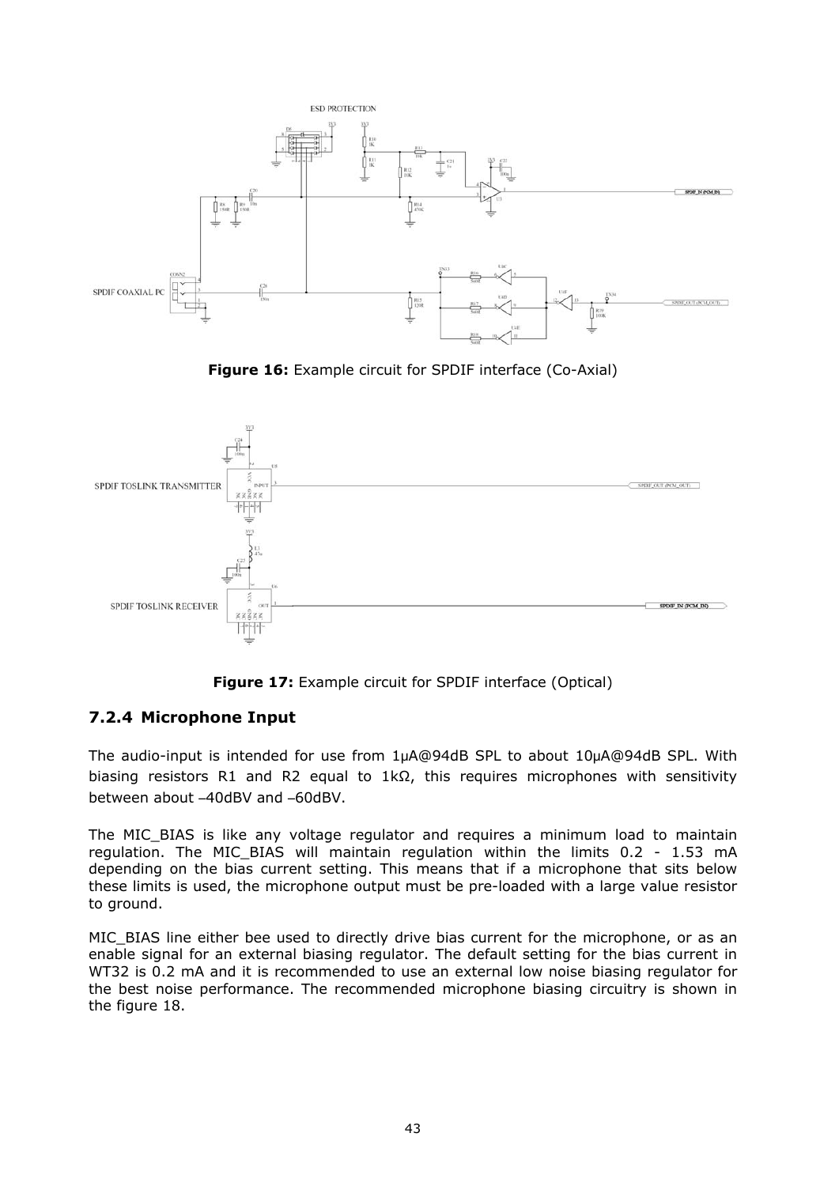

**Figure 16:** Example circuit for SPDIF interface (Co-Axial)



**Figure 17:** Example circuit for SPDIF interface (Optical)

## **7.2.4 Microphone Input**

The audio-input is intended for use from 1μA@94dB SPL to about 10μA@94dB SPL. With biasing resistors R1 and R2 equal to 1kΩ, this requires microphones with sensitivity between about –40dBV and –60dBV.

The MIC\_BIAS is like any voltage regulator and requires a minimum load to maintain regulation. The MIC\_BIAS will maintain regulation within the limits 0.2 - 1.53 mA depending on the bias current setting. This means that if a microphone that sits below these limits is used, the microphone output must be pre-loaded with a large value resistor to ground.

MIC\_BIAS line either bee used to directly drive bias current for the microphone, or as an enable signal for an external biasing regulator. The default setting for the bias current in WT32 is 0.2 mA and it is recommended to use an external low noise biasing regulator for the best noise performance. The recommended microphone biasing circuitry is shown in the figure 18.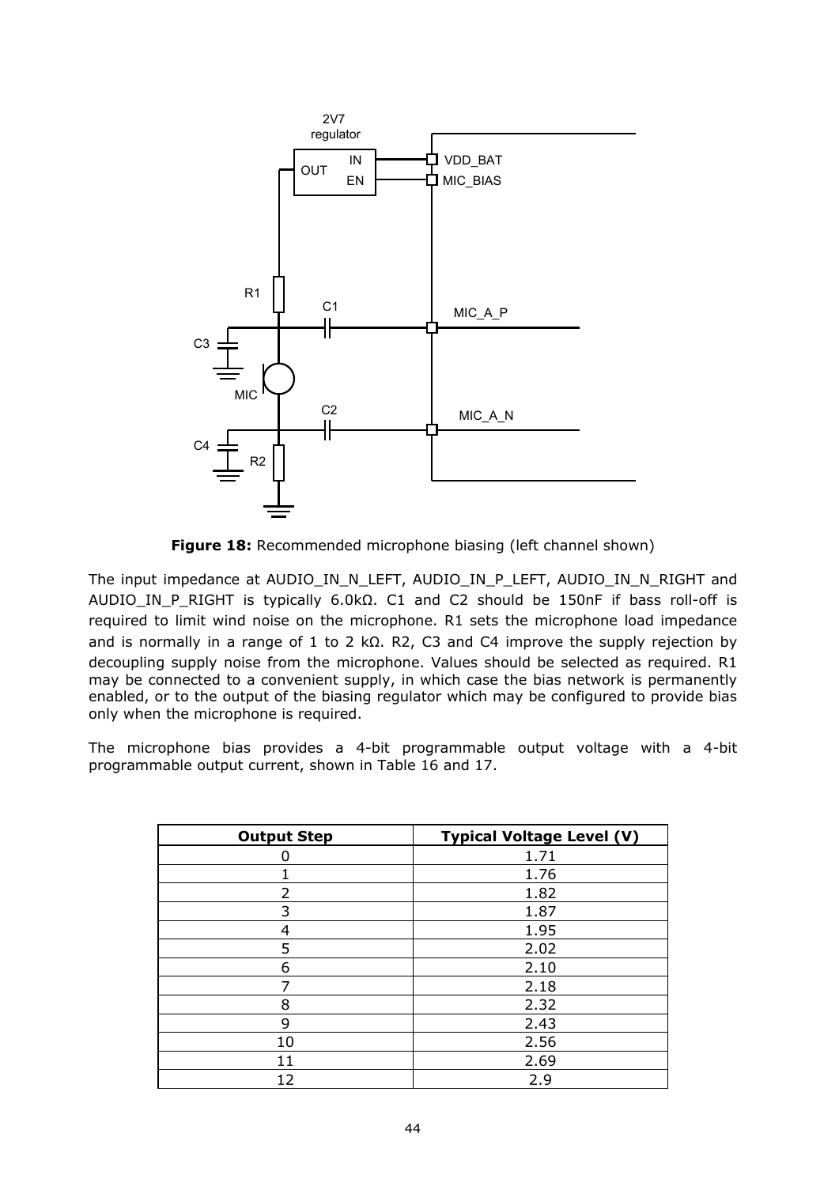

**Figure 18:** Recommended microphone biasing (left channel shown)

The input impedance at AUDIO\_IN\_N\_LEFT, AUDIO\_IN\_P\_LEFT, AUDIO\_IN\_N\_RIGHT and AUDIO\_IN\_P\_RIGHT is typically 6.0kΩ. C1 and C2 should be 150nF if bass roll-off is required to limit wind noise on the microphone. R1 sets the microphone load impedance and is normally in a range of 1 to 2 kΩ. R2, C3 and C4 improve the supply rejection by decoupling supply noise from the microphone. Values should be selected as required. R1 may be connected to a convenient supply, in which case the bias network is permanently enabled, or to the output of the biasing regulator which may be configured to provide bias only when the microphone is required.

The microphone bias provides a 4-bit programmable output voltage with a 4-bit programmable output current, shown in Table 16 and 17.

| <b>Output Step</b> | <b>Typical Voltage Level (V)</b> |
|--------------------|----------------------------------|
|                    | 1.71                             |
| 1                  | 1.76                             |
| $\overline{2}$     | 1.82                             |
| 3                  | 1.87                             |
| 4                  | 1.95                             |
| 5                  | 2.02                             |
| 6                  | 2.10                             |
| 7                  | 2.18                             |
| 8                  | 2.32                             |
| 9                  | 2.43                             |
| 10                 | 2.56                             |
| 11                 | 2.69                             |
| 12                 | 2.9                              |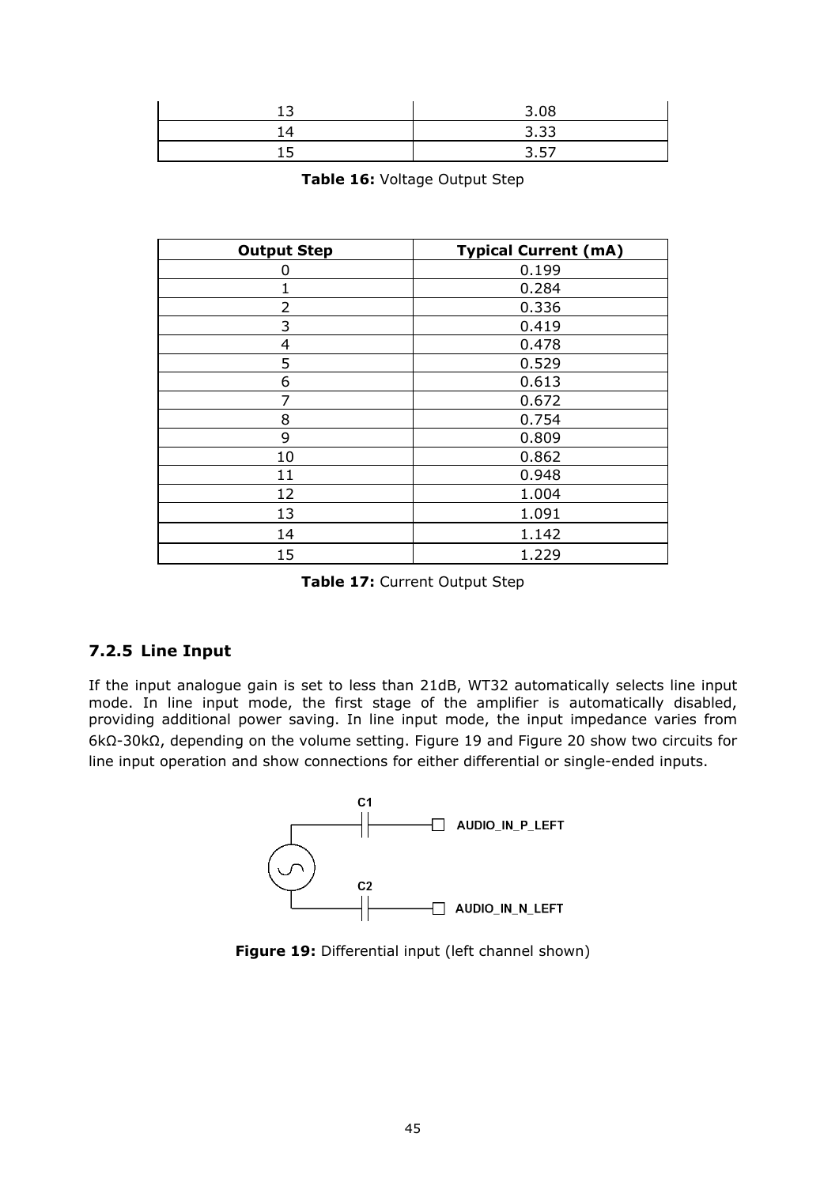| ∽   | 3.08 |
|-----|------|
| ∣ 4 | 3.33 |
|     | 3.57 |

| Table 16: Voltage Output Step |  |
|-------------------------------|--|
|-------------------------------|--|

| <b>Output Step</b> | <b>Typical Current (mA)</b> |  |  |
|--------------------|-----------------------------|--|--|
| 0                  | 0.199                       |  |  |
| 1                  | 0.284                       |  |  |
| $\overline{2}$     | 0.336                       |  |  |
| 3                  | 0.419                       |  |  |
| 4                  | 0.478                       |  |  |
| 5                  | 0.529                       |  |  |
| 6                  | 0.613                       |  |  |
| 7                  | 0.672                       |  |  |
| 8                  | 0.754                       |  |  |
| 9                  | 0.809                       |  |  |
| 10                 | 0.862                       |  |  |
| 11                 | 0.948                       |  |  |
| 12                 | 1.004                       |  |  |
| 13                 | 1.091                       |  |  |
| 14                 | 1.142                       |  |  |
| 15                 | 1.229                       |  |  |

**Table 17:** Current Output Step

## **7.2.5 Line Input**

If the input analogue gain is set to less than 21dB, WT32 automatically selects line input mode. In line input mode, the first stage of the amplifier is automatically disabled, providing additional power saving. In line input mode, the input impedance varies from 6kΩ-30kΩ, depending on the volume setting. Figure 19 and Figure 20 show two circuits for line input operation and show connections for either differential or single-ended inputs.



**Figure 19:** Differential input (left channel shown)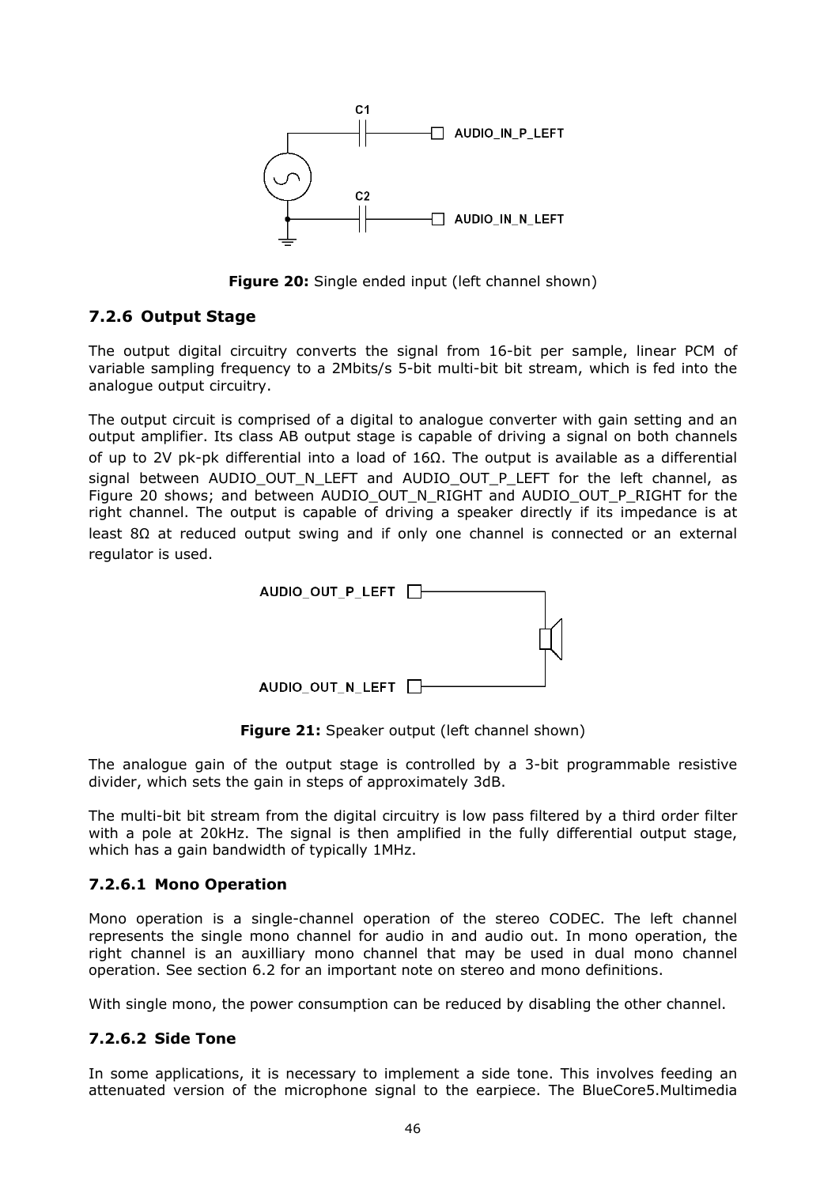

**Figure 20:** Single ended input (left channel shown)

#### **7.2.6 Output Stage**

The output digital circuitry converts the signal from 16-bit per sample, linear PCM of variable sampling frequency to a 2Mbits/s 5-bit multi-bit bit stream, which is fed into the analogue output circuitry.

The output circuit is comprised of a digital to analogue converter with gain setting and an output amplifier. Its class AB output stage is capable of driving a signal on both channels of up to 2V pk-pk differential into a load of 16Ω. The output is available as a differential signal between AUDIO OUT N LEFT and AUDIO OUT P LEFT for the left channel, as Figure 20 shows; and between AUDIO\_OUT\_N\_RIGHT and AUDIO\_OUT\_P\_RIGHT for the right channel. The output is capable of driving a speaker directly if its impedance is at least 8Ω at reduced output swing and if only one channel is connected or an external regulator is used.



Figure 21: Speaker output (left channel shown)

The analogue gain of the output stage is controlled by a 3-bit programmable resistive divider, which sets the gain in steps of approximately 3dB.

The multi-bit bit stream from the digital circuitry is low pass filtered by a third order filter with a pole at 20kHz. The signal is then amplified in the fully differential output stage, which has a gain bandwidth of typically 1MHz.

#### **7.2.6.1 Mono Operation**

Mono operation is a single-channel operation of the stereo CODEC. The left channel represents the single mono channel for audio in and audio out. In mono operation, the right channel is an auxilliary mono channel that may be used in dual mono channel operation. See section 6.2 for an important note on stereo and mono definitions.

With single mono, the power consumption can be reduced by disabling the other channel.

#### **7.2.6.2 Side Tone**

In some applications, it is necessary to implement a side tone. This involves feeding an attenuated version of the microphone signal to the earpiece. The BlueCore5.Multimedia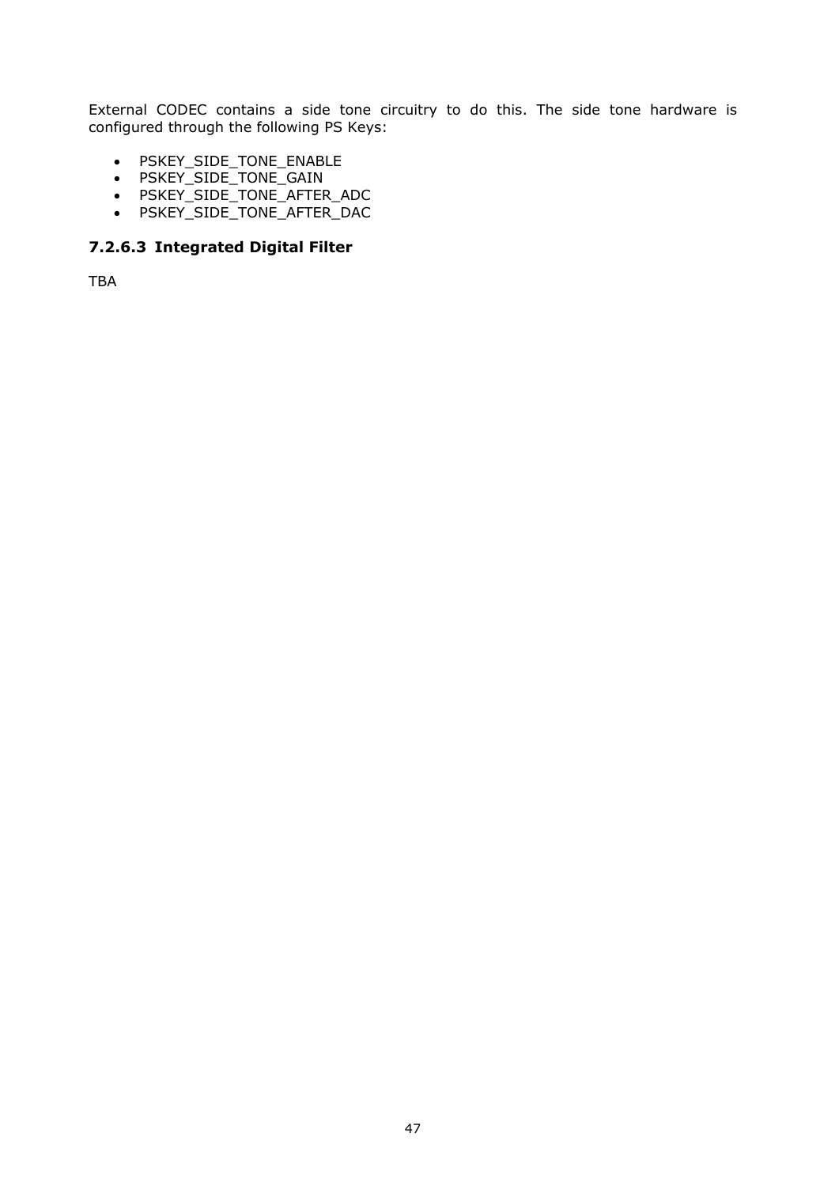External CODEC contains a side tone circuitry to do this. The side tone hardware is configured through the following PS Keys:

- PSKEY\_SIDE\_TONE\_ENABLE
- PSKEY\_SIDE\_TONE\_GAIN
- PSKEY\_SIDE\_TONE\_AFTER\_ADC
- PSKEY\_SIDE\_TONE\_AFTER\_DAC

#### **7.2.6.3 Integrated Digital Filter**

TBA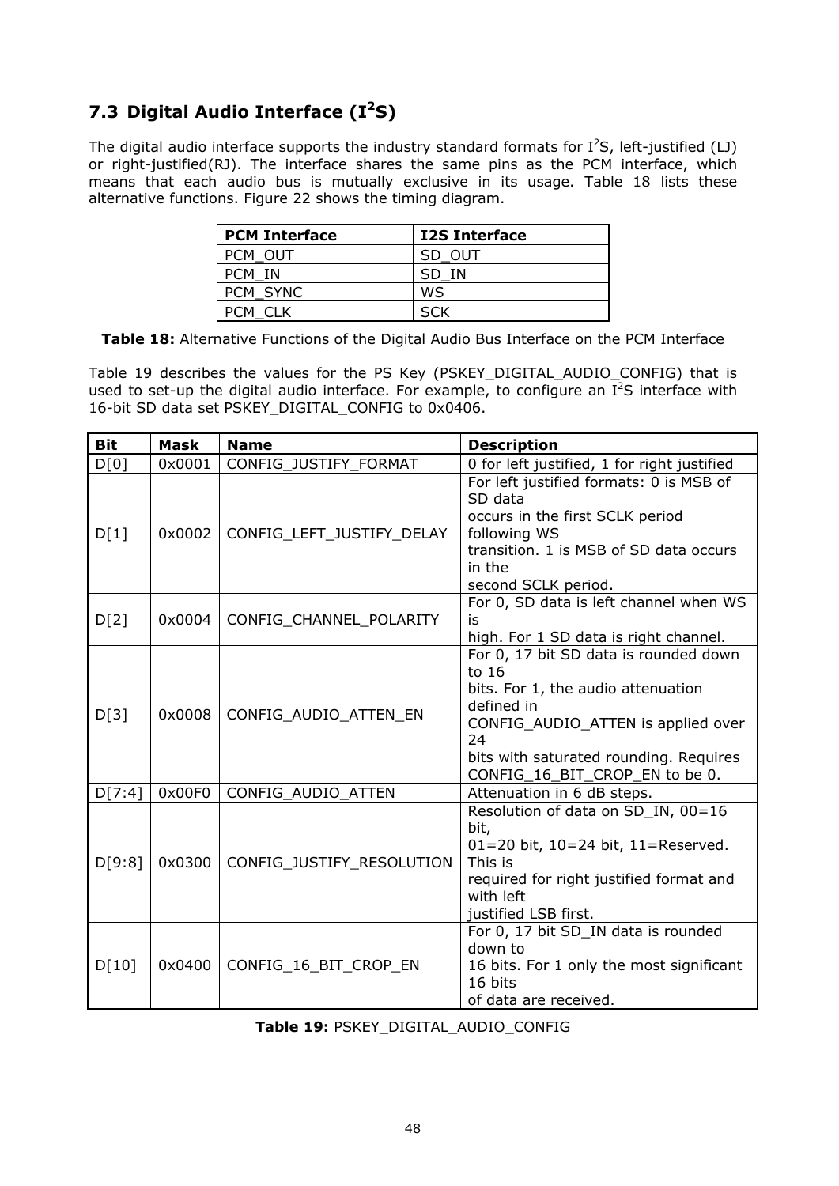# **7.3 Digital Audio Interface (I2S)**

The digital audio interface supports the industry standard formats for  $I^2S$ , left-justified (LJ) or right-justified(RJ). The interface shares the same pins as the PCM interface, which means that each audio bus is mutually exclusive in its usage. Table 18 lists these alternative functions. Figure 22 shows the timing diagram.

| <b>PCM Interface</b> | <b>I2S Interface</b> |
|----------------------|----------------------|
| PCM OUT              | SD OUT               |
| PCM IN               | SD IN                |
| PCM SYNC             | WS                   |
| PCM CLK              |                      |

**Table 18:** Alternative Functions of the Digital Audio Bus Interface on the PCM Interface

Table 19 describes the values for the PS Key (PSKEY\_DIGITAL\_AUDIO\_CONFIG) that is used to set-up the digital audio interface. For example, to configure an  $I^2S$  interface with 16-bit SD data set PSKEY\_DIGITAL\_CONFIG to 0x0406.

| <b>Bit</b> | <b>Mask</b> | <b>Name</b><br><b>Description</b> |                                                                                                                                                                                                                            |  |
|------------|-------------|-----------------------------------|----------------------------------------------------------------------------------------------------------------------------------------------------------------------------------------------------------------------------|--|
| D[0]       | 0x0001      | CONFIG JUSTIFY FORMAT             | 0 for left justified, 1 for right justified                                                                                                                                                                                |  |
| D[1]       | 0x0002      | CONFIG_LEFT_JUSTIFY_DELAY         | For left justified formats: 0 is MSB of<br>SD data<br>occurs in the first SCLK period<br>following WS<br>transition, 1 is MSB of SD data occurs<br>in the<br>second SCLK period.                                           |  |
| D[2]       | 0x0004      | CONFIG CHANNEL POLARITY           | For 0, SD data is left channel when WS<br>is<br>high. For 1 SD data is right channel.                                                                                                                                      |  |
| D[3]       | 0x0008      | CONFIG AUDIO ATTEN EN             | For 0, 17 bit SD data is rounded down<br>to 16<br>bits. For 1, the audio attenuation<br>defined in<br>CONFIG_AUDIO_ATTEN is applied over<br>24<br>bits with saturated rounding. Requires<br>CONFIG_16_BIT_CROP_EN to be 0. |  |
| D[7:4]     | 0x00F0      | CONFIG_AUDIO_ATTEN                | Attenuation in 6 dB steps.                                                                                                                                                                                                 |  |
| D[9:8]     | 0x0300      | CONFIG_JUSTIFY_RESOLUTION         | Resolution of data on SD_IN, 00=16<br>bit,<br>01=20 bit, 10=24 bit, 11=Reserved.<br>This is<br>required for right justified format and<br>with left<br>justified LSB first.                                                |  |
| D[10]      | 0x0400      | CONFIG 16 BIT CROP EN             | For 0, 17 bit SD_IN data is rounded<br>down to<br>16 bits. For 1 only the most significant<br>16 bits<br>of data are received.                                                                                             |  |

|  |  |  | Table 19: PSKEY DIGITAL AUDIO CONFIG |  |  |
|--|--|--|--------------------------------------|--|--|
|--|--|--|--------------------------------------|--|--|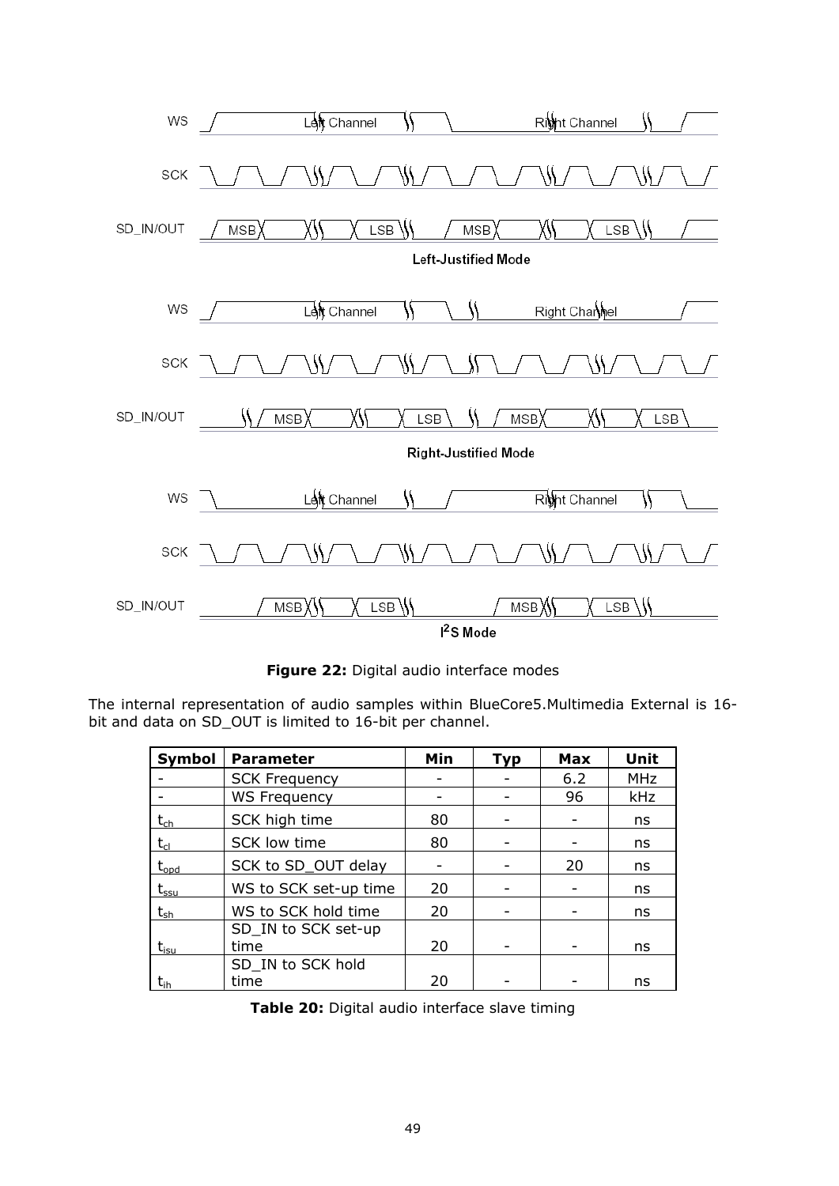

**Figure 22:** Digital audio interface modes

The internal representation of audio samples within BlueCore5.Multimedia External is 16 bit and data on SD\_OUT is limited to 16-bit per channel.

| Symbol                                                                                 | <b>Parameter</b>            | Min | <b>Typ</b> | <b>Max</b> | <b>Unit</b> |
|----------------------------------------------------------------------------------------|-----------------------------|-----|------------|------------|-------------|
|                                                                                        | <b>SCK Frequency</b>        |     |            | 6.2        | <b>MHz</b>  |
|                                                                                        | <b>WS Frequency</b>         |     |            | 96         | kHz         |
| $\mathsf{t}_{\mathsf{ch}}$                                                             | SCK high time               | 80  |            |            | ns          |
| $t_{cl}$                                                                               | SCK low time                | 80  |            |            | ns          |
| $t_{\text{opd}}$                                                                       | SCK to SD_OUT delay         |     |            | 20         | ns          |
| $\bm{{\mathsf{t}}}_{\textsf{ssu}}$                                                     | WS to SCK set-up time       | 20  |            |            | ns          |
| $\bm{{\mathsf{t}}}_{{\scriptscriptstyle{\mathsf{S}}}{\scriptscriptstyle{\mathsf{h}}}}$ | WS to SCK hold time         | 20  |            |            | ns          |
| $t_{isu}$                                                                              | SD_IN to SCK set-up<br>time | 20  |            |            | ns          |
| $\mathsf{t}_\mathsf{ih}$                                                               | SD_IN to SCK hold<br>time   | 20  |            |            | ns          |

**Table 20:** Digital audio interface slave timing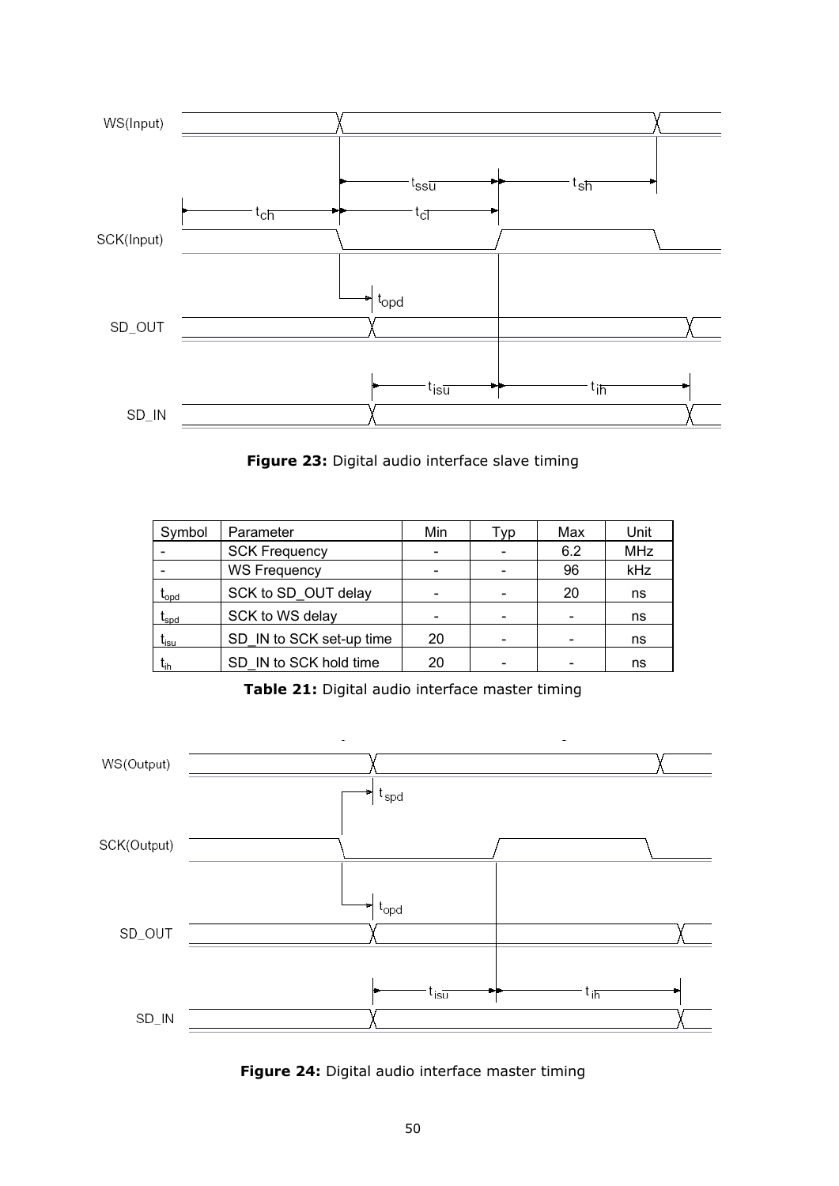

**Figure 23:** Digital audio interface slave timing

| Symbol                                 | Parameter                | Min | Tvp | Max | Unit       |
|----------------------------------------|--------------------------|-----|-----|-----|------------|
|                                        | <b>SCK Frequency</b>     |     |     | 6.2 | <b>MHz</b> |
|                                        | <b>WS Frequency</b>      |     |     | 96  | kHz        |
| $\boldsymbol{\mathrm{t}}_\mathrm{ood}$ | SCK to SD OUT delay      |     |     | 20  | ns         |
| $\mathfrak{t}_{\mathsf{spd}}$          | SCK to WS delay          |     |     |     | ns         |
| $t_{\rm isu}$                          | SD IN to SCK set-up time | 20  |     |     | ns         |
| t <sub>ih</sub>                        | SD IN to SCK hold time   | 20  |     |     | ns         |

**Table 21:** Digital audio interface master timing



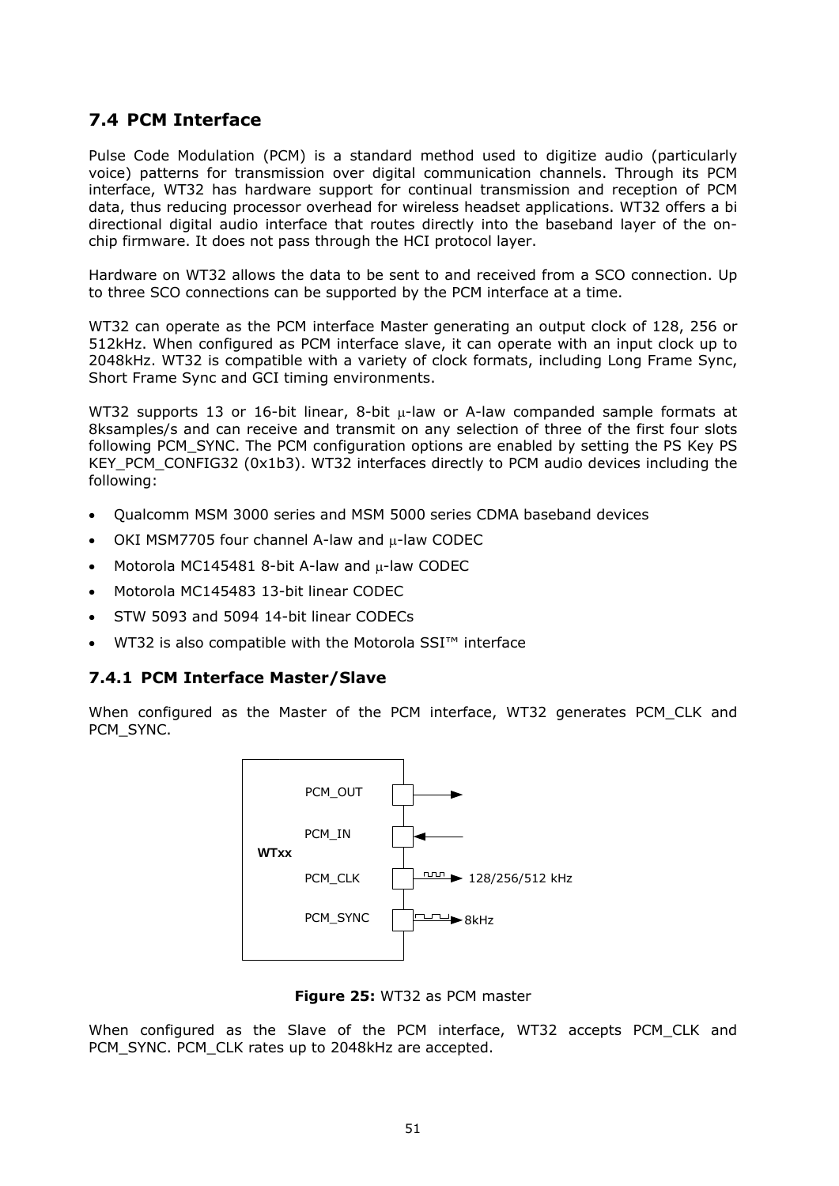## **7.4 PCM Interface**

Pulse Code Modulation (PCM) is a standard method used to digitize audio (particularly voice) patterns for transmission over digital communication channels. Through its PCM interface, WT32 has hardware support for continual transmission and reception of PCM data, thus reducing processor overhead for wireless headset applications. WT32 offers a bi directional digital audio interface that routes directly into the baseband layer of the onchip firmware. It does not pass through the HCI protocol layer.

Hardware on WT32 allows the data to be sent to and received from a SCO connection. Up to three SCO connections can be supported by the PCM interface at a time.

WT32 can operate as the PCM interface Master generating an output clock of 128, 256 or 512kHz. When configured as PCM interface slave, it can operate with an input clock up to 2048kHz. WT32 is compatible with a variety of clock formats, including Long Frame Sync, Short Frame Sync and GCI timing environments.

WT32 supports 13 or 16-bit linear, 8-bit  $\mu$ -law or A-law companded sample formats at 8ksamples/s and can receive and transmit on any selection of three of the first four slots following PCM\_SYNC. The PCM configuration options are enabled by setting the PS Key PS KEY PCM CONFIG32 (0x1b3). WT32 interfaces directly to PCM audio devices including the following:

- Qualcomm MSM 3000 series and MSM 5000 series CDMA baseband devices
- OKI MSM7705 four channel A-law and u-law CODEC
- Motorola MC145481 8-bit A-law and  $\mu$ -law CODEC
- Motorola MC145483 13-bit linear CODEC
- STW 5093 and 5094 14-bit linear CODECs
- WT32 is also compatible with the Motorola SSI™ interface

#### **7.4.1 PCM Interface Master/Slave**

When configured as the Master of the PCM interface, WT32 generates PCM CLK and PCM\_SYNC.



**Figure 25:** WT32 as PCM master

When configured as the Slave of the PCM interface, WT32 accepts PCM CLK and PCM\_SYNC. PCM\_CLK rates up to 2048kHz are accepted.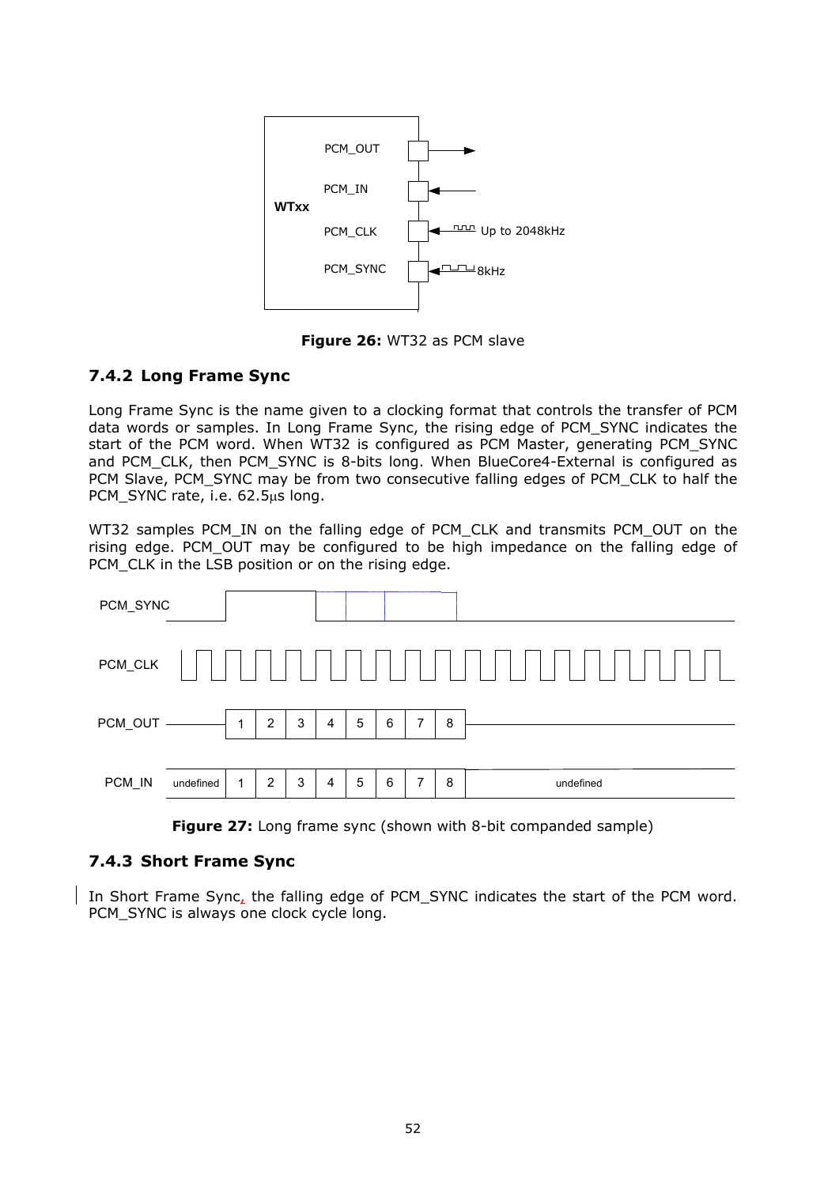

**Figure 26:** WT32 as PCM slave

## **7.4.2 Long Frame Sync**

Long Frame Sync is the name given to a clocking format that controls the transfer of PCM data words or samples. In Long Frame Sync, the rising edge of PCM\_SYNC indicates the start of the PCM word. When WT32 is configured as PCM Master, generating PCM\_SYNC and PCM\_CLK, then PCM\_SYNC is 8-bits long. When BlueCore4-External is configured as PCM Slave, PCM\_SYNC may be from two consecutive falling edges of PCM\_CLK to half the PCM\_SYNC rate, i.e. 62.5µs long.

WT32 samples PCM\_IN on the falling edge of PCM\_CLK and transmits PCM\_OUT on the rising edge. PCM\_OUT may be configured to be high impedance on the falling edge of PCM CLK in the LSB position or on the rising edge.



**Figure 27:** Long frame sync (shown with 8-bit companded sample)

## **7.4.3 Short Frame Sync**

In Short Frame Sync, the falling edge of PCM\_SYNC indicates the start of the PCM word. PCM\_SYNC is always one clock cycle long.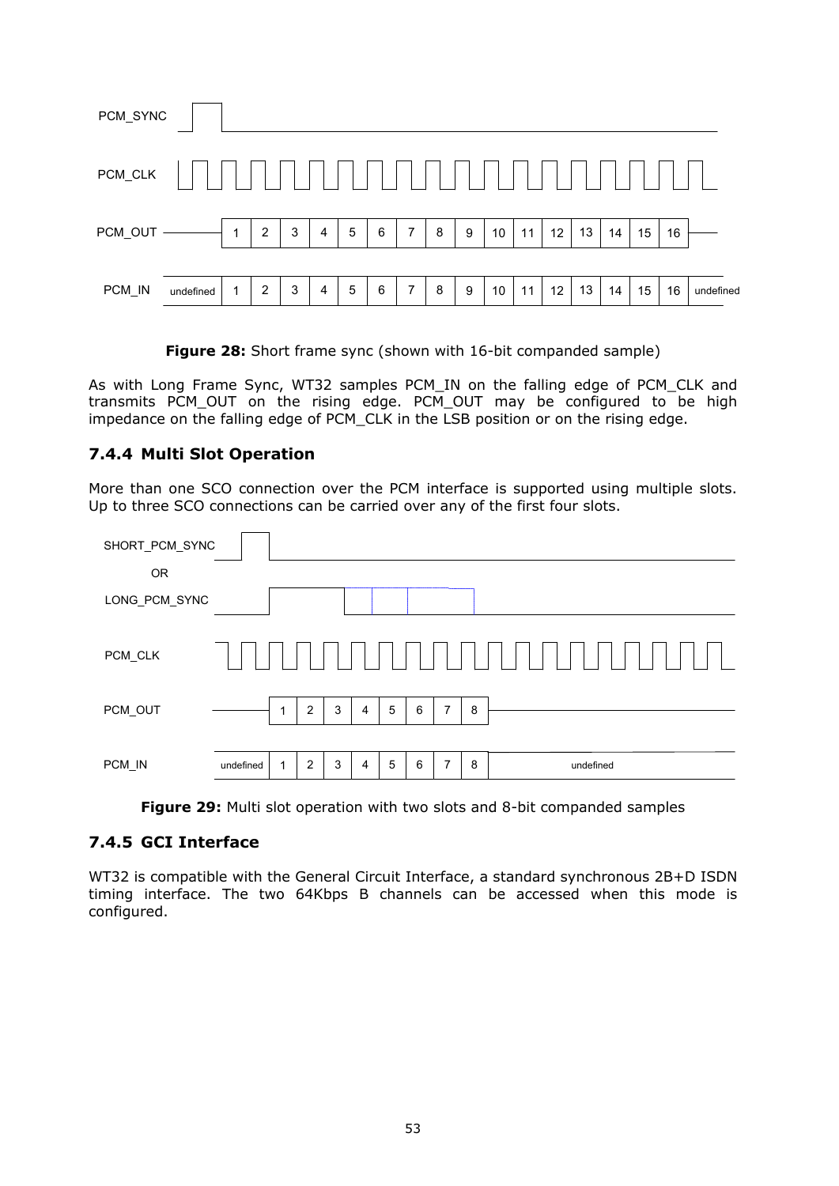| PCM_SYNC        |           |              |                |   |   |                 |   |                |   |   |    |    |    |    |    |    |    |           |
|-----------------|-----------|--------------|----------------|---|---|-----------------|---|----------------|---|---|----|----|----|----|----|----|----|-----------|
| $\sf{PCM\_CLK}$ |           |              |                |   |   |                 |   |                |   |   |    |    |    |    |    |    |    |           |
| PCM_OUT -       |           | $\mathbf{1}$ | 2              | 3 | 4 | $5\phantom{.0}$ | 6 | $\overline{7}$ | 8 | 9 | 10 | 11 | 12 | 13 | 14 | 15 | 16 |           |
| PCM_IN          | undefined | 1            | $\overline{2}$ | 3 | 4 | 5               | 6 | $\overline{7}$ | 8 | 9 | 10 | 11 | 12 | 13 | 14 | 15 | 16 | undefined |

**Figure 28:** Short frame sync (shown with 16-bit companded sample)

As with Long Frame Sync, WT32 samples PCM\_IN on the falling edge of PCM\_CLK and transmits PCM\_OUT on the rising edge. PCM\_OUT may be configured to be high impedance on the falling edge of PCM\_CLK in the LSB position or on the rising edge.

## **7.4.4 Multi Slot Operation**

More than one SCO connection over the PCM interface is supported using multiple slots. Up to three SCO connections can be carried over any of the first four slots.



**Figure 29:** Multi slot operation with two slots and 8-bit companded samples

#### **7.4.5 GCI Interface**

WT32 is compatible with the General Circuit Interface, a standard synchronous 2B+D ISDN timing interface. The two 64Kbps B channels can be accessed when this mode is configured.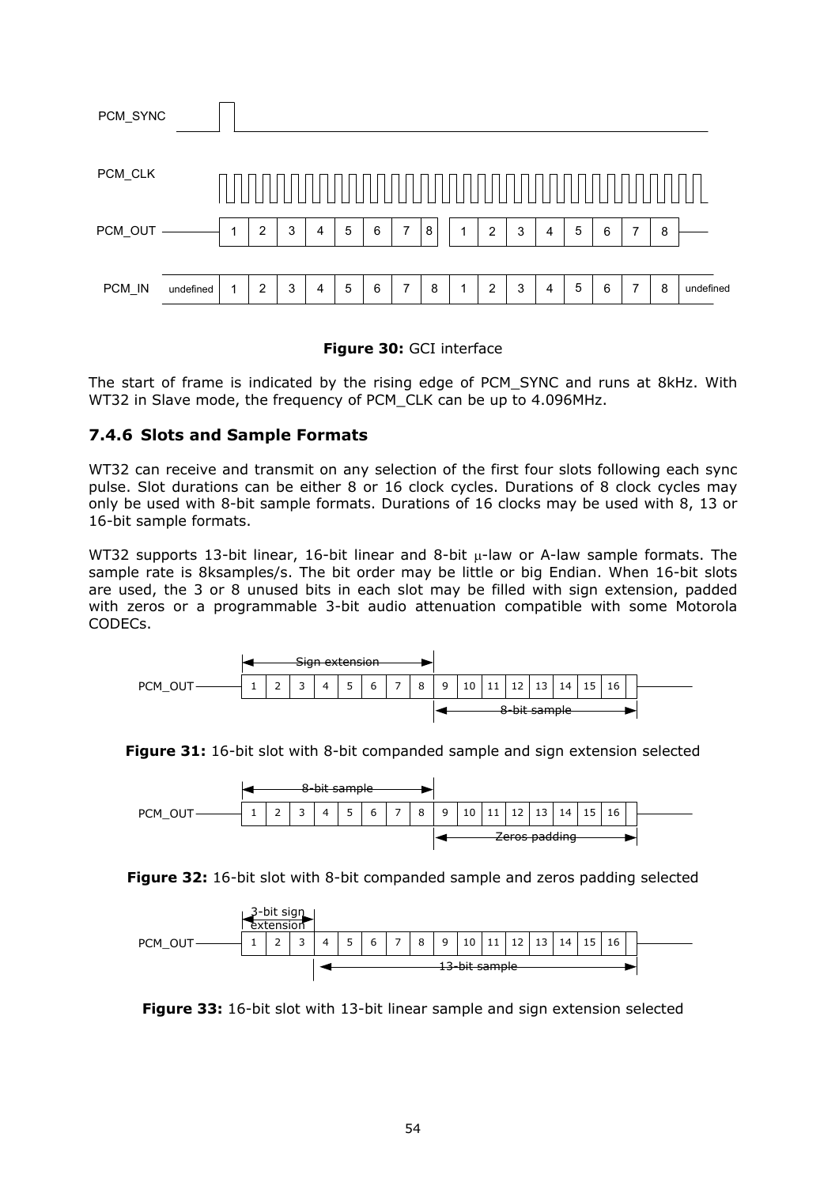| PCM_SYNC |           |              |                |   |   |   |   |                |   |   |                |   |   |   |   |   |   |           |
|----------|-----------|--------------|----------------|---|---|---|---|----------------|---|---|----------------|---|---|---|---|---|---|-----------|
| PCM_CLK  |           |              |                |   |   |   |   |                |   |   |                |   |   |   |   |   |   |           |
| PCM_OUT  |           | 1            | $\overline{2}$ | 3 | 4 | 5 | 6 | $\overline{7}$ | 8 | 4 | $\overline{2}$ | 3 | 4 | 5 | 6 | 7 | 8 |           |
| PCM_IN   | undefined | $\mathbf{1}$ | $\overline{2}$ | 3 | 4 | 5 | 6 | 7              | 8 | 4 | $\overline{2}$ | 3 | 4 | 5 | 6 | 7 | 8 | undefined |

#### **Figure 30:** GCI interface

The start of frame is indicated by the rising edge of PCM\_SYNC and runs at 8kHz. With WT32 in Slave mode, the frequency of PCM\_CLK can be up to 4.096MHz.

#### **7.4.6 Slots and Sample Formats**

WT32 can receive and transmit on any selection of the first four slots following each sync pulse. Slot durations can be either 8 or 16 clock cycles. Durations of 8 clock cycles may only be used with 8-bit sample formats. Durations of 16 clocks may be used with 8, 13 or 16-bit sample formats.

WT32 supports 13-bit linear, 16-bit linear and 8-bit  $\mu$ -law or A-law sample formats. The sample rate is 8ksamples/s. The bit order may be little or big Endian. When 16-bit slots are used, the 3 or 8 unused bits in each slot may be filled with sign extension, padded with zeros or a programmable 3-bit audio attenuation compatible with some Motorola CODECs.



**Figure 31:** 16-bit slot with 8-bit companded sample and sign extension selected



**Figure 32:** 16-bit slot with 8-bit companded sample and zeros padding selected



**Figure 33:** 16-bit slot with 13-bit linear sample and sign extension selected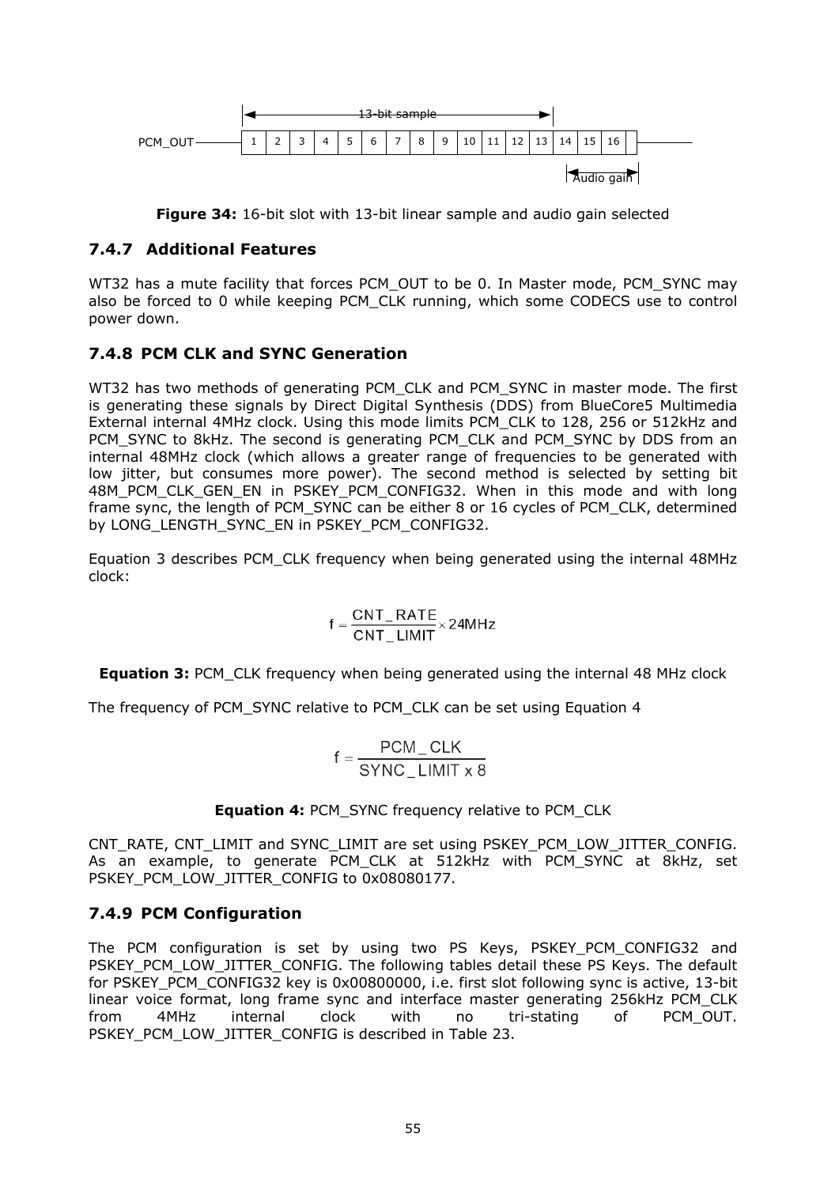

**Figure 34:** 16-bit slot with 13-bit linear sample and audio gain selected

#### **7.4.7 Additional Features**

WT32 has a mute facility that forces PCM\_OUT to be 0. In Master mode, PCM\_SYNC may also be forced to 0 while keeping PCM\_CLK running, which some CODECS use to control power down.

#### **7.4.8 PCM CLK and SYNC Generation**

WT32 has two methods of generating PCM\_CLK and PCM\_SYNC in master mode. The first is generating these signals by Direct Digital Synthesis (DDS) from BlueCore5 Multimedia External internal 4MHz clock. Using this mode limits PCM\_CLK to 128, 256 or 512kHz and PCM\_SYNC to 8kHz. The second is generating PCM\_CLK and PCM\_SYNC by DDS from an internal 48MHz clock (which allows a greater range of frequencies to be generated with low jitter, but consumes more power). The second method is selected by setting bit 48M\_PCM\_CLK\_GEN\_EN in PSKEY\_PCM\_CONFIG32. When in this mode and with long frame sync, the length of PCM\_SYNC can be either 8 or 16 cycles of PCM\_CLK, determined by LONG\_LENGTH\_SYNC\_EN in PSKEY\_PCM\_CONFIG32.

Equation 3 describes PCM\_CLK frequency when being generated using the internal 48MHz clock:

$$
f = \frac{CNT\_RATE}{CNT\_LIMIT} \times 24MHz
$$

**Equation 3: PCM** CLK frequency when being generated using the internal 48 MHz clock

The frequency of PCM\_SYNC relative to PCM\_CLK can be set using Equation 4

$$
f = \frac{PCM\_CLK}{SYNC\_LIMIT \times 8}
$$

**Equation 4:** PCM\_SYNC frequency relative to PCM\_CLK

CNT\_RATE, CNT\_LIMIT and SYNC\_LIMIT are set using PSKEY\_PCM\_LOW\_JITTER\_CONFIG. As an example, to generate PCM\_CLK at 512kHz with PCM\_SYNC at 8kHz, set PSKEY\_PCM\_LOW\_JITTER\_CONFIG to 0x08080177.

## **7.4.9 PCM Configuration**

The PCM configuration is set by using two PS Keys, PSKEY\_PCM\_CONFIG32 and PSKEY\_PCM\_LOW\_JITTER\_CONFIG. The following tables detail these PS Keys. The default for PSKEY\_PCM\_CONFIG32 key is 0x00800000, i.e. first slot following sync is active, 13-bit linear voice format, long frame sync and interface master generating 256kHz PCM\_CLK from 4MHz internal clock with no tri-stating of PCM\_OUT. PSKEY\_PCM\_LOW\_JITTER\_CONFIG is described in Table 23.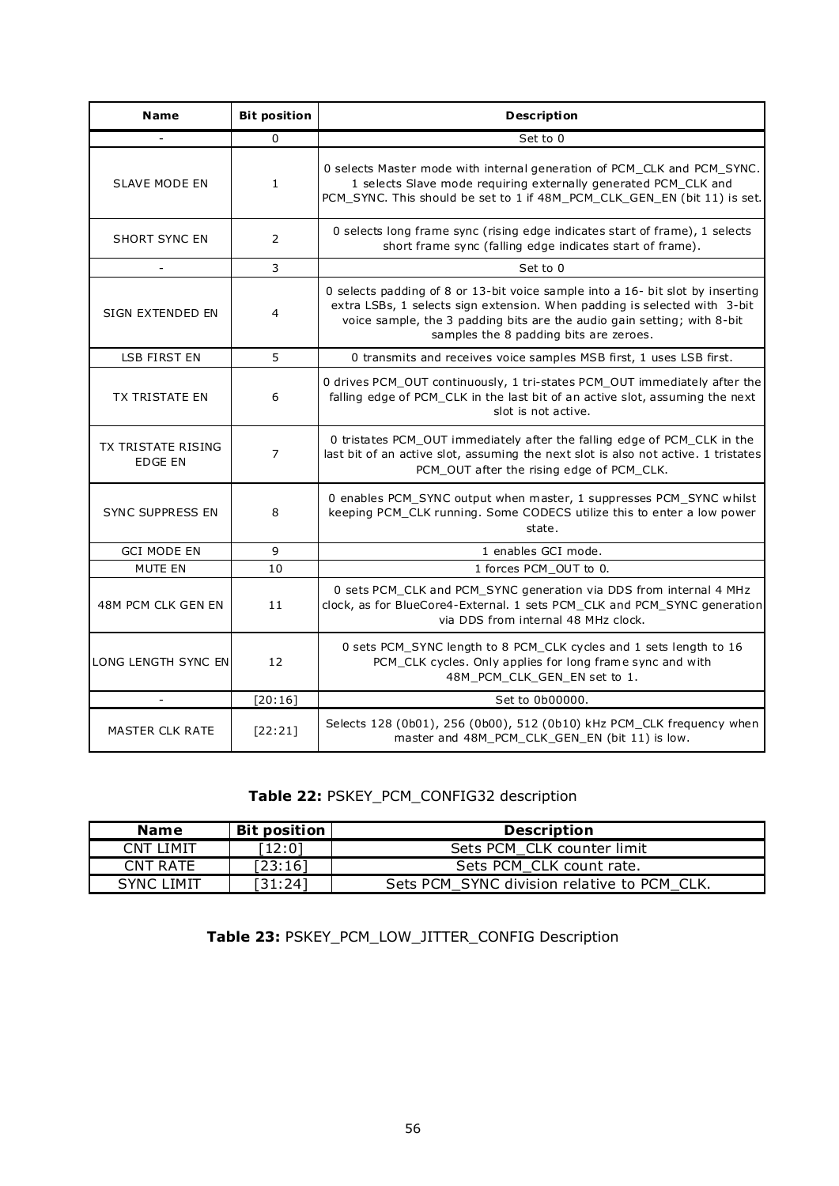| <b>Name</b>                                 | <b>Bit position</b> | <b>Description</b>                                                                                                                                                                                                                                                               |
|---------------------------------------------|---------------------|----------------------------------------------------------------------------------------------------------------------------------------------------------------------------------------------------------------------------------------------------------------------------------|
|                                             | $\Omega$            | Set to 0                                                                                                                                                                                                                                                                         |
| <b>SLAVE MODE EN</b>                        | $\mathbf{1}$        | 0 selects Master mode with internal generation of PCM_CLK and PCM_SYNC.<br>1 selects Slave mode requiring externally generated PCM_CLK and<br>PCM_SYNC. This should be set to 1 if 48M_PCM_CLK_GEN_EN (bit 11) is set.                                                           |
| <b>SHORT SYNC EN</b>                        | 2                   | 0 selects long frame sync (rising edge indicates start of frame), 1 selects<br>short frame sync (falling edge indicates start of frame).                                                                                                                                         |
| $\overline{\phantom{a}}$                    | 3                   | Set to 0                                                                                                                                                                                                                                                                         |
| SIGN EXTENDED EN                            | 4                   | 0 selects padding of 8 or 13-bit voice sample into a 16- bit slot by inserting<br>extra LSBs, 1 selects sign extension. When padding is selected with 3-bit<br>voice sample, the 3 padding bits are the audio gain setting; with 8-bit<br>samples the 8 padding bits are zeroes. |
| <b>LSB FIRST EN</b>                         | 5                   | 0 transmits and receives voice samples MSB first, 1 uses LSB first.                                                                                                                                                                                                              |
| <b>TX TRISTATE EN</b>                       | 6                   | 0 drives PCM_OUT continuously, 1 tri-states PCM_OUT immediately after the<br>falling edge of PCM_CLK in the last bit of an active slot, assuming the next<br>slot is not active.                                                                                                 |
| <b>TX TRISTATE RISING</b><br><b>EDGE EN</b> | $\overline{7}$      | 0 tristates PCM_OUT immediately after the falling edge of PCM_CLK in the<br>last bit of an active slot, assuming the next slot is also not active. 1 tristates<br>PCM OUT after the rising edge of PCM CLK.                                                                      |
| <b>SYNC SUPPRESS EN</b>                     | 8                   | 0 enables PCM_SYNC output when master, 1 suppresses PCM_SYNC whilst<br>keeping PCM_CLK running. Some CODECS utilize this to enter a low power<br>state.                                                                                                                          |
| <b>GCI MODE EN</b>                          | 9                   | 1 enables GCI mode.                                                                                                                                                                                                                                                              |
| <b>MUTE EN</b>                              | 10                  | 1 forces PCM_OUT to 0.                                                                                                                                                                                                                                                           |
| 48M PCM CLK GEN EN                          | 11                  | 0 sets PCM_CLK and PCM_SYNC generation via DDS from internal 4 MHz<br>clock, as for BlueCore4-External. 1 sets PCM_CLK and PCM_SYNC generation<br>via DDS from internal 48 MHz clock.                                                                                            |
| LONG LENGTH SYNC EN                         | 12                  | 0 sets PCM_SYNC length to 8 PCM_CLK cycles and 1 sets length to 16<br>PCM_CLK cycles. Only applies for long frame sync and with<br>48M_PCM_CLK_GEN_EN set to 1.                                                                                                                  |
|                                             | [20:16]             | Set to 0b00000.                                                                                                                                                                                                                                                                  |
| MASTER CLK RATE                             | [22:21]             | Selects 128 (0b01), 256 (0b00), 512 (0b10) kHz PCM_CLK frequency when<br>master and 48M_PCM_CLK_GEN_EN (bit 11) is low.                                                                                                                                                          |

# **Table 22:** PSKEY\_PCM\_CONFIG32 description

| <b>Name</b> | <b>Bit position</b> | <b>Description</b>                          |
|-------------|---------------------|---------------------------------------------|
| CNT LIMIT   | [12:0]              | Sets PCM CLK counter limit                  |
| CNT RATE    | [23:16]             | Sets PCM CLK count rate.                    |
| SYNC LIMIT  | 31:241              | Sets PCM SYNC division relative to PCM CLK. |

## **Table 23:** PSKEY\_PCM\_LOW\_JITTER\_CONFIG Description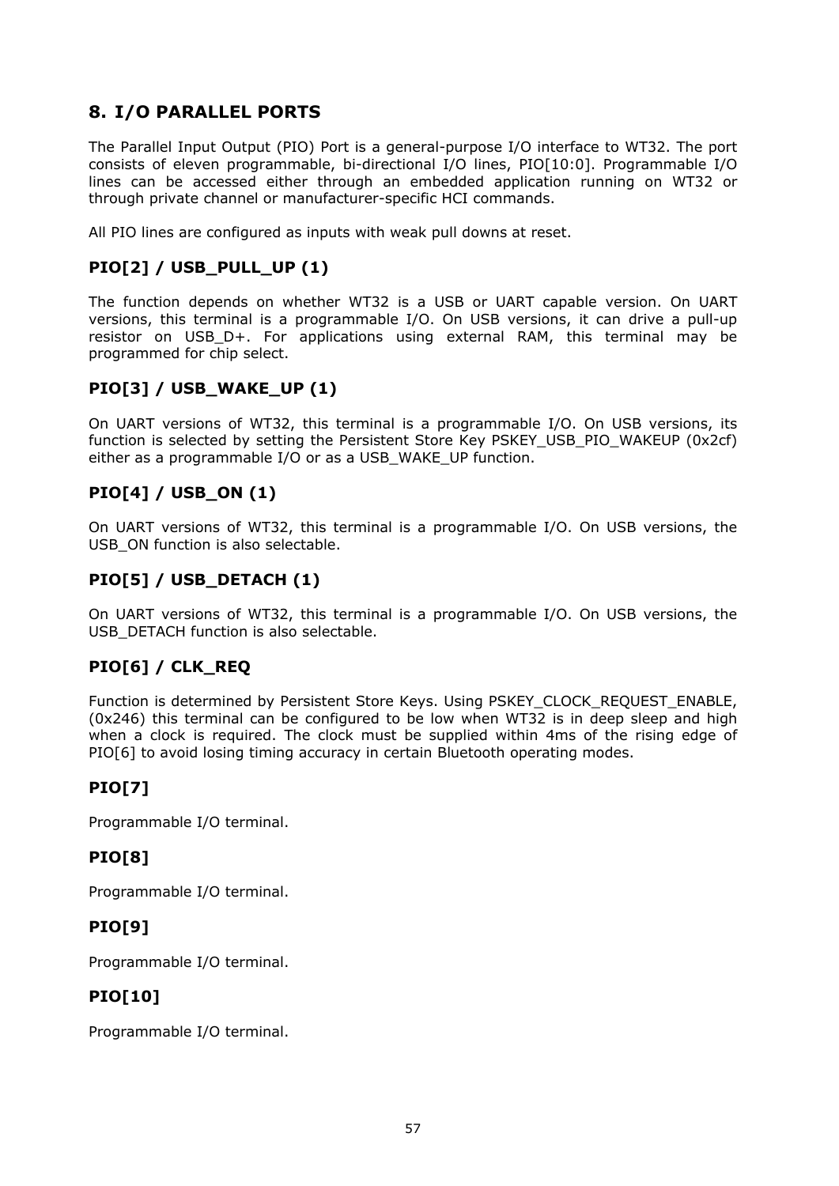# **8. I/O PARALLEL PORTS**

The Parallel Input Output (PIO) Port is a general-purpose I/O interface to WT32. The port consists of eleven programmable, bi-directional I/O lines, PIO[10:0]. Programmable I/O lines can be accessed either through an embedded application running on WT32 or through private channel or manufacturer-specific HCI commands.

All PIO lines are configured as inputs with weak pull downs at reset.

#### **PIO[2] / USB\_PULL\_UP (1)**

The function depends on whether WT32 is a USB or UART capable version. On UART versions, this terminal is a programmable I/O. On USB versions, it can drive a pull-up resistor on USB D+. For applications using external RAM, this terminal may be programmed for chip select.

#### **PIO[3] / USB\_WAKE\_UP (1)**

On UART versions of WT32, this terminal is a programmable I/O. On USB versions, its function is selected by setting the Persistent Store Key PSKEY\_USB\_PIO\_WAKEUP (0x2cf) either as a programmable I/O or as a USB\_WAKE\_UP function.

## **PIO[4] / USB\_ON (1)**

On UART versions of WT32, this terminal is a programmable I/O. On USB versions, the USB\_ON function is also selectable.

## **PIO[5] / USB\_DETACH (1)**

On UART versions of WT32, this terminal is a programmable I/O. On USB versions, the USB DETACH function is also selectable.

## **PIO[6] / CLK\_REQ**

Function is determined by Persistent Store Keys. Using PSKEY\_CLOCK\_REQUEST\_ENABLE, (0x246) this terminal can be configured to be low when WT32 is in deep sleep and high when a clock is required. The clock must be supplied within 4ms of the rising edge of PIO[6] to avoid losing timing accuracy in certain Bluetooth operating modes.

#### **PIO[7]**

Programmable I/O terminal.

## **PIO[8]**

Programmable I/O terminal.

## **PIO[9]**

Programmable I/O terminal.

## **PIO[10]**

Programmable I/O terminal.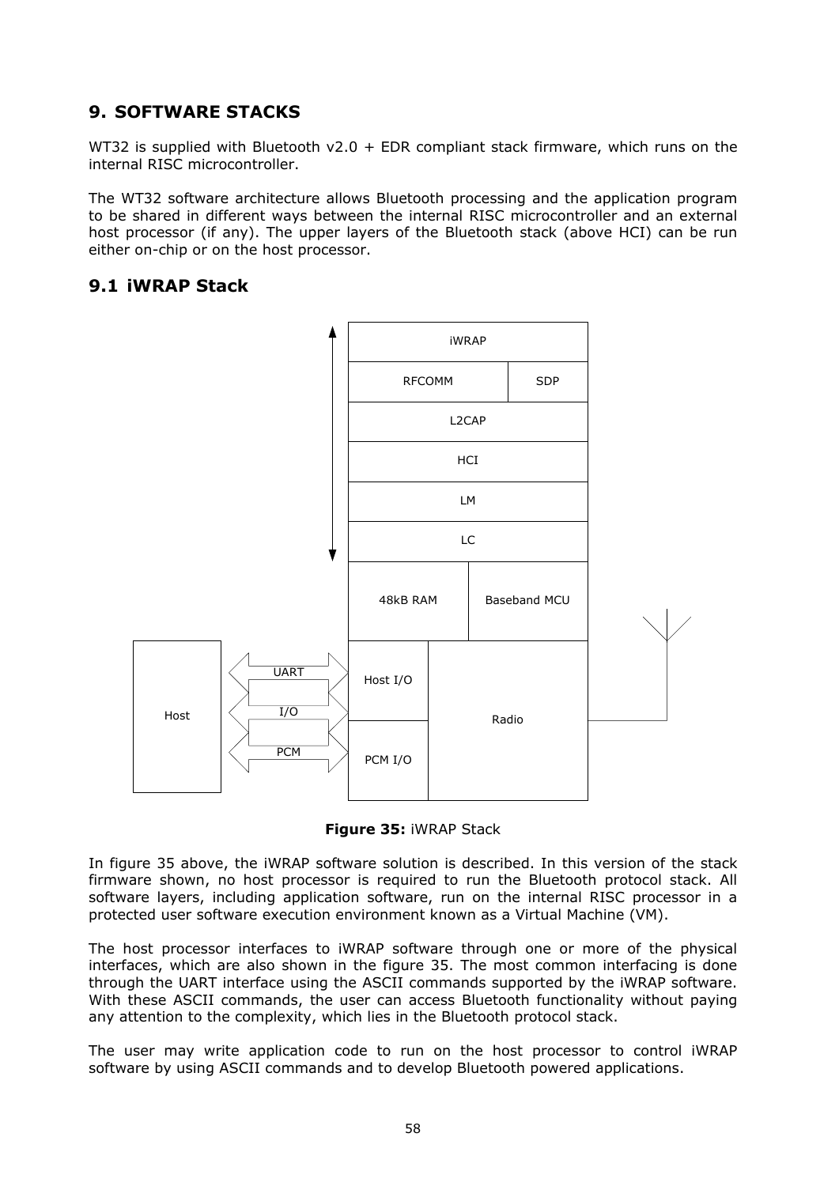# **9. SOFTWARE STACKS**

WT32 is supplied with Bluetooth  $v2.0 + EDR$  compliant stack firmware, which runs on the internal RISC microcontroller.

The WT32 software architecture allows Bluetooth processing and the application program to be shared in different ways between the internal RISC microcontroller and an external host processor (if any). The upper layers of the Bluetooth stack (above HCI) can be run either on-chip or on the host processor.

#### **9.1 iWRAP Stack**





In figure 35 above, the iWRAP software solution is described. In this version of the stack firmware shown, no host processor is required to run the Bluetooth protocol stack. All software layers, including application software, run on the internal RISC processor in a protected user software execution environment known as a Virtual Machine (VM).

The host processor interfaces to iWRAP software through one or more of the physical interfaces, which are also shown in the figure 35. The most common interfacing is done through the UART interface using the ASCII commands supported by the iWRAP software. With these ASCII commands, the user can access Bluetooth functionality without paying any attention to the complexity, which lies in the Bluetooth protocol stack.

The user may write application code to run on the host processor to control iWRAP software by using ASCII commands and to develop Bluetooth powered applications.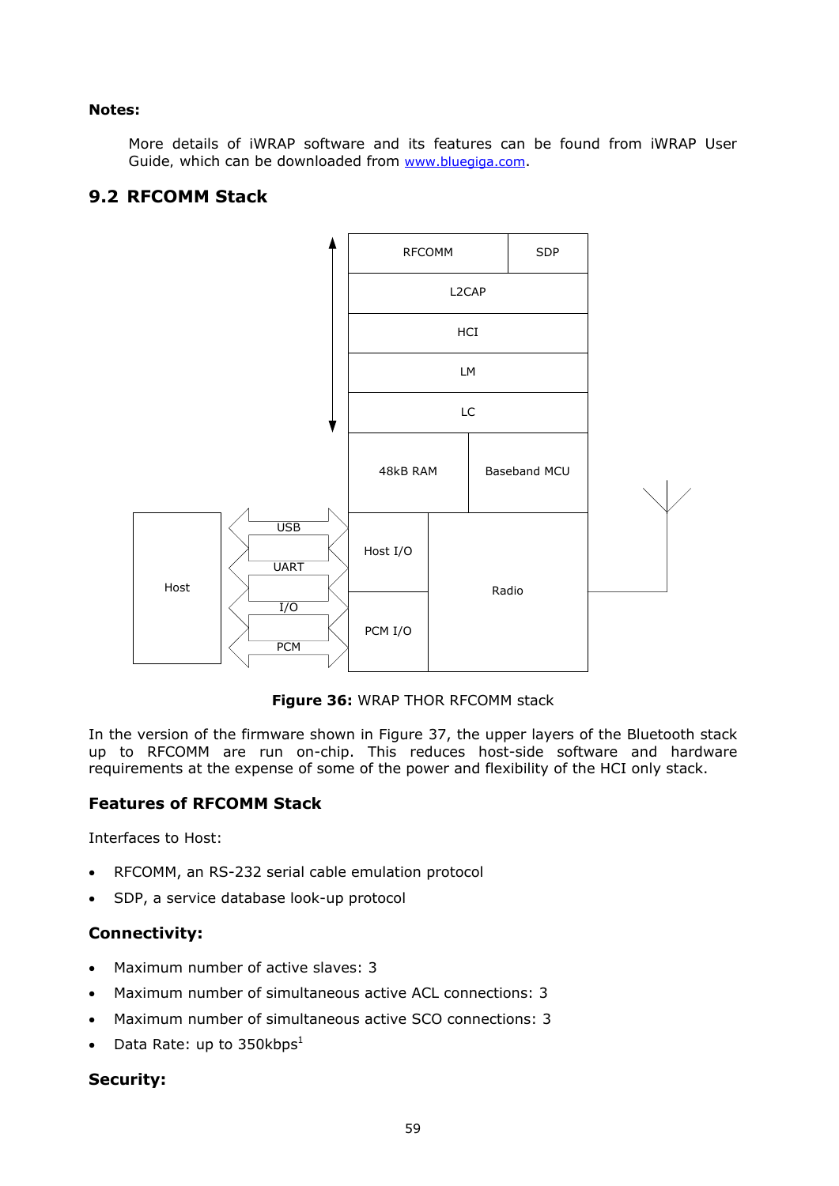#### **Notes:**

More details of iWRAP software and its features can be found from *iWRAP User*  Guide, which can be downloaded from [www.bluegiga.com.](http://www.bluegiga.com/)

#### **9.2 RFCOMM Stack**



**Figure 36:** WRAP THOR RFCOMM stack

In the version of the firmware shown in Figure 37, the upper layers of the Bluetooth stack up to RFCOMM are run on-chip. This reduces host-side software and hardware requirements at the expense of some of the power and flexibility of the HCI only stack.

#### **Features of RFCOMM Stack**

Interfaces to Host:

- RFCOMM, an RS-232 serial cable emulation protocol
- SDP, a service database look-up protocol

#### **Connectivity:**

- Maximum number of active slaves: 3
- Maximum number of simultaneous active ACL connections: 3
- Maximum number of simultaneous active SCO connections: 3
- Data Rate: up to 350kbps<sup>1</sup>

#### **Security:**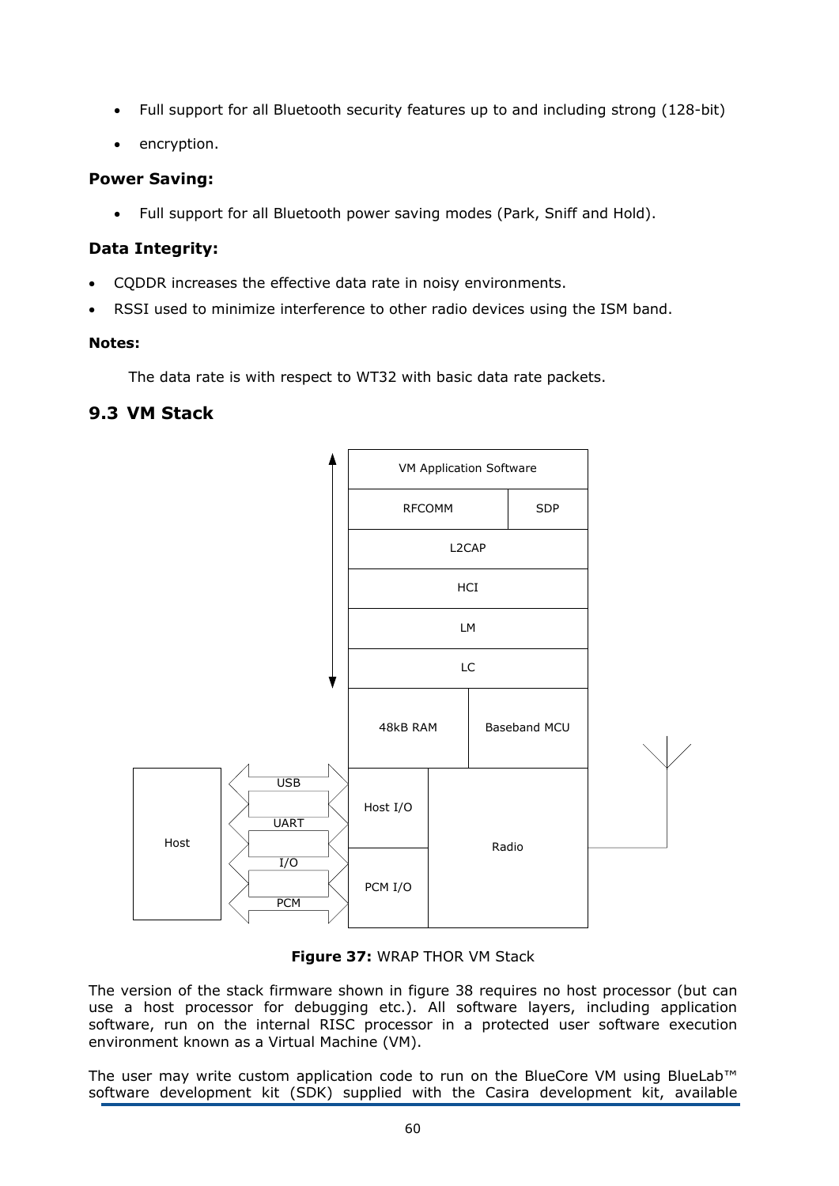- Full support for all Bluetooth security features up to and including strong (128-bit)
- encryption.

#### **Power Saving:**

Full support for all Bluetooth power saving modes (Park, Sniff and Hold).

#### **Data Integrity:**

- CQDDR increases the effective data rate in noisy environments.
- RSSI used to minimize interference to other radio devices using the ISM band.

#### **Notes:**

The data rate is with respect to WT32 with basic data rate packets.

## **9.3 VM Stack**



#### **Figure 37:** WRAP THOR VM Stack

The version of the stack firmware shown in figure 38 requires no host processor (but can use a host processor for debugging etc.). All software layers, including application software, run on the internal RISC processor in a protected user software execution environment known as a Virtual Machine (VM).

The user may write custom application code to run on the BlueCore VM using BlueLab™ software development kit (SDK) supplied with the Casira development kit, available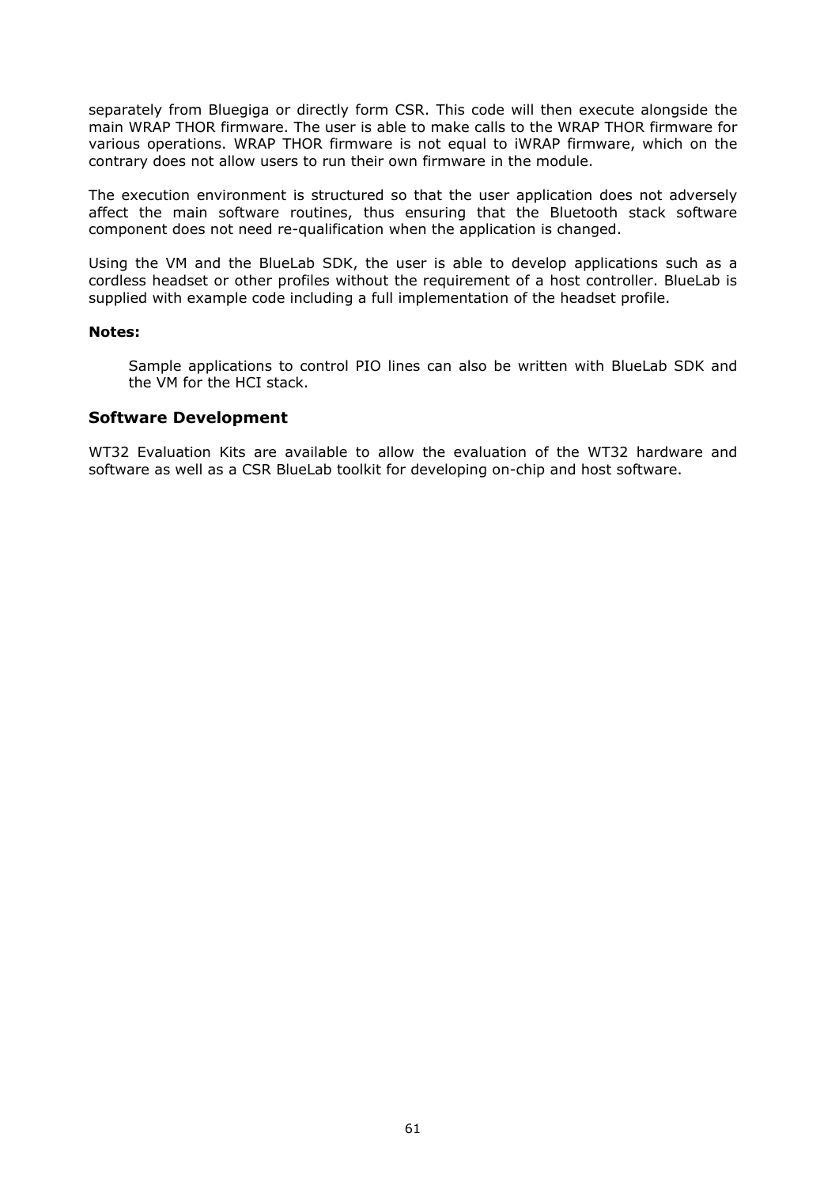separately from Bluegiga or directly form CSR. This code will then execute alongside the main WRAP THOR firmware. The user is able to make calls to the WRAP THOR firmware for various operations. WRAP THOR firmware is not equal to iWRAP firmware, which on the contrary does not allow users to run their own firmware in the module.

The execution environment is structured so that the user application does not adversely affect the main software routines, thus ensuring that the Bluetooth stack software component does not need re-qualification when the application is changed.

Using the VM and the BlueLab SDK, the user is able to develop applications such as a cordless headset or other profiles without the requirement of a host controller. BlueLab is supplied with example code including a full implementation of the headset profile.

#### **Notes:**

Sample applications to control PIO lines can also be written with BlueLab SDK and the VM for the HCI stack.

#### **Software Development**

WT32 Evaluation Kits are available to allow the evaluation of the WT32 hardware and software as well as a CSR BlueLab toolkit for developing on-chip and host software.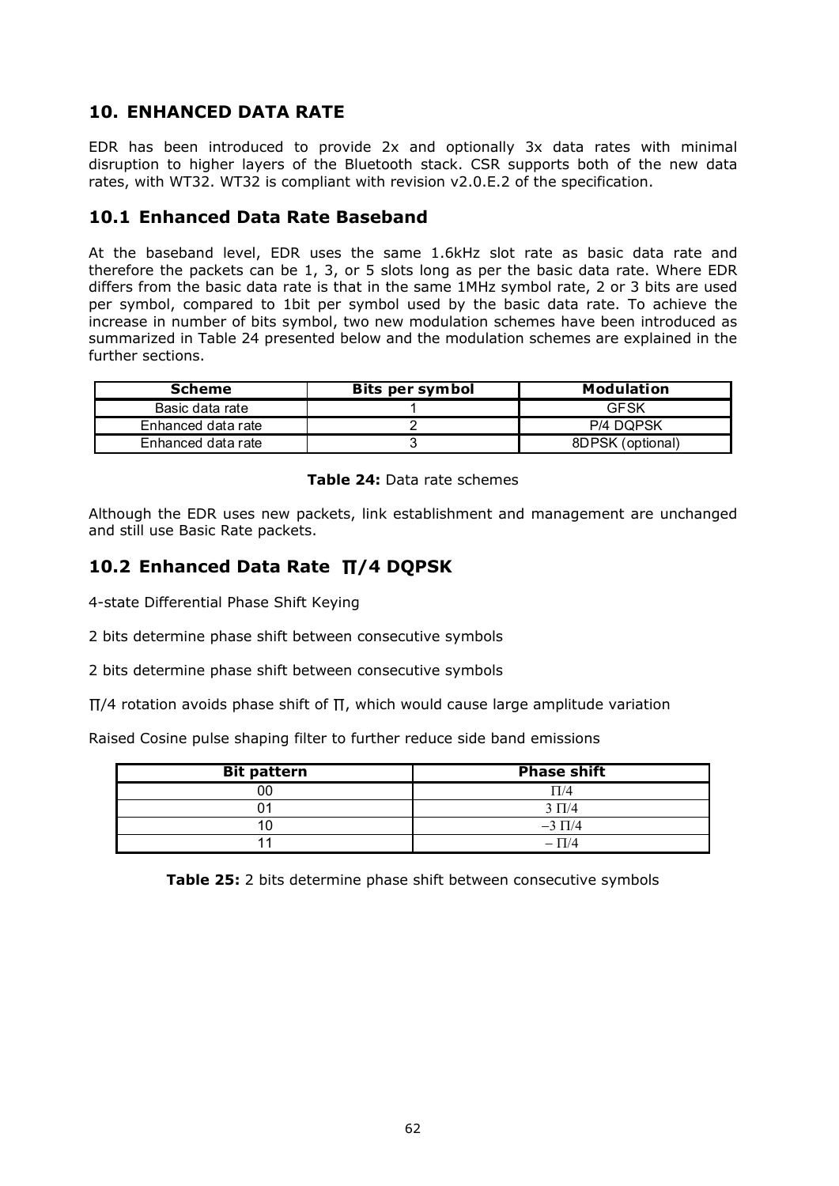## **10. ENHANCED DATA RATE**

EDR has been introduced to provide 2x and optionally 3x data rates with minimal disruption to higher layers of the Bluetooth stack. CSR supports both of the new data rates, with WT32. WT32 is compliant with revision v2.0.E.2 of the specification.

#### **10.1 Enhanced Data Rate Baseband**

At the baseband level, EDR uses the same 1.6kHz slot rate as basic data rate and therefore the packets can be 1, 3, or 5 slots long as per the basic data rate. Where EDR differs from the basic data rate is that in the same 1MHz symbol rate, 2 or 3 bits are used per symbol, compared to 1bit per symbol used by the basic data rate. To achieve the increase in number of bits symbol, two new modulation schemes have been introduced as summarized in Table 24 presented below and the modulation schemes are explained in the further sections.

| <b>Scheme</b>      | <b>Bits per symbol</b> | <b>Modulation</b> |
|--------------------|------------------------|-------------------|
| Basic data rate    |                        | GFSK              |
| Enhanced data rate |                        | P/4 DOPSK         |
| Enhanced data rate |                        | 8DPSK (optional)  |

**Table 24:** Data rate schemes

Although the EDR uses new packets, link establishment and management are unchanged and still use Basic Rate packets.

## **10.2 Enhanced Data Rate ∏/4 DQPSK**

4-state Differential Phase Shift Keying

2 bits determine phase shift between consecutive symbols

2 bits determine phase shift between consecutive symbols

∏/4 rotation avoids phase shift of ∏, which would cause large amplitude variation

Raised Cosine pulse shaping filter to further reduce side band emissions

| <b>Bit pattern</b> | <b>Phase shift</b> |
|--------------------|--------------------|
|                    | T/4                |
|                    | $3 \Pi/4$          |
|                    | $-3 \Pi/4$         |
|                    | $-\Pi/4$           |

**Table 25:** 2 bits determine phase shift between consecutive symbols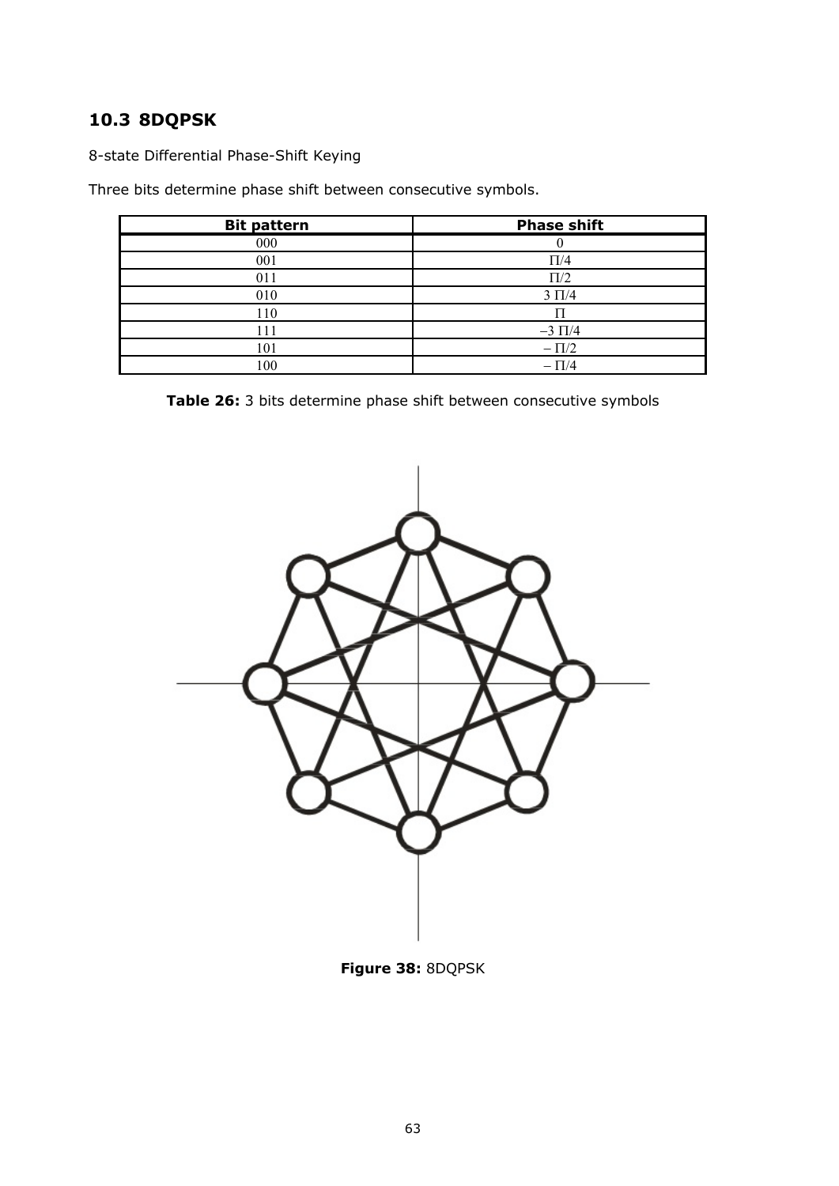# **10.3 8DQPSK**

8-state Differential Phase-Shift Keying

Three bits determine phase shift between consecutive symbols.

| <b>Bit pattern</b> | <b>Phase shift</b> |
|--------------------|--------------------|
| 000                |                    |
| 001                | $\Pi/4$            |
| 011                | $\Pi/2$            |
| 010                | $3 \Pi/4$          |
| 110                |                    |
| 111                | $-3 \Pi/4$         |
| 101                | $-\Pi/2$           |
| 100                | $-\Pi/4$           |

**Table 26:** 3 bits determine phase shift between consecutive symbols



**Figure 38:** 8DQPSK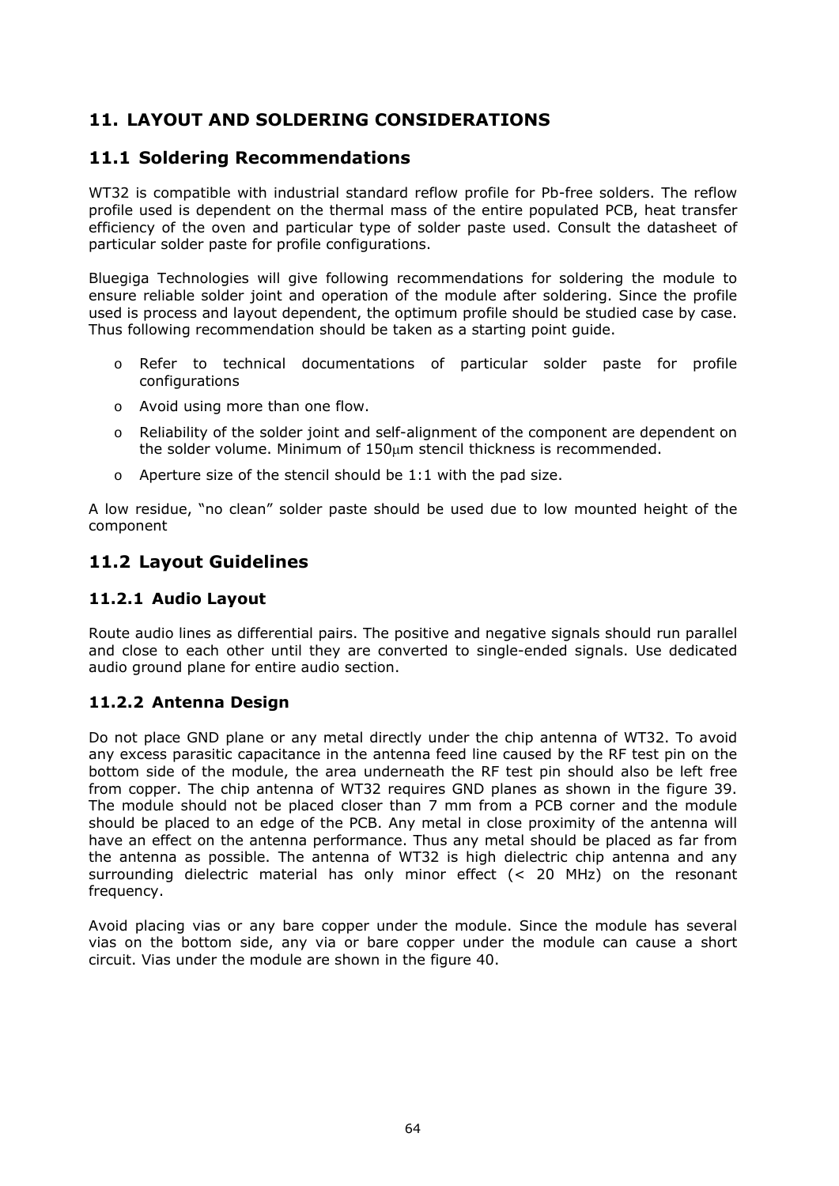# **11. LAYOUT AND SOLDERING CONSIDERATIONS**

## **11.1 Soldering Recommendations**

WT32 is compatible with industrial standard reflow profile for Pb-free solders. The reflow profile used is dependent on the thermal mass of the entire populated PCB, heat transfer efficiency of the oven and particular type of solder paste used. Consult the datasheet of particular solder paste for profile configurations.

Bluegiga Technologies will give following recommendations for soldering the module to ensure reliable solder joint and operation of the module after soldering. Since the profile used is process and layout dependent, the optimum profile should be studied case by case. Thus following recommendation should be taken as a starting point guide.

- o Refer to technical documentations of particular solder paste for profile configurations
- o Avoid using more than one flow.
- o Reliability of the solder joint and self-alignment of the component are dependent on the solder volume. Minimum of 150um stencil thickness is recommended.
- o Aperture size of the stencil should be 1:1 with the pad size.

A low residue, "no clean" solder paste should be used due to low mounted height of the component

## **11.2 Layout Guidelines**

#### **11.2.1 Audio Layout**

Route audio lines as differential pairs. The positive and negative signals should run parallel and close to each other until they are converted to single-ended signals. Use dedicated audio ground plane for entire audio section.

#### **11.2.2 Antenna Design**

Do not place GND plane or any metal directly under the chip antenna of WT32. To avoid any excess parasitic capacitance in the antenna feed line caused by the RF test pin on the bottom side of the module, the area underneath the RF test pin should also be left free from copper. The chip antenna of WT32 requires GND planes as shown in the figure 39. The module should not be placed closer than 7 mm from a PCB corner and the module should be placed to an edge of the PCB. Any metal in close proximity of the antenna will have an effect on the antenna performance. Thus any metal should be placed as far from the antenna as possible. The antenna of WT32 is high dielectric chip antenna and any surrounding dielectric material has only minor effect (< 20 MHz) on the resonant frequency.

Avoid placing vias or any bare copper under the module. Since the module has several vias on the bottom side, any via or bare copper under the module can cause a short circuit. Vias under the module are shown in the figure 40.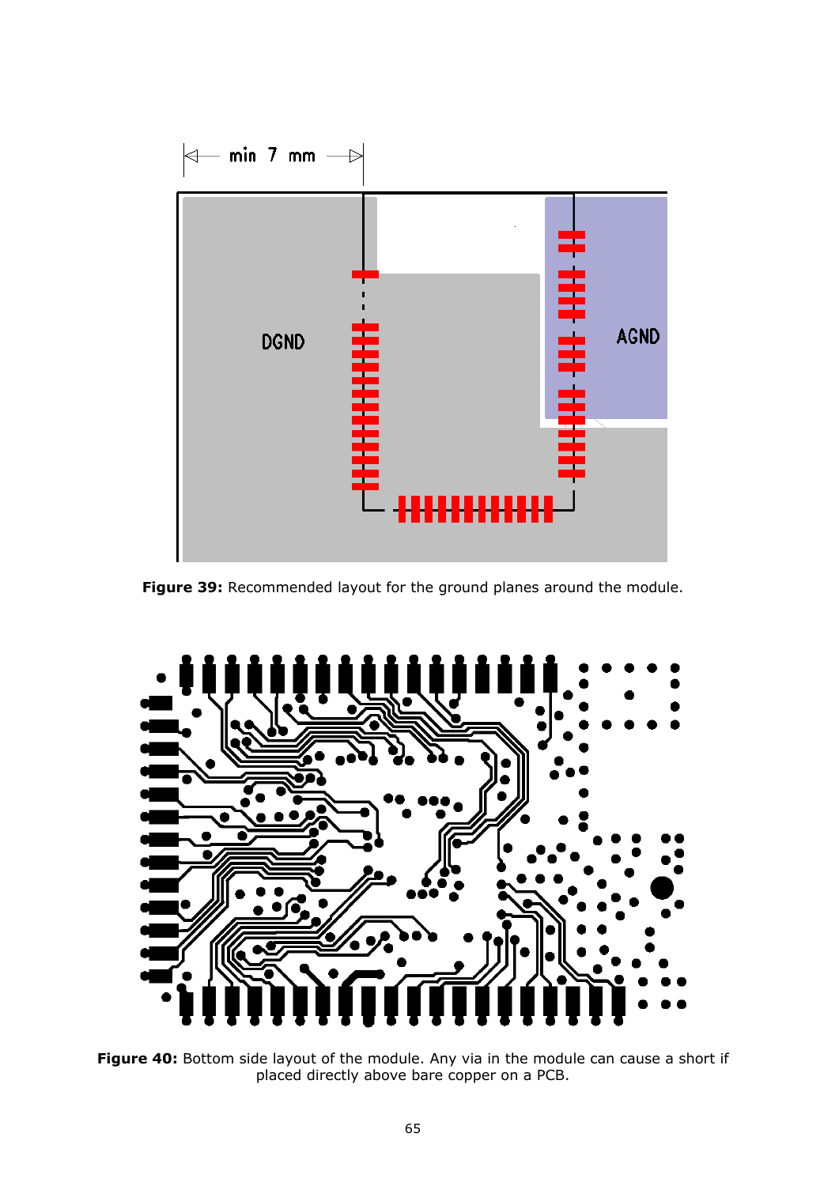

Figure 39: Recommended layout for the ground planes around the module.



**Figure 40:** Bottom side layout of the module. Any via in the module can cause a short if placed directly above bare copper on a PCB.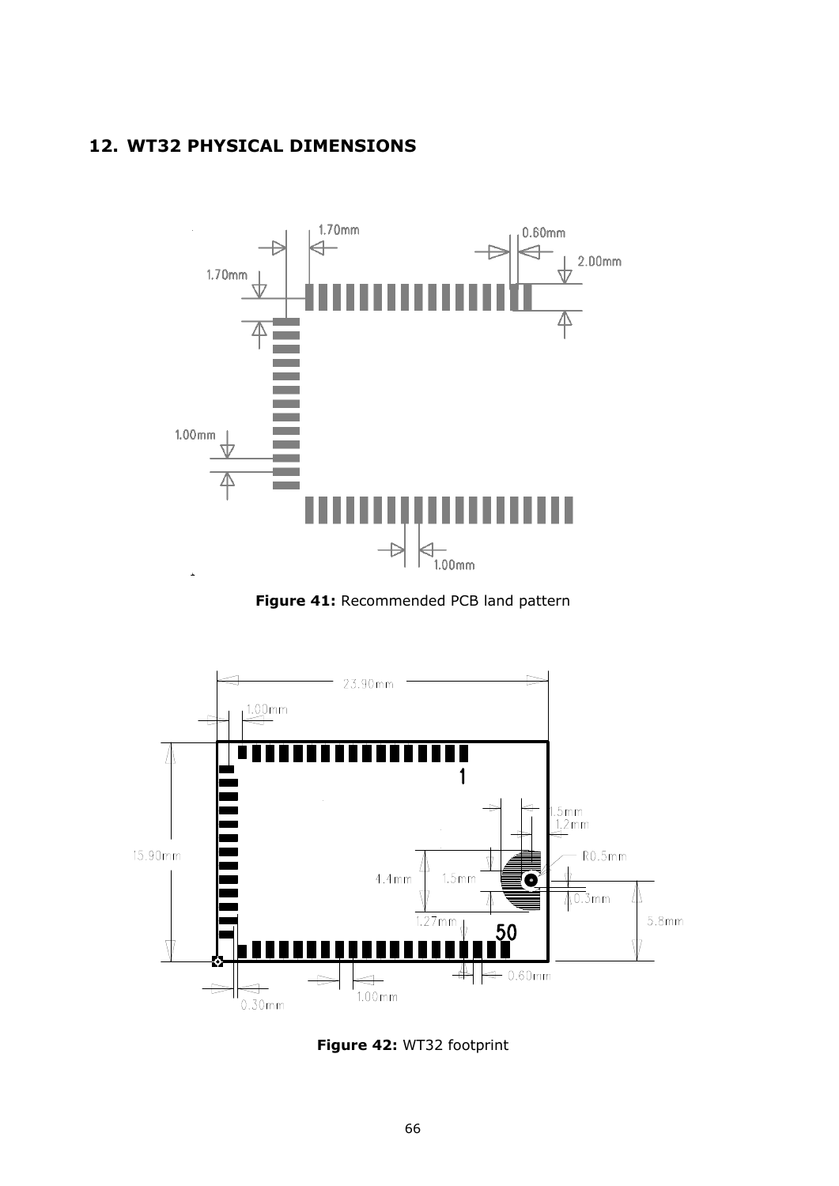## **12. WT32 PHYSICAL DIMENSIONS**



**Figure 41:** Recommended PCB land pattern



**Figure 42:** WT32 footprint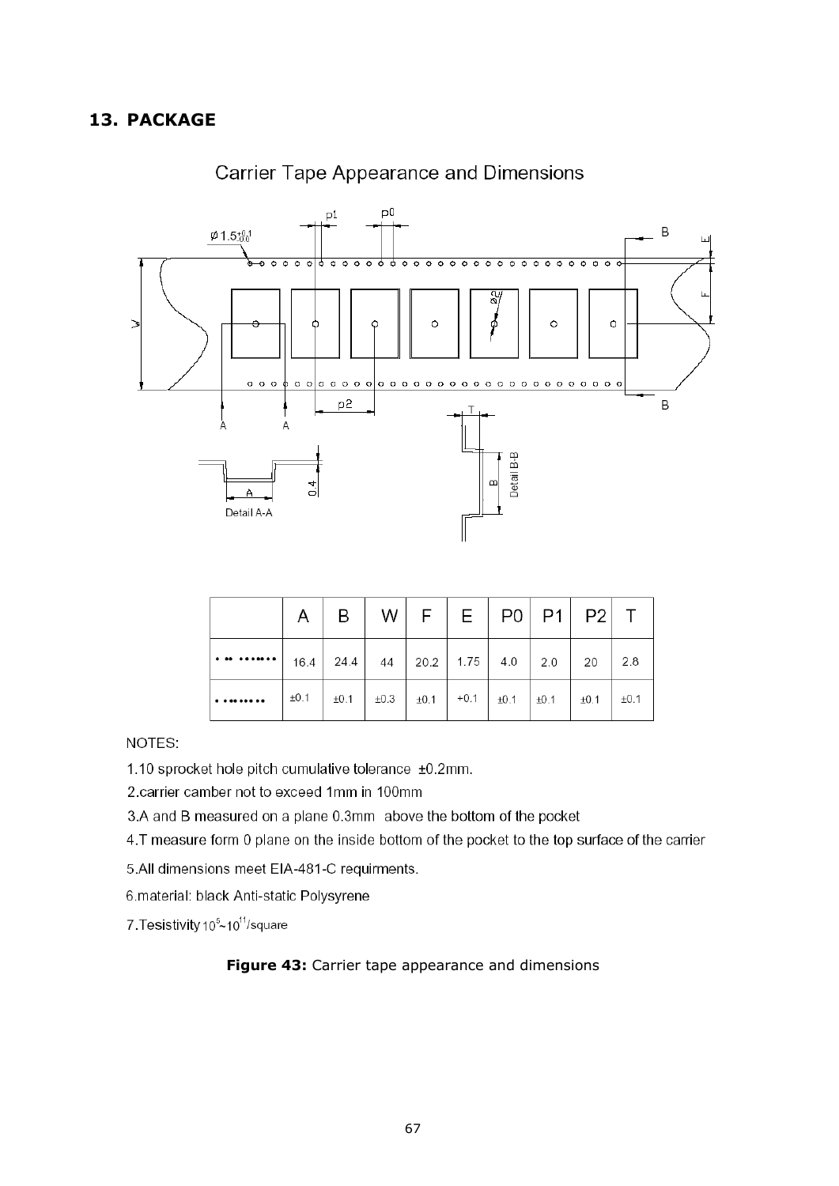

## **Carrier Tape Appearance and Dimensions**

|                                                                 | A   B   W   F   E   PO   P1   P2   T                                                                |  |  |  |  |
|-----------------------------------------------------------------|-----------------------------------------------------------------------------------------------------|--|--|--|--|
| $\cdot$   16.4   24.4   44   20.2   1.75   4.0   2.0   20   2.8 |                                                                                                     |  |  |  |  |
|                                                                 | $\pm 0.1$ $\pm 0.1$ $\pm 0.3$ $\pm 0.1$ $\pm 0.1$ $\pm 0.1$ $\pm 0.1$ $\pm 0.1$ $\pm 0.1$ $\pm 0.1$ |  |  |  |  |

NOTES:

1.10 sprocket hole pitch cumulative tolerance ±0.2mm.

2.carrier camber not to exceed 1mm in 100mm

3.A and B measured on a plane 0.3mm above the bottom of the pocket

4.T measure form 0 plane on the inside bottom of the pocket to the top surface of the carrier

5.All dimensions meet EIA-481-C requirments.

6.material: black Anti-static Polysyrene

7. Tesistivity 10<sup>5</sup>~10<sup>11</sup>/square

#### **Figure 43:** Carrier tape appearance and dimensions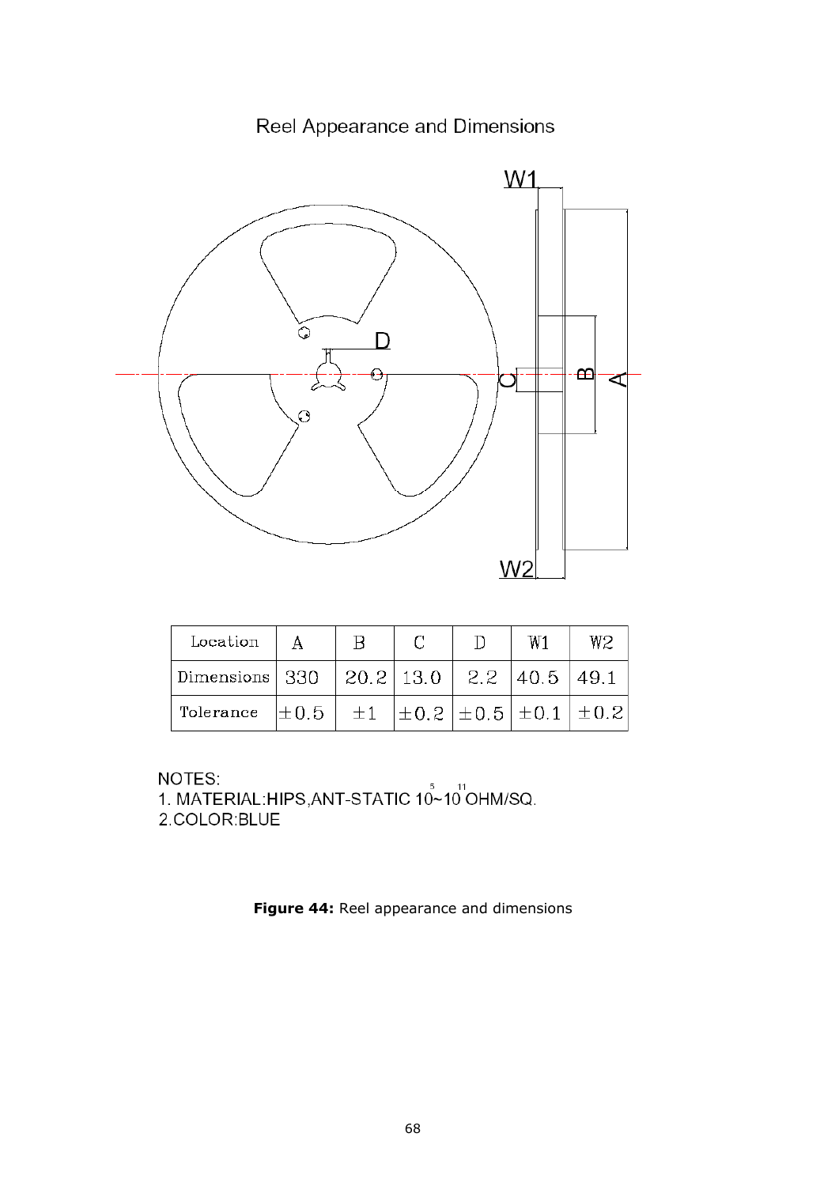# Reel Appearance and Dimensions



| Location         |           |                    |  | W1                                           | W2   |
|------------------|-----------|--------------------|--|----------------------------------------------|------|
| Dimensions   330 |           | 20.2 13.0 2.2 40.5 |  |                                              | 49.1 |
| Tolerance        | $\pm 0.5$ | $\pm 1$            |  | $ \pm 0.2 $ $\pm 0.5 $ $\pm 0.1 $ $\pm 0.2 $ |      |

NOTES:

NOTES:<br>1. MATERIAL:HIPS,ANT-STATIC 10~10 OHM/SQ. 2.COLOR:BLUE

**Figure 44:** Reel appearance and dimensions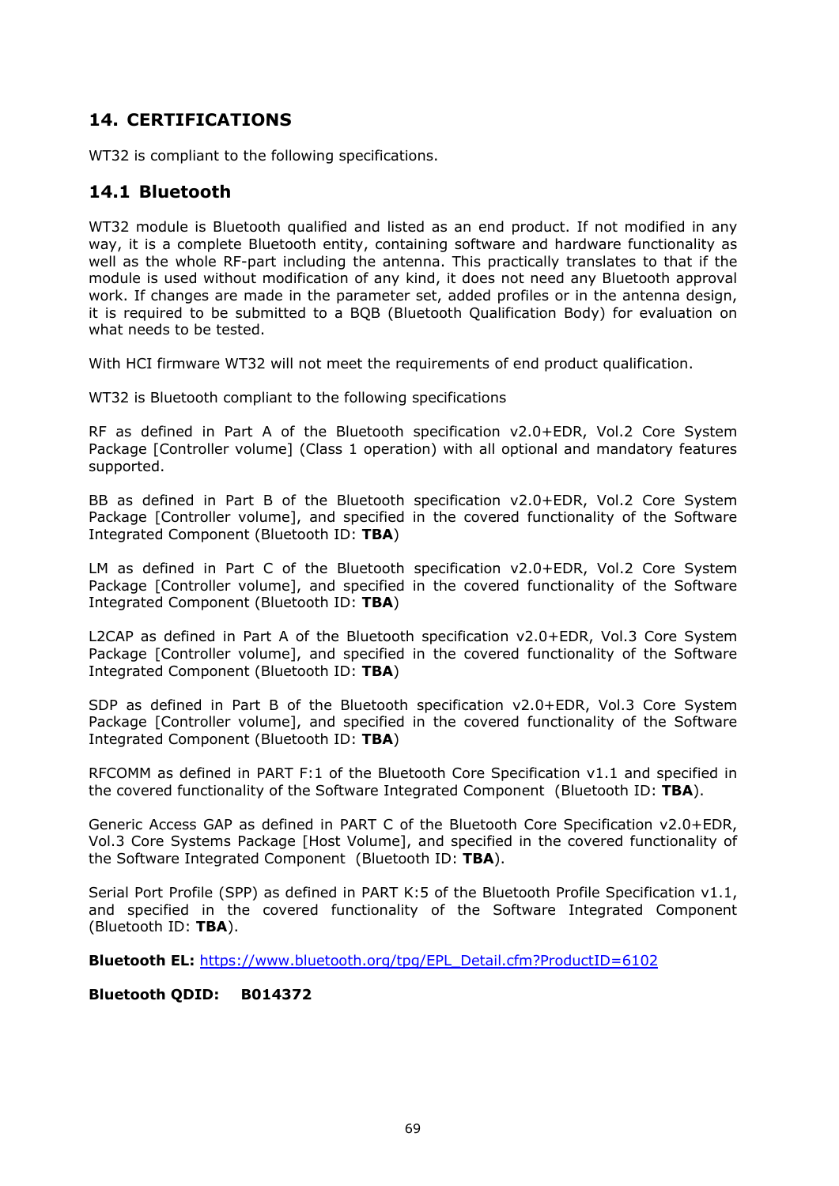## **14. CERTIFICATIONS**

WT32 is compliant to the following specifications.

## **14.1 Bluetooth**

WT32 module is *Bluetooth* qualified and listed as an end product. If not modified in any way, it is a complete *Bluetooth* entity, containing software and hardware functionality as well as the whole RF-part including the antenna. This practically translates to that if the module is used without modification of any kind, it does not need any *Bluetooth* approval work. If changes are made in the parameter set, added profiles or in the antenna design, it is required to be submitted to a BQB (*Bluetooth* Qualification Body) for evaluation on what needs to be tested.

With HCI firmware WT32 will not meet the requirements of end product qualification.

WT32 is Bluetooth compliant to the following specifications

RF as defined in Part A of the Bluetooth specification v2.0+EDR, Vol.2 Core System Package [Controller volume] (Class 1 operation) with all optional and mandatory features supported.

BB as defined in Part B of the Bluetooth specification v2.0+EDR, Vol.2 Core System Package [Controller volume], and specified in the covered functionality of the Software Integrated Component (Bluetooth ID: **TBA**)

LM as defined in Part C of the Bluetooth specification v2.0+EDR, Vol.2 Core System Package [Controller volume], and specified in the covered functionality of the Software Integrated Component (Bluetooth ID: **TBA**)

L2CAP as defined in Part A of the Bluetooth specification v2.0+EDR, Vol.3 Core System Package [Controller volume], and specified in the covered functionality of the Software Integrated Component (Bluetooth ID: **TBA**)

SDP as defined in Part B of the Bluetooth specification v2.0+EDR, Vol.3 Core System Package [Controller volume], and specified in the covered functionality of the Software Integrated Component (Bluetooth ID: **TBA**)

RFCOMM as defined in PART F:1 of the Bluetooth Core Specification v1.1 and specified in the covered functionality of the Software Integrated Component (Bluetooth ID: **TBA**).

Generic Access GAP as defined in PART C of the Bluetooth Core Specification v2.0+EDR, Vol.3 Core Systems Package [Host Volume], and specified in the covered functionality of the Software Integrated Component (Bluetooth ID: **TBA**).

Serial Port Profile (SPP) as defined in PART K:5 of the Bluetooth Profile Specification v1.1, and specified in the covered functionality of the Software Integrated Component (Bluetooth ID: **TBA**).

**Bluetooth EL:** [https://www.bluetooth.org/tpg/EPL\\_Detail.cfm?ProductID=6102](https://www.bluetooth.org/tpg/EPL_Detail.cfm?ProductID=6102)

#### **Bluetooth QDID: B014372**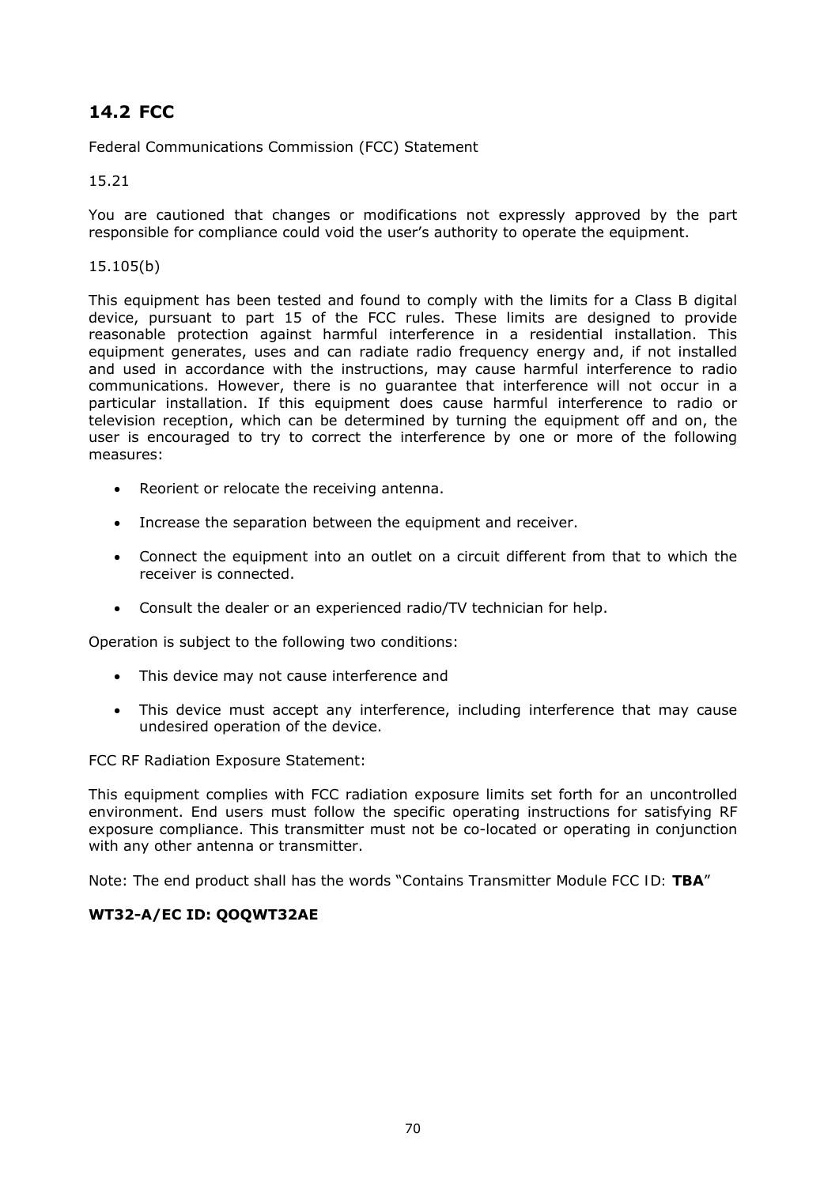# **14.2 FCC**

Federal Communications Commission (FCC) Statement

#### 15.21

You are cautioned that changes or modifications not expressly approved by the part responsible for compliance could void the user's authority to operate the equipment.

#### 15.105(b)

This equipment has been tested and found to comply with the limits for a Class B digital device, pursuant to part 15 of the FCC rules. These limits are designed to provide reasonable protection against harmful interference in a residential installation. This equipment generates, uses and can radiate radio frequency energy and, if not installed and used in accordance with the instructions, may cause harmful interference to radio communications. However, there is no guarantee that interference will not occur in a particular installation. If this equipment does cause harmful interference to radio or television reception, which can be determined by turning the equipment off and on, the user is encouraged to try to correct the interference by one or more of the following measures:

- Reorient or relocate the receiving antenna.
- Increase the separation between the equipment and receiver.
- Connect the equipment into an outlet on a circuit different from that to which the receiver is connected.
- Consult the dealer or an experienced radio/TV technician for help.

Operation is subject to the following two conditions:

- This device may not cause interference and
- This device must accept any interference, including interference that may cause undesired operation of the device.

FCC RF Radiation Exposure Statement:

This equipment complies with FCC radiation exposure limits set forth for an uncontrolled environment. End users must follow the specific operating instructions for satisfying RF exposure compliance. This transmitter must not be co-located or operating in conjunction with any other antenna or transmitter.

Note: The end product shall has the words "*Contains Transmitter Module FCC ID: TBA*"

#### **WT32-A/EC ID: QOQWT32AE**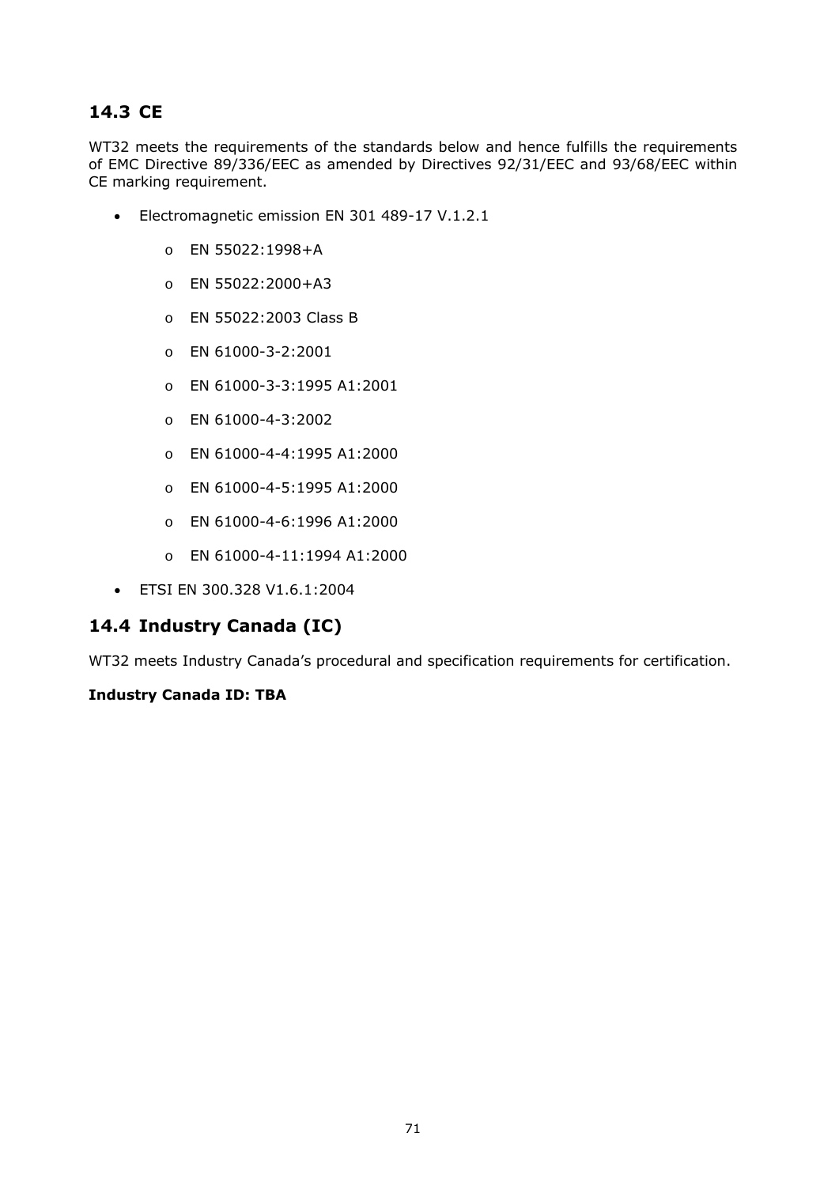# **14.3 CE**

WT32 meets the requirements of the standards below and hence fulfills the requirements of EMC Directive 89/336/EEC as amended by Directives 92/31/EEC and 93/68/EEC within CE marking requirement.

- Electromagnetic emission EN 301 489-17 V.1.2.1
	- o EN 55022:1998+A
	- o EN 55022:2000+A3
	- o EN 55022:2003 Class B
	- o EN 61000-3-2:2001
	- o EN 61000-3-3:1995 A1:2001
	- o EN 61000-4-3:2002
	- o EN 61000-4-4:1995 A1:2000
	- o EN 61000-4-5:1995 A1:2000
	- o EN 61000-4-6:1996 A1:2000
	- o EN 61000-4-11:1994 A1:2000
- ETSI EN 300.328 V1.6.1:2004

## **14.4 Industry Canada (IC)**

WT32 meets Industry Canada's procedural and specification requirements for certification.

#### **Industry Canada ID: TBA**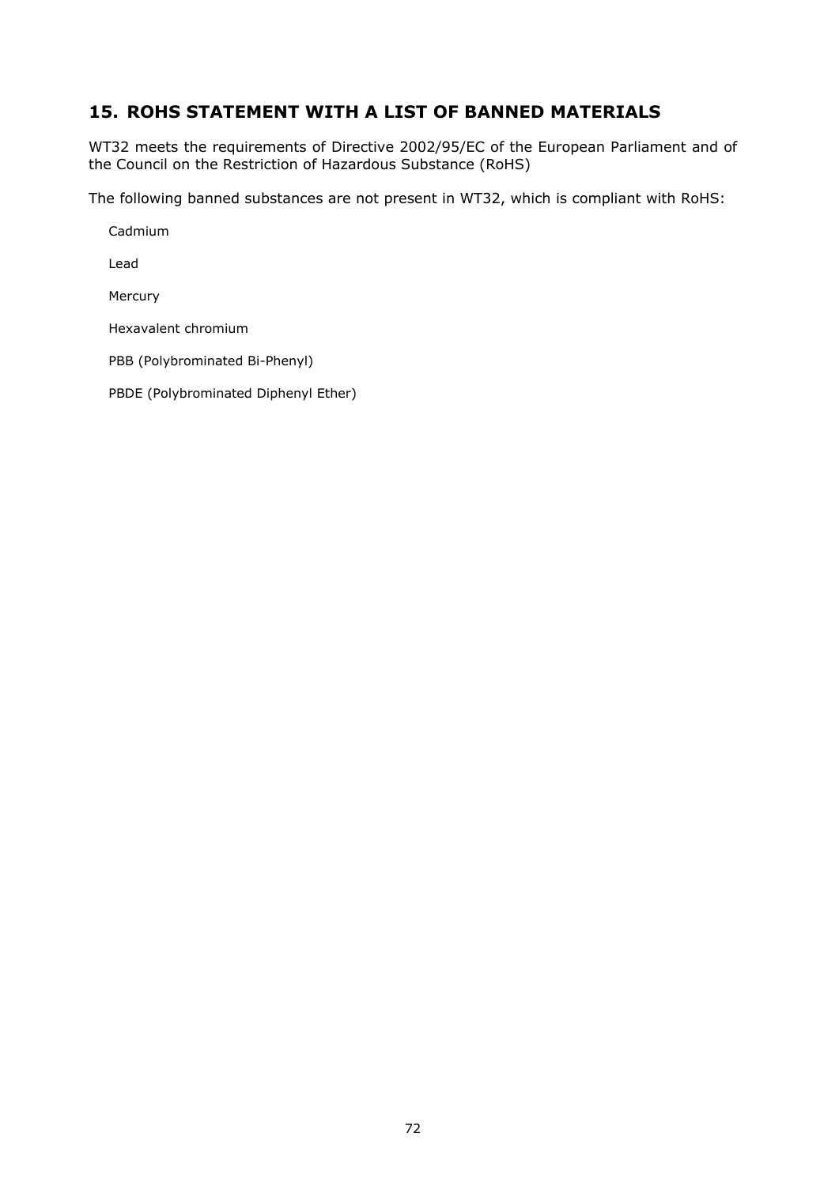## **15. ROHS STATEMENT WITH A LIST OF BANNED MATERIALS**

WT32 meets the requirements of Directive 2002/95/EC of the European Parliament and of the Council on the Restriction of Hazardous Substance (RoHS)

The following banned substances are not present in WT32, which is compliant with RoHS:

Cadmium

Lead

Mercury

Hexavalent chromium

PBB (Polybrominated Bi-Phenyl)

PBDE (Polybrominated Diphenyl Ether)